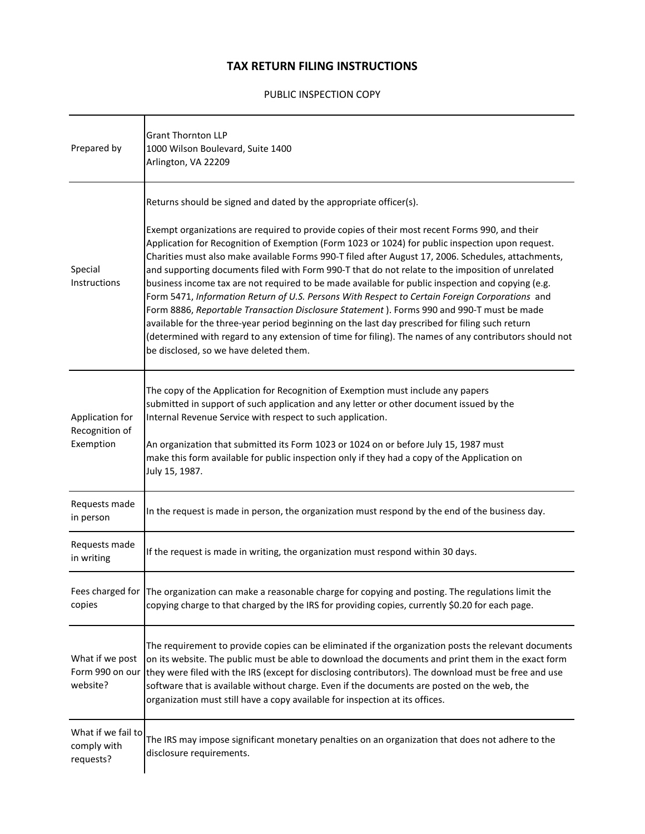## **TAX RETURN FILING INSTRUCTIONS**

## PUBLIC INSPECTION COPY

| Prepared by                                    | <b>Grant Thornton LLP</b><br>1000 Wilson Boulevard, Suite 1400<br>Arlington, VA 22209                                                                                                                                                                                                                                                                                                                                                                                                                                                                                                                                                                                                                                                                                                                                                                                                                                                                                                                                                        |
|------------------------------------------------|----------------------------------------------------------------------------------------------------------------------------------------------------------------------------------------------------------------------------------------------------------------------------------------------------------------------------------------------------------------------------------------------------------------------------------------------------------------------------------------------------------------------------------------------------------------------------------------------------------------------------------------------------------------------------------------------------------------------------------------------------------------------------------------------------------------------------------------------------------------------------------------------------------------------------------------------------------------------------------------------------------------------------------------------|
| Special<br>Instructions                        | Returns should be signed and dated by the appropriate officer(s).<br>Exempt organizations are required to provide copies of their most recent Forms 990, and their<br>Application for Recognition of Exemption (Form 1023 or 1024) for public inspection upon request.<br>Charities must also make available Forms 990-T filed after August 17, 2006. Schedules, attachments,<br>and supporting documents filed with Form 990-T that do not relate to the imposition of unrelated<br>business income tax are not required to be made available for public inspection and copying (e.g.<br>Form 5471, Information Return of U.S. Persons With Respect to Certain Foreign Corporations and<br>Form 8886, Reportable Transaction Disclosure Statement). Forms 990 and 990-T must be made<br>available for the three-year period beginning on the last day prescribed for filing such return<br>(determined with regard to any extension of time for filing). The names of any contributors should not<br>be disclosed, so we have deleted them. |
| Application for<br>Recognition of<br>Exemption | The copy of the Application for Recognition of Exemption must include any papers<br>submitted in support of such application and any letter or other document issued by the<br>Internal Revenue Service with respect to such application.<br>An organization that submitted its Form 1023 or 1024 on or before July 15, 1987 must<br>make this form available for public inspection only if they had a copy of the Application on<br>July 15, 1987.                                                                                                                                                                                                                                                                                                                                                                                                                                                                                                                                                                                          |
| Requests made<br>in person                     | In the request is made in person, the organization must respond by the end of the business day.                                                                                                                                                                                                                                                                                                                                                                                                                                                                                                                                                                                                                                                                                                                                                                                                                                                                                                                                              |
| Requests made<br>in writing                    | If the request is made in writing, the organization must respond within 30 days.                                                                                                                                                                                                                                                                                                                                                                                                                                                                                                                                                                                                                                                                                                                                                                                                                                                                                                                                                             |
| copies                                         | Fees charged for The organization can make a reasonable charge for copying and posting. The regulations limit the<br>copying charge to that charged by the IRS for providing copies, currently \$0.20 for each page.                                                                                                                                                                                                                                                                                                                                                                                                                                                                                                                                                                                                                                                                                                                                                                                                                         |
| What if we post<br>Form 990 on our<br>website? | The requirement to provide copies can be eliminated if the organization posts the relevant documents<br>on its website. The public must be able to download the documents and print them in the exact form<br>they were filed with the IRS (except for disclosing contributors). The download must be free and use<br>software that is available without charge. Even if the documents are posted on the web, the<br>organization must still have a copy available for inspection at its offices.                                                                                                                                                                                                                                                                                                                                                                                                                                                                                                                                            |
| What if we fail to<br>comply with<br>requests? | The IRS may impose significant monetary penalties on an organization that does not adhere to the<br>disclosure requirements.                                                                                                                                                                                                                                                                                                                                                                                                                                                                                                                                                                                                                                                                                                                                                                                                                                                                                                                 |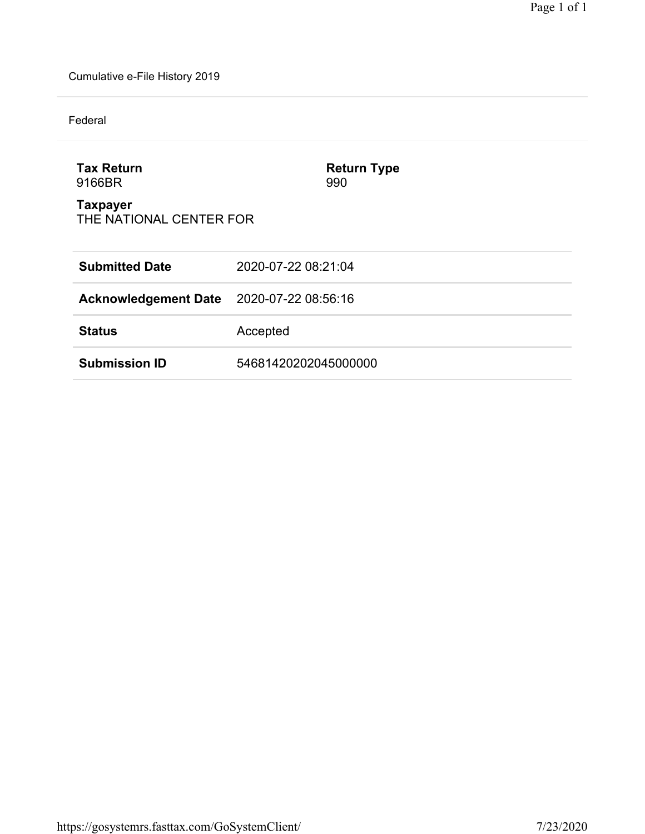Cumulative e-File History 2019

Federal

| <b>Tax Return</b><br>9166BR                | <b>Return Type</b><br>990 |
|--------------------------------------------|---------------------------|
| <b>Taxpayer</b><br>THE NATIONAL CENTER FOR |                           |
| <b>Submitted Date</b>                      | 2020-07-22 08:21:04       |
| <b>Acknowledgement Date</b>                | 2020-07-22 08:56:16       |
| <b>Status</b>                              | Accepted                  |
| <b>Submission ID</b>                       | 54681420202045000000      |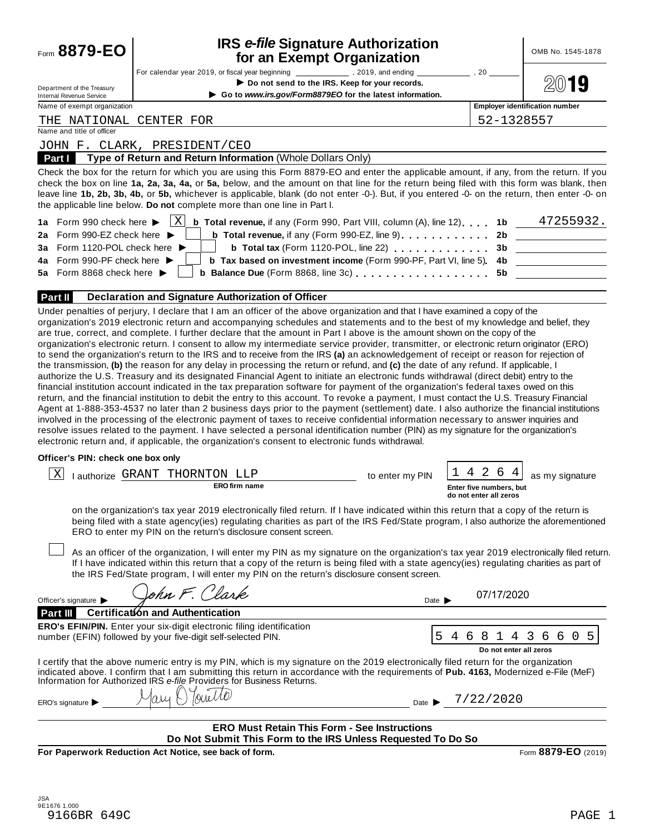| Form 8879-EO                                                                            | <b>IRS e-file Signature Authorization</b><br>for an Exempt Organization                                                                                                                                                                                                                                                                                                                                                                                                                                                                                                                                                              |                                                                                                                                                                                                                                      | OMB No. 1545-1878 |
|-----------------------------------------------------------------------------------------|--------------------------------------------------------------------------------------------------------------------------------------------------------------------------------------------------------------------------------------------------------------------------------------------------------------------------------------------------------------------------------------------------------------------------------------------------------------------------------------------------------------------------------------------------------------------------------------------------------------------------------------|--------------------------------------------------------------------------------------------------------------------------------------------------------------------------------------------------------------------------------------|-------------------|
| Department of the Treasury<br><b>Internal Revenue Service</b>                           | For calendar year 2019, or fiscal year beginning ____________________, 2019, and ending<br>$\sim$ , 20<br>Do not send to the IRS. Keep for your records.<br>Go to www.irs.gov/Form8879EO for the latest information.                                                                                                                                                                                                                                                                                                                                                                                                                 |                                                                                                                                                                                                                                      | 19                |
| Name of exempt organization                                                             |                                                                                                                                                                                                                                                                                                                                                                                                                                                                                                                                                                                                                                      | <b>Employer identification number</b>                                                                                                                                                                                                |                   |
| THE NATIONAL CENTER FOR                                                                 |                                                                                                                                                                                                                                                                                                                                                                                                                                                                                                                                                                                                                                      | 52-1328557                                                                                                                                                                                                                           |                   |
| Name and title of officer                                                               |                                                                                                                                                                                                                                                                                                                                                                                                                                                                                                                                                                                                                                      |                                                                                                                                                                                                                                      |                   |
|                                                                                         | JOHN F. CLARK, PRESIDENT/CEO                                                                                                                                                                                                                                                                                                                                                                                                                                                                                                                                                                                                         |                                                                                                                                                                                                                                      |                   |
| Part I                                                                                  | Type of Return and Return Information (Whole Dollars Only)                                                                                                                                                                                                                                                                                                                                                                                                                                                                                                                                                                           |                                                                                                                                                                                                                                      |                   |
|                                                                                         | Check the box for the return for which you are using this Form 8879-EO and enter the applicable amount, if any, from the return. If you<br>check the box on line 1a, 2a, 3a, 4a, or 5a, below, and the amount on that line for the return being filed with this form was blank, then<br>leave line 1b, 2b, 3b, 4b, or 5b, whichever is applicable, blank (do not enter -0-). But, if you entered -0- on the return, then enter -0- on<br>the applicable line below. Do not complete more than one line in Part I.                                                                                                                    |                                                                                                                                                                                                                                      |                   |
| 1a Form 990 check here $\blacktriangleright$<br>2a Form 990-EZ check here D             | $\vert X \vert$<br><b>b</b> Total revenue, if any (Form 990, Part VIII, column (A), line 12). 1b $\overline{47255932}$ .                                                                                                                                                                                                                                                                                                                                                                                                                                                                                                             | <u> 1999 - John Harry Harry Harry Harry Harry Harry Harry Harry Harry Harry Harry Harry Harry Harry Harry Harry Harry Harry Harry Harry Harry Harry Harry Harry Harry Harry Harry Harry Harry Harry Harry Harry Harry Harry Harr</u> |                   |
| 3a Form 1120-POL check here ▶                                                           | b Total tax (Form 1120-POL, line 22)                                                                                                                                                                                                                                                                                                                                                                                                                                                                                                                                                                                                 | 3b<br><u>and the state of the state of the state of the state</u>                                                                                                                                                                    |                   |
| 4a Form 990-PF check here $\blacktriangleright$                                         | b Tax based on investment income (Form 990-PF, Part VI, line 5) 4b                                                                                                                                                                                                                                                                                                                                                                                                                                                                                                                                                                   |                                                                                                                                                                                                                                      |                   |
| 5a Form 8868 check here $\blacktriangleright$                                           | b Balance Due (Form 8868, line 3c) [10] Balance Due (Form 8868, line 3c)                                                                                                                                                                                                                                                                                                                                                                                                                                                                                                                                                             | 5b                                                                                                                                                                                                                                   |                   |
|                                                                                         |                                                                                                                                                                                                                                                                                                                                                                                                                                                                                                                                                                                                                                      |                                                                                                                                                                                                                                      |                   |
| Part II                                                                                 | Declaration and Signature Authorization of Officer                                                                                                                                                                                                                                                                                                                                                                                                                                                                                                                                                                                   |                                                                                                                                                                                                                                      |                   |
|                                                                                         | to send the organization's return to the IRS and to receive from the IRS (a) an acknowledgement of receipt or reason for rejection of<br>the transmission, (b) the reason for any delay in processing the return or refund, and (c) the date of any refund. If applicable, I<br>authorize the U.S. Treasury and its designated Financial Agent to initiate an electronic funds withdrawal (direct debit) entry to the<br>financial institution account indicated in the tax preparation software for payment of the organization's federal taxes owed on this                                                                        |                                                                                                                                                                                                                                      |                   |
|                                                                                         | return, and the financial institution to debit the entry to this account. To revoke a payment, I must contact the U.S. Treasury Financial<br>Agent at 1-888-353-4537 no later than 2 business days prior to the payment (settlement) date. I also authorize the financial institutions<br>involved in the processing of the electronic payment of taxes to receive confidential information necessary to answer inquiries and<br>resolve issues related to the payment. I have selected a personal identification number (PIN) as my signature for the organization's                                                                |                                                                                                                                                                                                                                      |                   |
|                                                                                         | electronic return and, if applicable, the organization's consent to electronic funds withdrawal.                                                                                                                                                                                                                                                                                                                                                                                                                                                                                                                                     |                                                                                                                                                                                                                                      |                   |
|                                                                                         |                                                                                                                                                                                                                                                                                                                                                                                                                                                                                                                                                                                                                                      |                                                                                                                                                                                                                                      |                   |
| Χ                                                                                       | I authorize GRANT THORNTON LLP<br>to enter my PIN                                                                                                                                                                                                                                                                                                                                                                                                                                                                                                                                                                                    | 4 2<br>6<br>as my signature                                                                                                                                                                                                          |                   |
|                                                                                         | <b>ERO</b> firm name                                                                                                                                                                                                                                                                                                                                                                                                                                                                                                                                                                                                                 | Enter five numbers, but<br>do not enter all zeros                                                                                                                                                                                    |                   |
|                                                                                         | on the organization's tax year 2019 electronically filed return. If I have indicated within this return that a copy of the return is<br>being filed with a state agency(ies) regulating charities as part of the IRS Fed/State program, I also authorize the aforementioned<br>ERO to enter my PIN on the return's disclosure consent screen.<br>As an officer of the organization, I will enter my PIN as my signature on the organization's tax year 2019 electronically filed return.<br>If I have indicated within this return that a copy of the return is being filed with a state agency(ies) regulating charities as part of |                                                                                                                                                                                                                                      |                   |
|                                                                                         | the IRS Fed/State program, I will enter my PIN on the return's disclosure consent screen.<br>John F. Clark<br>Date $\blacksquare$                                                                                                                                                                                                                                                                                                                                                                                                                                                                                                    | 07/17/2020                                                                                                                                                                                                                           |                   |
|                                                                                         | Certification and Authentication                                                                                                                                                                                                                                                                                                                                                                                                                                                                                                                                                                                                     |                                                                                                                                                                                                                                      |                   |
|                                                                                         | <b>ERO's EFIN/PIN.</b> Enter your six-digit electronic filing identification                                                                                                                                                                                                                                                                                                                                                                                                                                                                                                                                                         |                                                                                                                                                                                                                                      |                   |
|                                                                                         | 5<br>number (EFIN) followed by your five-digit self-selected PIN.<br>4                                                                                                                                                                                                                                                                                                                                                                                                                                                                                                                                                               | 6<br>4 3<br>6<br>Do not enter all zeros                                                                                                                                                                                              | 5<br>60           |
|                                                                                         | I certify that the above numeric entry is my PIN, which is my signature on the 2019 electronically filed return for the organization<br>indicated above. I confirm that I am submitting this return in accordance with the requirements of Pub. 4163, Modernized e-File (MeF)<br>Information for Authorized IRS e-file Providers for Business Returns.                                                                                                                                                                                                                                                                               |                                                                                                                                                                                                                                      |                   |
|                                                                                         | Tourello                                                                                                                                                                                                                                                                                                                                                                                                                                                                                                                                                                                                                             | Date > 7/22/2020                                                                                                                                                                                                                     |                   |
|                                                                                         |                                                                                                                                                                                                                                                                                                                                                                                                                                                                                                                                                                                                                                      |                                                                                                                                                                                                                                      |                   |
| Officer's PIN: check one box only<br>Officer's signature<br>Part III<br>ERO's signature | <b>ERO Must Retain This Form - See Instructions</b><br>Do Not Submit This Form to the IRS Unless Requested To Do So                                                                                                                                                                                                                                                                                                                                                                                                                                                                                                                  |                                                                                                                                                                                                                                      |                   |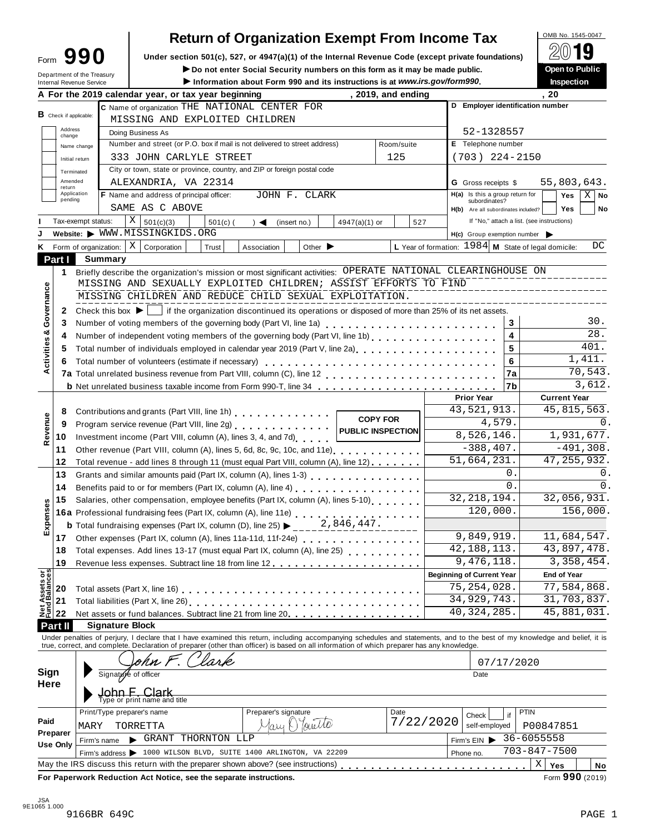# **Return of Organization Exempt From Income Tax**

Form  $\mathbf{990}$  Under section 501(c), 527, or 4947(a)(1) of the Internal Revenue Code (except private foundations)  $\Box$   $\Box$   $\Box$ 

**IDED NO NOTE SOCIAL SECUTITY NUMBERS ON this form as it may be made public.**<br>
Department of the Treasury **Department of the Treasury** 

| <b>Internal Revenue Service</b> |                                                                                                       |                                                                                                                                                                                                |                                                                                                                                                                   |                                                                                                                                                            | Information about Form 990 and its instructions is at www.irs.gov/form990.                                                                                                                                                                                                                              |                                                                                                                                                                                                                                                                                                                                                                                    |                                                                                                                                             |                                                                                                                                                                                                                                                                                                                                                                                                                                                                                                                                                                                                                                  |                                                                              |                                                                                                                                                                                                                                                                                                                                                                                    |                                                                                                                                                                                                                                                                                                                                                                                                                                                                                                                   | Inspection                                                                                                                                                                                                                                                                  |                                                                                                                                                                                                                                                                                                                                                                                                                                                                                                                                                                                                                                                                             |
|---------------------------------|-------------------------------------------------------------------------------------------------------|------------------------------------------------------------------------------------------------------------------------------------------------------------------------------------------------|-------------------------------------------------------------------------------------------------------------------------------------------------------------------|------------------------------------------------------------------------------------------------------------------------------------------------------------|---------------------------------------------------------------------------------------------------------------------------------------------------------------------------------------------------------------------------------------------------------------------------------------------------------|------------------------------------------------------------------------------------------------------------------------------------------------------------------------------------------------------------------------------------------------------------------------------------------------------------------------------------------------------------------------------------|---------------------------------------------------------------------------------------------------------------------------------------------|----------------------------------------------------------------------------------------------------------------------------------------------------------------------------------------------------------------------------------------------------------------------------------------------------------------------------------------------------------------------------------------------------------------------------------------------------------------------------------------------------------------------------------------------------------------------------------------------------------------------------------|------------------------------------------------------------------------------|------------------------------------------------------------------------------------------------------------------------------------------------------------------------------------------------------------------------------------------------------------------------------------------------------------------------------------------------------------------------------------|-------------------------------------------------------------------------------------------------------------------------------------------------------------------------------------------------------------------------------------------------------------------------------------------------------------------------------------------------------------------------------------------------------------------------------------------------------------------------------------------------------------------|-----------------------------------------------------------------------------------------------------------------------------------------------------------------------------------------------------------------------------------------------------------------------------|-----------------------------------------------------------------------------------------------------------------------------------------------------------------------------------------------------------------------------------------------------------------------------------------------------------------------------------------------------------------------------------------------------------------------------------------------------------------------------------------------------------------------------------------------------------------------------------------------------------------------------------------------------------------------------|
|                                 |                                                                                                       |                                                                                                                                                                                                |                                                                                                                                                                   |                                                                                                                                                            |                                                                                                                                                                                                                                                                                                         |                                                                                                                                                                                                                                                                                                                                                                                    |                                                                                                                                             |                                                                                                                                                                                                                                                                                                                                                                                                                                                                                                                                                                                                                                  |                                                                              |                                                                                                                                                                                                                                                                                                                                                                                    | . 20                                                                                                                                                                                                                                                                                                                                                                                                                                                                                                              |                                                                                                                                                                                                                                                                             |                                                                                                                                                                                                                                                                                                                                                                                                                                                                                                                                                                                                                                                                             |
|                                 |                                                                                                       |                                                                                                                                                                                                |                                                                                                                                                                   |                                                                                                                                                            |                                                                                                                                                                                                                                                                                                         |                                                                                                                                                                                                                                                                                                                                                                                    |                                                                                                                                             |                                                                                                                                                                                                                                                                                                                                                                                                                                                                                                                                                                                                                                  |                                                                              |                                                                                                                                                                                                                                                                                                                                                                                    |                                                                                                                                                                                                                                                                                                                                                                                                                                                                                                                   |                                                                                                                                                                                                                                                                             |                                                                                                                                                                                                                                                                                                                                                                                                                                                                                                                                                                                                                                                                             |
| <b>B</b> Check if applicable:   |                                                                                                       |                                                                                                                                                                                                |                                                                                                                                                                   |                                                                                                                                                            |                                                                                                                                                                                                                                                                                                         |                                                                                                                                                                                                                                                                                                                                                                                    |                                                                                                                                             |                                                                                                                                                                                                                                                                                                                                                                                                                                                                                                                                                                                                                                  |                                                                              |                                                                                                                                                                                                                                                                                                                                                                                    |                                                                                                                                                                                                                                                                                                                                                                                                                                                                                                                   |                                                                                                                                                                                                                                                                             |                                                                                                                                                                                                                                                                                                                                                                                                                                                                                                                                                                                                                                                                             |
| Address                         |                                                                                                       |                                                                                                                                                                                                |                                                                                                                                                                   |                                                                                                                                                            |                                                                                                                                                                                                                                                                                                         |                                                                                                                                                                                                                                                                                                                                                                                    |                                                                                                                                             |                                                                                                                                                                                                                                                                                                                                                                                                                                                                                                                                                                                                                                  |                                                                              |                                                                                                                                                                                                                                                                                                                                                                                    |                                                                                                                                                                                                                                                                                                                                                                                                                                                                                                                   |                                                                                                                                                                                                                                                                             |                                                                                                                                                                                                                                                                                                                                                                                                                                                                                                                                                                                                                                                                             |
|                                 |                                                                                                       |                                                                                                                                                                                                |                                                                                                                                                                   |                                                                                                                                                            |                                                                                                                                                                                                                                                                                                         |                                                                                                                                                                                                                                                                                                                                                                                    |                                                                                                                                             |                                                                                                                                                                                                                                                                                                                                                                                                                                                                                                                                                                                                                                  |                                                                              |                                                                                                                                                                                                                                                                                                                                                                                    |                                                                                                                                                                                                                                                                                                                                                                                                                                                                                                                   |                                                                                                                                                                                                                                                                             |                                                                                                                                                                                                                                                                                                                                                                                                                                                                                                                                                                                                                                                                             |
|                                 |                                                                                                       |                                                                                                                                                                                                |                                                                                                                                                                   |                                                                                                                                                            |                                                                                                                                                                                                                                                                                                         |                                                                                                                                                                                                                                                                                                                                                                                    |                                                                                                                                             |                                                                                                                                                                                                                                                                                                                                                                                                                                                                                                                                                                                                                                  |                                                                              |                                                                                                                                                                                                                                                                                                                                                                                    |                                                                                                                                                                                                                                                                                                                                                                                                                                                                                                                   |                                                                                                                                                                                                                                                                             |                                                                                                                                                                                                                                                                                                                                                                                                                                                                                                                                                                                                                                                                             |
|                                 |                                                                                                       |                                                                                                                                                                                                |                                                                                                                                                                   |                                                                                                                                                            |                                                                                                                                                                                                                                                                                                         |                                                                                                                                                                                                                                                                                                                                                                                    |                                                                                                                                             |                                                                                                                                                                                                                                                                                                                                                                                                                                                                                                                                                                                                                                  |                                                                              |                                                                                                                                                                                                                                                                                                                                                                                    |                                                                                                                                                                                                                                                                                                                                                                                                                                                                                                                   |                                                                                                                                                                                                                                                                             |                                                                                                                                                                                                                                                                                                                                                                                                                                                                                                                                                                                                                                                                             |
|                                 |                                                                                                       |                                                                                                                                                                                                |                                                                                                                                                                   |                                                                                                                                                            |                                                                                                                                                                                                                                                                                                         |                                                                                                                                                                                                                                                                                                                                                                                    |                                                                                                                                             |                                                                                                                                                                                                                                                                                                                                                                                                                                                                                                                                                                                                                                  |                                                                              |                                                                                                                                                                                                                                                                                                                                                                                    |                                                                                                                                                                                                                                                                                                                                                                                                                                                                                                                   |                                                                                                                                                                                                                                                                             |                                                                                                                                                                                                                                                                                                                                                                                                                                                                                                                                                                                                                                                                             |
| return                          |                                                                                                       |                                                                                                                                                                                                |                                                                                                                                                                   |                                                                                                                                                            |                                                                                                                                                                                                                                                                                                         |                                                                                                                                                                                                                                                                                                                                                                                    |                                                                                                                                             |                                                                                                                                                                                                                                                                                                                                                                                                                                                                                                                                                                                                                                  |                                                                              |                                                                                                                                                                                                                                                                                                                                                                                    |                                                                                                                                                                                                                                                                                                                                                                                                                                                                                                                   |                                                                                                                                                                                                                                                                             |                                                                                                                                                                                                                                                                                                                                                                                                                                                                                                                                                                                                                                                                             |
| pending                         |                                                                                                       |                                                                                                                                                                                                |                                                                                                                                                                   |                                                                                                                                                            |                                                                                                                                                                                                                                                                                                         |                                                                                                                                                                                                                                                                                                                                                                                    |                                                                                                                                             |                                                                                                                                                                                                                                                                                                                                                                                                                                                                                                                                                                                                                                  |                                                                              |                                                                                                                                                                                                                                                                                                                                                                                    |                                                                                                                                                                                                                                                                                                                                                                                                                                                                                                                   |                                                                                                                                                                                                                                                                             | $X \mid$ No                                                                                                                                                                                                                                                                                                                                                                                                                                                                                                                                                                                                                                                                 |
|                                 |                                                                                                       |                                                                                                                                                                                                |                                                                                                                                                                   |                                                                                                                                                            |                                                                                                                                                                                                                                                                                                         |                                                                                                                                                                                                                                                                                                                                                                                    |                                                                                                                                             |                                                                                                                                                                                                                                                                                                                                                                                                                                                                                                                                                                                                                                  |                                                                              |                                                                                                                                                                                                                                                                                                                                                                                    |                                                                                                                                                                                                                                                                                                                                                                                                                                                                                                                   |                                                                                                                                                                                                                                                                             | No                                                                                                                                                                                                                                                                                                                                                                                                                                                                                                                                                                                                                                                                          |
|                                 |                                                                                                       |                                                                                                                                                                                                | $\rightarrow$ $\blacktriangleleft$                                                                                                                                |                                                                                                                                                            |                                                                                                                                                                                                                                                                                                         |                                                                                                                                                                                                                                                                                                                                                                                    |                                                                                                                                             |                                                                                                                                                                                                                                                                                                                                                                                                                                                                                                                                                                                                                                  |                                                                              |                                                                                                                                                                                                                                                                                                                                                                                    |                                                                                                                                                                                                                                                                                                                                                                                                                                                                                                                   |                                                                                                                                                                                                                                                                             |                                                                                                                                                                                                                                                                                                                                                                                                                                                                                                                                                                                                                                                                             |
|                                 |                                                                                                       |                                                                                                                                                                                                |                                                                                                                                                                   |                                                                                                                                                            |                                                                                                                                                                                                                                                                                                         |                                                                                                                                                                                                                                                                                                                                                                                    |                                                                                                                                             |                                                                                                                                                                                                                                                                                                                                                                                                                                                                                                                                                                                                                                  |                                                                              |                                                                                                                                                                                                                                                                                                                                                                                    |                                                                                                                                                                                                                                                                                                                                                                                                                                                                                                                   |                                                                                                                                                                                                                                                                             |                                                                                                                                                                                                                                                                                                                                                                                                                                                                                                                                                                                                                                                                             |
|                                 |                                                                                                       | Trust                                                                                                                                                                                          | Association                                                                                                                                                       |                                                                                                                                                            |                                                                                                                                                                                                                                                                                                         |                                                                                                                                                                                                                                                                                                                                                                                    |                                                                                                                                             |                                                                                                                                                                                                                                                                                                                                                                                                                                                                                                                                                                                                                                  |                                                                              |                                                                                                                                                                                                                                                                                                                                                                                    |                                                                                                                                                                                                                                                                                                                                                                                                                                                                                                                   |                                                                                                                                                                                                                                                                             | DC                                                                                                                                                                                                                                                                                                                                                                                                                                                                                                                                                                                                                                                                          |
|                                 |                                                                                                       |                                                                                                                                                                                                |                                                                                                                                                                   |                                                                                                                                                            |                                                                                                                                                                                                                                                                                                         |                                                                                                                                                                                                                                                                                                                                                                                    |                                                                                                                                             |                                                                                                                                                                                                                                                                                                                                                                                                                                                                                                                                                                                                                                  |                                                                              |                                                                                                                                                                                                                                                                                                                                                                                    |                                                                                                                                                                                                                                                                                                                                                                                                                                                                                                                   |                                                                                                                                                                                                                                                                             |                                                                                                                                                                                                                                                                                                                                                                                                                                                                                                                                                                                                                                                                             |
|                                 |                                                                                                       |                                                                                                                                                                                                |                                                                                                                                                                   |                                                                                                                                                            |                                                                                                                                                                                                                                                                                                         |                                                                                                                                                                                                                                                                                                                                                                                    |                                                                                                                                             |                                                                                                                                                                                                                                                                                                                                                                                                                                                                                                                                                                                                                                  |                                                                              |                                                                                                                                                                                                                                                                                                                                                                                    |                                                                                                                                                                                                                                                                                                                                                                                                                                                                                                                   |                                                                                                                                                                                                                                                                             |                                                                                                                                                                                                                                                                                                                                                                                                                                                                                                                                                                                                                                                                             |
|                                 |                                                                                                       |                                                                                                                                                                                                |                                                                                                                                                                   |                                                                                                                                                            |                                                                                                                                                                                                                                                                                                         |                                                                                                                                                                                                                                                                                                                                                                                    |                                                                                                                                             |                                                                                                                                                                                                                                                                                                                                                                                                                                                                                                                                                                                                                                  |                                                                              |                                                                                                                                                                                                                                                                                                                                                                                    |                                                                                                                                                                                                                                                                                                                                                                                                                                                                                                                   |                                                                                                                                                                                                                                                                             |                                                                                                                                                                                                                                                                                                                                                                                                                                                                                                                                                                                                                                                                             |
|                                 |                                                                                                       |                                                                                                                                                                                                |                                                                                                                                                                   |                                                                                                                                                            |                                                                                                                                                                                                                                                                                                         |                                                                                                                                                                                                                                                                                                                                                                                    |                                                                                                                                             |                                                                                                                                                                                                                                                                                                                                                                                                                                                                                                                                                                                                                                  |                                                                              |                                                                                                                                                                                                                                                                                                                                                                                    |                                                                                                                                                                                                                                                                                                                                                                                                                                                                                                                   |                                                                                                                                                                                                                                                                             |                                                                                                                                                                                                                                                                                                                                                                                                                                                                                                                                                                                                                                                                             |
|                                 |                                                                                                       |                                                                                                                                                                                                |                                                                                                                                                                   |                                                                                                                                                            |                                                                                                                                                                                                                                                                                                         |                                                                                                                                                                                                                                                                                                                                                                                    |                                                                                                                                             |                                                                                                                                                                                                                                                                                                                                                                                                                                                                                                                                                                                                                                  |                                                                              |                                                                                                                                                                                                                                                                                                                                                                                    |                                                                                                                                                                                                                                                                                                                                                                                                                                                                                                                   |                                                                                                                                                                                                                                                                             |                                                                                                                                                                                                                                                                                                                                                                                                                                                                                                                                                                                                                                                                             |
|                                 |                                                                                                       |                                                                                                                                                                                                |                                                                                                                                                                   |                                                                                                                                                            |                                                                                                                                                                                                                                                                                                         |                                                                                                                                                                                                                                                                                                                                                                                    |                                                                                                                                             |                                                                                                                                                                                                                                                                                                                                                                                                                                                                                                                                                                                                                                  |                                                                              | 3                                                                                                                                                                                                                                                                                                                                                                                  |                                                                                                                                                                                                                                                                                                                                                                                                                                                                                                                   |                                                                                                                                                                                                                                                                             | 30.                                                                                                                                                                                                                                                                                                                                                                                                                                                                                                                                                                                                                                                                         |
|                                 |                                                                                                       |                                                                                                                                                                                                |                                                                                                                                                                   |                                                                                                                                                            |                                                                                                                                                                                                                                                                                                         |                                                                                                                                                                                                                                                                                                                                                                                    |                                                                                                                                             |                                                                                                                                                                                                                                                                                                                                                                                                                                                                                                                                                                                                                                  |                                                                              | 4                                                                                                                                                                                                                                                                                                                                                                                  |                                                                                                                                                                                                                                                                                                                                                                                                                                                                                                                   |                                                                                                                                                                                                                                                                             | 28.                                                                                                                                                                                                                                                                                                                                                                                                                                                                                                                                                                                                                                                                         |
|                                 |                                                                                                       |                                                                                                                                                                                                |                                                                                                                                                                   |                                                                                                                                                            |                                                                                                                                                                                                                                                                                                         |                                                                                                                                                                                                                                                                                                                                                                                    |                                                                                                                                             |                                                                                                                                                                                                                                                                                                                                                                                                                                                                                                                                                                                                                                  |                                                                              |                                                                                                                                                                                                                                                                                                                                                                                    |                                                                                                                                                                                                                                                                                                                                                                                                                                                                                                                   |                                                                                                                                                                                                                                                                             | 401.                                                                                                                                                                                                                                                                                                                                                                                                                                                                                                                                                                                                                                                                        |
|                                 |                                                                                                       |                                                                                                                                                                                                |                                                                                                                                                                   |                                                                                                                                                            |                                                                                                                                                                                                                                                                                                         |                                                                                                                                                                                                                                                                                                                                                                                    |                                                                                                                                             |                                                                                                                                                                                                                                                                                                                                                                                                                                                                                                                                                                                                                                  |                                                                              |                                                                                                                                                                                                                                                                                                                                                                                    |                                                                                                                                                                                                                                                                                                                                                                                                                                                                                                                   |                                                                                                                                                                                                                                                                             | 1,411.                                                                                                                                                                                                                                                                                                                                                                                                                                                                                                                                                                                                                                                                      |
|                                 |                                                                                                       |                                                                                                                                                                                                |                                                                                                                                                                   |                                                                                                                                                            |                                                                                                                                                                                                                                                                                                         |                                                                                                                                                                                                                                                                                                                                                                                    |                                                                                                                                             |                                                                                                                                                                                                                                                                                                                                                                                                                                                                                                                                                                                                                                  |                                                                              |                                                                                                                                                                                                                                                                                                                                                                                    |                                                                                                                                                                                                                                                                                                                                                                                                                                                                                                                   |                                                                                                                                                                                                                                                                             | 70,543.                                                                                                                                                                                                                                                                                                                                                                                                                                                                                                                                                                                                                                                                     |
|                                 |                                                                                                       |                                                                                                                                                                                                |                                                                                                                                                                   |                                                                                                                                                            |                                                                                                                                                                                                                                                                                                         |                                                                                                                                                                                                                                                                                                                                                                                    |                                                                                                                                             |                                                                                                                                                                                                                                                                                                                                                                                                                                                                                                                                                                                                                                  |                                                                              |                                                                                                                                                                                                                                                                                                                                                                                    |                                                                                                                                                                                                                                                                                                                                                                                                                                                                                                                   |                                                                                                                                                                                                                                                                             | 3,612.                                                                                                                                                                                                                                                                                                                                                                                                                                                                                                                                                                                                                                                                      |
|                                 |                                                                                                       |                                                                                                                                                                                                |                                                                                                                                                                   |                                                                                                                                                            |                                                                                                                                                                                                                                                                                                         |                                                                                                                                                                                                                                                                                                                                                                                    |                                                                                                                                             |                                                                                                                                                                                                                                                                                                                                                                                                                                                                                                                                                                                                                                  |                                                                              |                                                                                                                                                                                                                                                                                                                                                                                    |                                                                                                                                                                                                                                                                                                                                                                                                                                                                                                                   |                                                                                                                                                                                                                                                                             |                                                                                                                                                                                                                                                                                                                                                                                                                                                                                                                                                                                                                                                                             |
|                                 |                                                                                                       |                                                                                                                                                                                                |                                                                                                                                                                   |                                                                                                                                                            |                                                                                                                                                                                                                                                                                                         |                                                                                                                                                                                                                                                                                                                                                                                    |                                                                                                                                             |                                                                                                                                                                                                                                                                                                                                                                                                                                                                                                                                                                                                                                  |                                                                              |                                                                                                                                                                                                                                                                                                                                                                                    |                                                                                                                                                                                                                                                                                                                                                                                                                                                                                                                   |                                                                                                                                                                                                                                                                             |                                                                                                                                                                                                                                                                                                                                                                                                                                                                                                                                                                                                                                                                             |
|                                 |                                                                                                       |                                                                                                                                                                                                |                                                                                                                                                                   |                                                                                                                                                            |                                                                                                                                                                                                                                                                                                         |                                                                                                                                                                                                                                                                                                                                                                                    |                                                                                                                                             |                                                                                                                                                                                                                                                                                                                                                                                                                                                                                                                                                                                                                                  |                                                                              |                                                                                                                                                                                                                                                                                                                                                                                    |                                                                                                                                                                                                                                                                                                                                                                                                                                                                                                                   |                                                                                                                                                                                                                                                                             | 0.                                                                                                                                                                                                                                                                                                                                                                                                                                                                                                                                                                                                                                                                          |
|                                 |                                                                                                       |                                                                                                                                                                                                |                                                                                                                                                                   |                                                                                                                                                            |                                                                                                                                                                                                                                                                                                         |                                                                                                                                                                                                                                                                                                                                                                                    |                                                                                                                                             |                                                                                                                                                                                                                                                                                                                                                                                                                                                                                                                                                                                                                                  |                                                                              |                                                                                                                                                                                                                                                                                                                                                                                    |                                                                                                                                                                                                                                                                                                                                                                                                                                                                                                                   |                                                                                                                                                                                                                                                                             |                                                                                                                                                                                                                                                                                                                                                                                                                                                                                                                                                                                                                                                                             |
|                                 |                                                                                                       |                                                                                                                                                                                                |                                                                                                                                                                   |                                                                                                                                                            |                                                                                                                                                                                                                                                                                                         |                                                                                                                                                                                                                                                                                                                                                                                    |                                                                                                                                             |                                                                                                                                                                                                                                                                                                                                                                                                                                                                                                                                                                                                                                  |                                                                              |                                                                                                                                                                                                                                                                                                                                                                                    |                                                                                                                                                                                                                                                                                                                                                                                                                                                                                                                   |                                                                                                                                                                                                                                                                             |                                                                                                                                                                                                                                                                                                                                                                                                                                                                                                                                                                                                                                                                             |
|                                 |                                                                                                       |                                                                                                                                                                                                |                                                                                                                                                                   |                                                                                                                                                            |                                                                                                                                                                                                                                                                                                         |                                                                                                                                                                                                                                                                                                                                                                                    |                                                                                                                                             |                                                                                                                                                                                                                                                                                                                                                                                                                                                                                                                                                                                                                                  |                                                                              |                                                                                                                                                                                                                                                                                                                                                                                    |                                                                                                                                                                                                                                                                                                                                                                                                                                                                                                                   |                                                                                                                                                                                                                                                                             |                                                                                                                                                                                                                                                                                                                                                                                                                                                                                                                                                                                                                                                                             |
|                                 |                                                                                                       |                                                                                                                                                                                                |                                                                                                                                                                   |                                                                                                                                                            |                                                                                                                                                                                                                                                                                                         |                                                                                                                                                                                                                                                                                                                                                                                    |                                                                                                                                             |                                                                                                                                                                                                                                                                                                                                                                                                                                                                                                                                                                                                                                  |                                                                              |                                                                                                                                                                                                                                                                                                                                                                                    |                                                                                                                                                                                                                                                                                                                                                                                                                                                                                                                   |                                                                                                                                                                                                                                                                             |                                                                                                                                                                                                                                                                                                                                                                                                                                                                                                                                                                                                                                                                             |
|                                 |                                                                                                       |                                                                                                                                                                                                |                                                                                                                                                                   |                                                                                                                                                            |                                                                                                                                                                                                                                                                                                         |                                                                                                                                                                                                                                                                                                                                                                                    |                                                                                                                                             |                                                                                                                                                                                                                                                                                                                                                                                                                                                                                                                                                                                                                                  |                                                                              |                                                                                                                                                                                                                                                                                                                                                                                    |                                                                                                                                                                                                                                                                                                                                                                                                                                                                                                                   |                                                                                                                                                                                                                                                                             | 0.                                                                                                                                                                                                                                                                                                                                                                                                                                                                                                                                                                                                                                                                          |
|                                 |                                                                                                       |                                                                                                                                                                                                |                                                                                                                                                                   |                                                                                                                                                            |                                                                                                                                                                                                                                                                                                         |                                                                                                                                                                                                                                                                                                                                                                                    |                                                                                                                                             |                                                                                                                                                                                                                                                                                                                                                                                                                                                                                                                                                                                                                                  |                                                                              |                                                                                                                                                                                                                                                                                                                                                                                    |                                                                                                                                                                                                                                                                                                                                                                                                                                                                                                                   |                                                                                                                                                                                                                                                                             | $\mathbf{0}$ .                                                                                                                                                                                                                                                                                                                                                                                                                                                                                                                                                                                                                                                              |
|                                 |                                                                                                       |                                                                                                                                                                                                |                                                                                                                                                                   |                                                                                                                                                            |                                                                                                                                                                                                                                                                                                         |                                                                                                                                                                                                                                                                                                                                                                                    |                                                                                                                                             |                                                                                                                                                                                                                                                                                                                                                                                                                                                                                                                                                                                                                                  |                                                                              |                                                                                                                                                                                                                                                                                                                                                                                    |                                                                                                                                                                                                                                                                                                                                                                                                                                                                                                                   |                                                                                                                                                                                                                                                                             |                                                                                                                                                                                                                                                                                                                                                                                                                                                                                                                                                                                                                                                                             |
|                                 |                                                                                                       |                                                                                                                                                                                                |                                                                                                                                                                   |                                                                                                                                                            |                                                                                                                                                                                                                                                                                                         |                                                                                                                                                                                                                                                                                                                                                                                    |                                                                                                                                             |                                                                                                                                                                                                                                                                                                                                                                                                                                                                                                                                                                                                                                  |                                                                              |                                                                                                                                                                                                                                                                                                                                                                                    |                                                                                                                                                                                                                                                                                                                                                                                                                                                                                                                   |                                                                                                                                                                                                                                                                             |                                                                                                                                                                                                                                                                                                                                                                                                                                                                                                                                                                                                                                                                             |
|                                 |                                                                                                       |                                                                                                                                                                                                |                                                                                                                                                                   |                                                                                                                                                            |                                                                                                                                                                                                                                                                                                         |                                                                                                                                                                                                                                                                                                                                                                                    |                                                                                                                                             |                                                                                                                                                                                                                                                                                                                                                                                                                                                                                                                                                                                                                                  |                                                                              |                                                                                                                                                                                                                                                                                                                                                                                    |                                                                                                                                                                                                                                                                                                                                                                                                                                                                                                                   |                                                                                                                                                                                                                                                                             |                                                                                                                                                                                                                                                                                                                                                                                                                                                                                                                                                                                                                                                                             |
|                                 |                                                                                                       |                                                                                                                                                                                                |                                                                                                                                                                   |                                                                                                                                                            |                                                                                                                                                                                                                                                                                                         |                                                                                                                                                                                                                                                                                                                                                                                    |                                                                                                                                             |                                                                                                                                                                                                                                                                                                                                                                                                                                                                                                                                                                                                                                  |                                                                              |                                                                                                                                                                                                                                                                                                                                                                                    |                                                                                                                                                                                                                                                                                                                                                                                                                                                                                                                   |                                                                                                                                                                                                                                                                             |                                                                                                                                                                                                                                                                                                                                                                                                                                                                                                                                                                                                                                                                             |
|                                 |                                                                                                       |                                                                                                                                                                                                |                                                                                                                                                                   |                                                                                                                                                            |                                                                                                                                                                                                                                                                                                         |                                                                                                                                                                                                                                                                                                                                                                                    |                                                                                                                                             |                                                                                                                                                                                                                                                                                                                                                                                                                                                                                                                                                                                                                                  |                                                                              |                                                                                                                                                                                                                                                                                                                                                                                    |                                                                                                                                                                                                                                                                                                                                                                                                                                                                                                                   |                                                                                                                                                                                                                                                                             |                                                                                                                                                                                                                                                                                                                                                                                                                                                                                                                                                                                                                                                                             |
|                                 |                                                                                                       |                                                                                                                                                                                                |                                                                                                                                                                   |                                                                                                                                                            |                                                                                                                                                                                                                                                                                                         |                                                                                                                                                                                                                                                                                                                                                                                    |                                                                                                                                             |                                                                                                                                                                                                                                                                                                                                                                                                                                                                                                                                                                                                                                  |                                                                              |                                                                                                                                                                                                                                                                                                                                                                                    |                                                                                                                                                                                                                                                                                                                                                                                                                                                                                                                   |                                                                                                                                                                                                                                                                             |                                                                                                                                                                                                                                                                                                                                                                                                                                                                                                                                                                                                                                                                             |
|                                 |                                                                                                       |                                                                                                                                                                                                |                                                                                                                                                                   |                                                                                                                                                            |                                                                                                                                                                                                                                                                                                         |                                                                                                                                                                                                                                                                                                                                                                                    |                                                                                                                                             |                                                                                                                                                                                                                                                                                                                                                                                                                                                                                                                                                                                                                                  |                                                                              |                                                                                                                                                                                                                                                                                                                                                                                    |                                                                                                                                                                                                                                                                                                                                                                                                                                                                                                                   |                                                                                                                                                                                                                                                                             |                                                                                                                                                                                                                                                                                                                                                                                                                                                                                                                                                                                                                                                                             |
|                                 |                                                                                                       |                                                                                                                                                                                                |                                                                                                                                                                   |                                                                                                                                                            |                                                                                                                                                                                                                                                                                                         |                                                                                                                                                                                                                                                                                                                                                                                    |                                                                                                                                             |                                                                                                                                                                                                                                                                                                                                                                                                                                                                                                                                                                                                                                  |                                                                              |                                                                                                                                                                                                                                                                                                                                                                                    |                                                                                                                                                                                                                                                                                                                                                                                                                                                                                                                   |                                                                                                                                                                                                                                                                             |                                                                                                                                                                                                                                                                                                                                                                                                                                                                                                                                                                                                                                                                             |
|                                 |                                                                                                       |                                                                                                                                                                                                |                                                                                                                                                                   |                                                                                                                                                            |                                                                                                                                                                                                                                                                                                         |                                                                                                                                                                                                                                                                                                                                                                                    |                                                                                                                                             |                                                                                                                                                                                                                                                                                                                                                                                                                                                                                                                                                                                                                                  |                                                                              |                                                                                                                                                                                                                                                                                                                                                                                    |                                                                                                                                                                                                                                                                                                                                                                                                                                                                                                                   |                                                                                                                                                                                                                                                                             |                                                                                                                                                                                                                                                                                                                                                                                                                                                                                                                                                                                                                                                                             |
|                                 |                                                                                                       |                                                                                                                                                                                                |                                                                                                                                                                   |                                                                                                                                                            |                                                                                                                                                                                                                                                                                                         |                                                                                                                                                                                                                                                                                                                                                                                    |                                                                                                                                             |                                                                                                                                                                                                                                                                                                                                                                                                                                                                                                                                                                                                                                  |                                                                              |                                                                                                                                                                                                                                                                                                                                                                                    |                                                                                                                                                                                                                                                                                                                                                                                                                                                                                                                   |                                                                                                                                                                                                                                                                             |                                                                                                                                                                                                                                                                                                                                                                                                                                                                                                                                                                                                                                                                             |
|                                 |                                                                                                       |                                                                                                                                                                                                |                                                                                                                                                                   |                                                                                                                                                            |                                                                                                                                                                                                                                                                                                         |                                                                                                                                                                                                                                                                                                                                                                                    |                                                                                                                                             |                                                                                                                                                                                                                                                                                                                                                                                                                                                                                                                                                                                                                                  |                                                                              |                                                                                                                                                                                                                                                                                                                                                                                    |                                                                                                                                                                                                                                                                                                                                                                                                                                                                                                                   |                                                                                                                                                                                                                                                                             |                                                                                                                                                                                                                                                                                                                                                                                                                                                                                                                                                                                                                                                                             |
|                                 |                                                                                                       |                                                                                                                                                                                                |                                                                                                                                                                   |                                                                                                                                                            |                                                                                                                                                                                                                                                                                                         |                                                                                                                                                                                                                                                                                                                                                                                    |                                                                                                                                             |                                                                                                                                                                                                                                                                                                                                                                                                                                                                                                                                                                                                                                  |                                                                              |                                                                                                                                                                                                                                                                                                                                                                                    |                                                                                                                                                                                                                                                                                                                                                                                                                                                                                                                   |                                                                                                                                                                                                                                                                             |                                                                                                                                                                                                                                                                                                                                                                                                                                                                                                                                                                                                                                                                             |
|                                 |                                                                                                       |                                                                                                                                                                                                |                                                                                                                                                                   |                                                                                                                                                            |                                                                                                                                                                                                                                                                                                         |                                                                                                                                                                                                                                                                                                                                                                                    |                                                                                                                                             |                                                                                                                                                                                                                                                                                                                                                                                                                                                                                                                                                                                                                                  |                                                                              |                                                                                                                                                                                                                                                                                                                                                                                    |                                                                                                                                                                                                                                                                                                                                                                                                                                                                                                                   |                                                                                                                                                                                                                                                                             |                                                                                                                                                                                                                                                                                                                                                                                                                                                                                                                                                                                                                                                                             |
|                                 |                                                                                                       |                                                                                                                                                                                                |                                                                                                                                                                   |                                                                                                                                                            |                                                                                                                                                                                                                                                                                                         |                                                                                                                                                                                                                                                                                                                                                                                    |                                                                                                                                             |                                                                                                                                                                                                                                                                                                                                                                                                                                                                                                                                                                                                                                  |                                                                              |                                                                                                                                                                                                                                                                                                                                                                                    |                                                                                                                                                                                                                                                                                                                                                                                                                                                                                                                   |                                                                                                                                                                                                                                                                             |                                                                                                                                                                                                                                                                                                                                                                                                                                                                                                                                                                                                                                                                             |
|                                 |                                                                                                       |                                                                                                                                                                                                |                                                                                                                                                                   |                                                                                                                                                            |                                                                                                                                                                                                                                                                                                         |                                                                                                                                                                                                                                                                                                                                                                                    |                                                                                                                                             |                                                                                                                                                                                                                                                                                                                                                                                                                                                                                                                                                                                                                                  |                                                                              |                                                                                                                                                                                                                                                                                                                                                                                    |                                                                                                                                                                                                                                                                                                                                                                                                                                                                                                                   |                                                                                                                                                                                                                                                                             |                                                                                                                                                                                                                                                                                                                                                                                                                                                                                                                                                                                                                                                                             |
|                                 |                                                                                                       |                                                                                                                                                                                                |                                                                                                                                                                   |                                                                                                                                                            |                                                                                                                                                                                                                                                                                                         |                                                                                                                                                                                                                                                                                                                                                                                    |                                                                                                                                             |                                                                                                                                                                                                                                                                                                                                                                                                                                                                                                                                                                                                                                  |                                                                              |                                                                                                                                                                                                                                                                                                                                                                                    |                                                                                                                                                                                                                                                                                                                                                                                                                                                                                                                   |                                                                                                                                                                                                                                                                             |                                                                                                                                                                                                                                                                                                                                                                                                                                                                                                                                                                                                                                                                             |
|                                 |                                                                                                       |                                                                                                                                                                                                |                                                                                                                                                                   |                                                                                                                                                            |                                                                                                                                                                                                                                                                                                         |                                                                                                                                                                                                                                                                                                                                                                                    |                                                                                                                                             |                                                                                                                                                                                                                                                                                                                                                                                                                                                                                                                                                                                                                                  |                                                                              |                                                                                                                                                                                                                                                                                                                                                                                    |                                                                                                                                                                                                                                                                                                                                                                                                                                                                                                                   |                                                                                                                                                                                                                                                                             |                                                                                                                                                                                                                                                                                                                                                                                                                                                                                                                                                                                                                                                                             |
|                                 |                                                                                                       |                                                                                                                                                                                                |                                                                                                                                                                   |                                                                                                                                                            |                                                                                                                                                                                                                                                                                                         |                                                                                                                                                                                                                                                                                                                                                                                    |                                                                                                                                             |                                                                                                                                                                                                                                                                                                                                                                                                                                                                                                                                                                                                                                  |                                                                              |                                                                                                                                                                                                                                                                                                                                                                                    |                                                                                                                                                                                                                                                                                                                                                                                                                                                                                                                   |                                                                                                                                                                                                                                                                             |                                                                                                                                                                                                                                                                                                                                                                                                                                                                                                                                                                                                                                                                             |
|                                 |                                                                                                       |                                                                                                                                                                                                |                                                                                                                                                                   |                                                                                                                                                            |                                                                                                                                                                                                                                                                                                         |                                                                                                                                                                                                                                                                                                                                                                                    |                                                                                                                                             |                                                                                                                                                                                                                                                                                                                                                                                                                                                                                                                                                                                                                                  |                                                                              | if                                                                                                                                                                                                                                                                                                                                                                                 |                                                                                                                                                                                                                                                                                                                                                                                                                                                                                                                   |                                                                                                                                                                                                                                                                             |                                                                                                                                                                                                                                                                                                                                                                                                                                                                                                                                                                                                                                                                             |
| MARY                            |                                                                                                       |                                                                                                                                                                                                |                                                                                                                                                                   |                                                                                                                                                            |                                                                                                                                                                                                                                                                                                         |                                                                                                                                                                                                                                                                                                                                                                                    |                                                                                                                                             |                                                                                                                                                                                                                                                                                                                                                                                                                                                                                                                                                                                                                                  |                                                                              |                                                                                                                                                                                                                                                                                                                                                                                    |                                                                                                                                                                                                                                                                                                                                                                                                                                                                                                                   |                                                                                                                                                                                                                                                                             |                                                                                                                                                                                                                                                                                                                                                                                                                                                                                                                                                                                                                                                                             |
|                                 |                                                                                                       |                                                                                                                                                                                                |                                                                                                                                                                   |                                                                                                                                                            |                                                                                                                                                                                                                                                                                                         |                                                                                                                                                                                                                                                                                                                                                                                    |                                                                                                                                             |                                                                                                                                                                                                                                                                                                                                                                                                                                                                                                                                                                                                                                  |                                                                              |                                                                                                                                                                                                                                                                                                                                                                                    |                                                                                                                                                                                                                                                                                                                                                                                                                                                                                                                   |                                                                                                                                                                                                                                                                             |                                                                                                                                                                                                                                                                                                                                                                                                                                                                                                                                                                                                                                                                             |
|                                 |                                                                                                       |                                                                                                                                                                                                |                                                                                                                                                                   |                                                                                                                                                            |                                                                                                                                                                                                                                                                                                         |                                                                                                                                                                                                                                                                                                                                                                                    |                                                                                                                                             |                                                                                                                                                                                                                                                                                                                                                                                                                                                                                                                                                                                                                                  |                                                                              |                                                                                                                                                                                                                                                                                                                                                                                    |                                                                                                                                                                                                                                                                                                                                                                                                                                                                                                                   |                                                                                                                                                                                                                                                                             |                                                                                                                                                                                                                                                                                                                                                                                                                                                                                                                                                                                                                                                                             |
|                                 | Firm's address > 1000 WILSON BLVD, SUITE 1400 ARLINGTON, VA 22209                                     |                                                                                                                                                                                                |                                                                                                                                                                   |                                                                                                                                                            |                                                                                                                                                                                                                                                                                                         |                                                                                                                                                                                                                                                                                                                                                                                    |                                                                                                                                             | Phone no.                                                                                                                                                                                                                                                                                                                                                                                                                                                                                                                                                                                                                        |                                                                              | $703 - 847 - 7500$                                                                                                                                                                                                                                                                                                                                                                 |                                                                                                                                                                                                                                                                                                                                                                                                                                                                                                                   |                                                                                                                                                                                                                                                                             |                                                                                                                                                                                                                                                                                                                                                                                                                                                                                                                                                                                                                                                                             |
|                                 | change<br>Name change<br>Initial return<br>Terminated<br>Amended<br>Application<br>Tax-exempt status: | Doing Business As<br>Χ<br>501(c)(3)<br>X   Corporation<br>Form of organization:<br>Summary<br><b>Signature Block</b><br>John F. Clark<br>Print/Type preparer's name<br>TORRETTA<br>Firm's name | ALEXANDRIA, VA 22314<br>F Name and address of principal officer:<br>SAME AS C ABOVE<br>$501(c)$ (<br>Website: WWW.MISSINGKIDS.ORG<br>Type or print name and title | A For the 2019 calendar year, or tax year beginning<br>333 JOHN CARLYLE STREET<br>Total number of volunteers (estimate if necessary)<br>GRANT THORNTON LLP | C Name of organization THE NATIONAL CENTER FOR<br>MISSING AND EXPLOITED CHILDREN<br>(insert no.)<br><b>b</b> Total fundraising expenses (Part IX, column (D), line 25) $\blacktriangleright$<br>Other expenses (Part IX, column (A), lines 11a-11d, 11f-24e)<br>Preparer's signature<br>$\gamma$ ary K) | Number and street (or P.O. box if mail is not delivered to street address)<br>City or town, state or province, country, and ZIP or foreign postal code<br>JOHN F. CLARK<br>Other $\blacktriangleright$<br>Contributions and grants (Part VIII, line 1h)<br>Program service revenue (Part VIII, line 2g)<br>Investment income (Part VIII, column (A), lines 3, 4, and 7d)<br>Tourto | $4947(a)(1)$ or<br><b>COPY FOR</b><br>2,846,447.<br>Net assets or fund balances. Subtract line 21 from line 20 [11, 11, 11, 11, 11, 11, 11] | , 2019, and ending<br>Room/suite<br>125<br>527<br>MISSING CHILDREN AND REDUCE CHILD SEXUAL EXPLOITATION.<br><b>PUBLIC INSPECTION</b><br>Other revenue (Part VIII, column (A), lines 5, 6d, 8c, 9c, 10c, and 11e) [100]<br>Total revenue - add lines 8 through 11 (must equal Part VIII, column (A), line 12)<br>Salaries, other compensation, employee benefits (Part IX, column (A), lines 5-10)<br>16a Professional fundraising fees (Part IX, column (A), line 11e)<br>16a Professional fundraising fees (Part IX, column (A), line 11e)<br>Total expenses. Add lines 13-17 (must equal Part IX, column (A), line 25)<br>Date | MISSING AND SEXUALLY EXPLOITED CHILDREN; ASSIST EFFORTS TO FIND<br>7/22/2020 | Number of voting members of the governing body (Part VI, line 1a)<br><br>Number of independent voting members of the governing body (Part VI, line 1b)<br>Total number of individuals employed in calendar year 2019 (Part V, line 2a)<br>The 2a)<br><b>b</b> Net unrelated business taxable income from Form 990-T, line 34<br><b>Prior Year</b><br>Date<br>Check<br>Firm's $EIN$ | 52-1328557<br>E Telephone number<br><b>G</b> Gross receipts \$<br>subordinates?<br>Check this box $\blacktriangleright$   if the organization discontinued its operations or disposed of more than 25% of its net assets.<br>5<br>6<br>7a<br>7b<br>43,521,913.<br>4,579.<br>8,526,146.<br>$-388, 407.$<br>51,664,231.<br>0.<br>0.<br>32, 218, 194.<br>120,000.<br>9,849,919.<br>42, 188, 113.<br>9,476,118.<br><b>Beginning of Current Year</b><br>75, 254, 028.<br>34,929,743.<br>40, 324, 285.<br>self-employed | $(703)$ 224-2150<br>$H(a)$ Is this a group return for<br>H(b) Are all subordinates included?<br>$H(c)$ Group exemption number<br>Briefly describe the organization's mission or most significant activities: OPERATE NATIONAL CLEARINGHOUSE ON<br>07/17/2020<br><b>PTIN</b> | D Employer identification number<br>55,803,643.<br>Yes<br><b>Yes</b><br>If "No," attach a list. (see instructions)<br>L Year of formation: $1984$ M State of legal domicile:<br><b>Current Year</b><br>45,815,563.<br>1,931,677.<br>$-491,308.$<br>47, 255, 932.<br>32,056,931.<br>156,000.<br>11,684,547.<br>43,897,478.<br>3,358,454.<br><b>End of Year</b><br>77,584,868.<br>31,703,837.<br>45,881,031.<br>Under penalties of perjury, I declare that I have examined this return, including accompanying schedules and statements, and to the best of my knowledge and belief, it is true, correct, and complete. Declaration of prepare<br>P00847851<br>$36 - 6055558$ |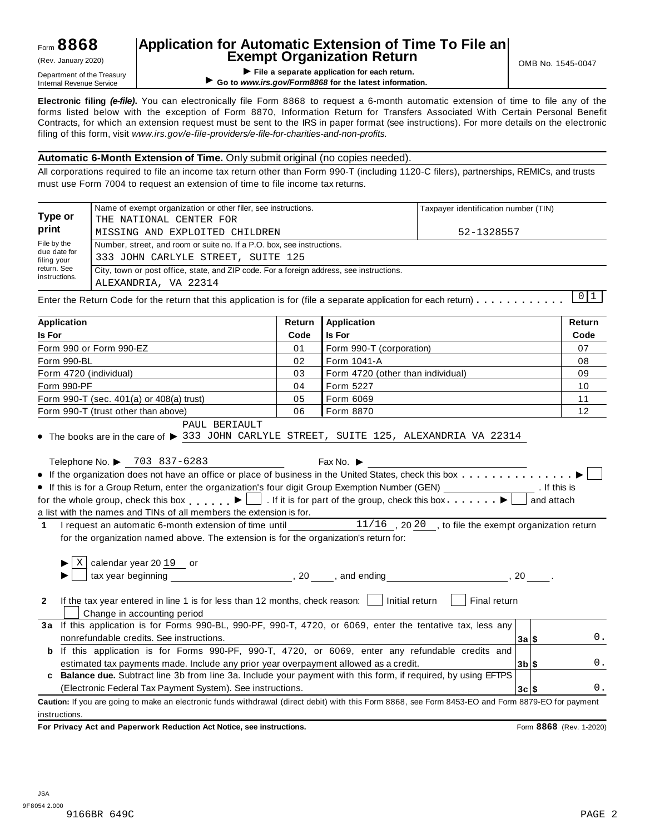# **Application for Automatic Extension of Time To File an Exempt Organization Return** (Rev. January 2020) OMB No. 1545-0047

**EXEMPL OF GET APPLICATION RETURN (Rev. January 2020)<br>Department of the Treasury<br>Internal Revenue Service <b>COMPLICATION**<br>Co to www.irs.gov/Form8868 for the latest information for each return.

▶ Go to www.irs.gov/Form8868 for the latest information.

**Electronic filing** *(e-file)***.** You can electronically file Form 8868 to request a 6-month automatic extension of time to file any of the forms listed below with the exception of Form 8870, Information Return for Transfers Associated With Certain Personal Benefit Contracts, for which an extension request must be sent to the IRS in paper format (see instructions). For more details on the electronic filing of this form, visit *www.irs.gov/e-file-providers/e-file-for-charities-and-non-profits.*

#### **Automatic 6-Month Extension of Time.** Only submit original (no copies needed).

All corporations required to file an income tax return other than Form 990-T (including 1120-C filers), partnerships, REMICs, and trusts must use Form 7004 to request an extension of time to file income tax returns.

|                              | Name of exempt organization or other filer, see instructions.                                                                                                                                                                                     |        |                                   | Taxpayer identification number (TIN) |                |        |           |
|------------------------------|---------------------------------------------------------------------------------------------------------------------------------------------------------------------------------------------------------------------------------------------------|--------|-----------------------------------|--------------------------------------|----------------|--------|-----------|
| Type or<br>print             | THE NATIONAL CENTER FOR                                                                                                                                                                                                                           |        |                                   |                                      |                |        |           |
|                              | MISSING AND EXPLOITED CHILDREN                                                                                                                                                                                                                    |        |                                   | 52-1328557                           |                |        |           |
| File by the<br>due date for  | Number, street, and room or suite no. If a P.O. box, see instructions.                                                                                                                                                                            |        |                                   |                                      |                |        |           |
| filing your                  | 333 JOHN CARLYLE STREET, SUITE 125                                                                                                                                                                                                                |        |                                   |                                      |                |        |           |
| return. See<br>instructions. | City, town or post office, state, and ZIP code. For a foreign address, see instructions.                                                                                                                                                          |        |                                   |                                      |                |        |           |
|                              | ALEXANDRIA, VA 22314                                                                                                                                                                                                                              |        |                                   |                                      |                |        |           |
|                              | Enter the Return Code for the return that this application is for (file a separate application for each return)                                                                                                                                   |        |                                   |                                      |                |        | $0\vert1$ |
| <b>Application</b>           |                                                                                                                                                                                                                                                   | Return | <b>Application</b>                |                                      |                | Return |           |
| <b>Is For</b>                |                                                                                                                                                                                                                                                   | Code   | <b>Is For</b>                     |                                      |                | Code   |           |
|                              | Form 990 or Form 990-EZ                                                                                                                                                                                                                           | 01     | Form 990-T (corporation)          |                                      |                | 07     |           |
| Form 990-BL                  |                                                                                                                                                                                                                                                   | 02     | Form 1041-A                       |                                      |                | 08     |           |
|                              | Form 4720 (individual)                                                                                                                                                                                                                            | 03     | Form 4720 (other than individual) |                                      |                | 09     |           |
| Form 990-PF                  |                                                                                                                                                                                                                                                   | 04     | Form 5227                         |                                      |                | 10     |           |
|                              | Form 990-T (sec. 401(a) or 408(a) trust)                                                                                                                                                                                                          | 05     | Form 6069                         |                                      |                | 11     |           |
|                              | Form 990-T (trust other than above)                                                                                                                                                                                                               | 06     | Form 8870                         |                                      |                | 12     |           |
|                              | • If this is for a Group Return, enter the organization's four digit Group Exemption Number (GEN) __________________. If this is<br>for the whole group, check this box $\Box$ . If it is for part of the group, check this box $\Box$ and attach |        |                                   |                                      |                |        |           |
|                              | a list with the names and TINs of all members the extension is for.                                                                                                                                                                               |        |                                   |                                      |                |        |           |
| $\mathbf{1}$                 | I request an automatic 6-month extension of time until 11/16, 2020, to file the exempt organization return                                                                                                                                        |        |                                   |                                      |                |        |           |
|                              | for the organization named above. The extension is for the organization's return for:                                                                                                                                                             |        |                                   |                                      |                |        |           |
|                              |                                                                                                                                                                                                                                                   |        |                                   |                                      |                |        |           |
| $\mathbf{2}$                 | If the tax year entered in line 1 is for less than 12 months, check reason: $\Box$ Initial return $\Box$ Final return<br>Change in accounting period                                                                                              |        |                                   |                                      |                |        |           |
|                              | 3a If this application is for Forms 990-BL, 990-PF, 990-T, 4720, or 6069, enter the tentative tax, less any                                                                                                                                       |        |                                   |                                      |                |        |           |
|                              | nonrefundable credits. See instructions.                                                                                                                                                                                                          |        |                                   |                                      | 3a S           |        | 0.        |
|                              | <b>b</b> If this application is for Forms 990-PF, 990-T, 4720, or 6069, enter any refundable credits and                                                                                                                                          |        |                                   |                                      |                |        |           |
|                              | estimated tax payments made. Include any prior year overpayment allowed as a credit.                                                                                                                                                              |        |                                   |                                      | $3b$ \$        |        | 0.        |
|                              | c Balance due. Subtract line 3b from line 3a. Include your payment with this form, if required, by using EFTPS                                                                                                                                    |        |                                   |                                      |                |        |           |
|                              | (Electronic Federal Tax Payment System). See instructions.                                                                                                                                                                                        |        |                                   |                                      | $3c \,$ $\sim$ |        | 0.        |

**Caution:** If you are going to make an electronic funds withdrawal (direct debit) with this Form 8868, see Form 8453-EO and Form 8879-EO for payment instructions.

**For Privacy Act and Paperwork Reduction Act Notice, see instructions.** Form **8868** (Rev. 1-2020)

**3c \$**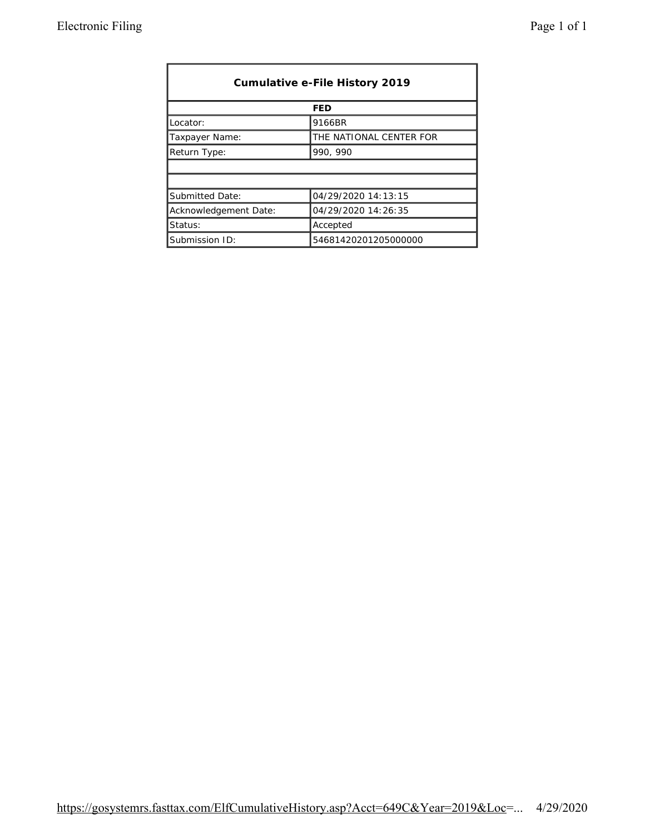| Cumulative e-File History 2019 |                         |  |  |  |  |
|--------------------------------|-------------------------|--|--|--|--|
|                                | <b>FED</b>              |  |  |  |  |
| Locator:                       | 9166BR                  |  |  |  |  |
| <b>Taxpayer Name:</b>          | THE NATIONAL CENTER FOR |  |  |  |  |
| <b>Return Type:</b>            | 990, 990                |  |  |  |  |
|                                |                         |  |  |  |  |
|                                |                         |  |  |  |  |
| <b>Submitted Date:</b>         | 04/29/2020 14:13:15     |  |  |  |  |
| Acknowledgement Date:          | 04/29/2020 14:26:35     |  |  |  |  |
| Status:                        | Accepted                |  |  |  |  |
| Submission ID:                 | 54681420201205000000    |  |  |  |  |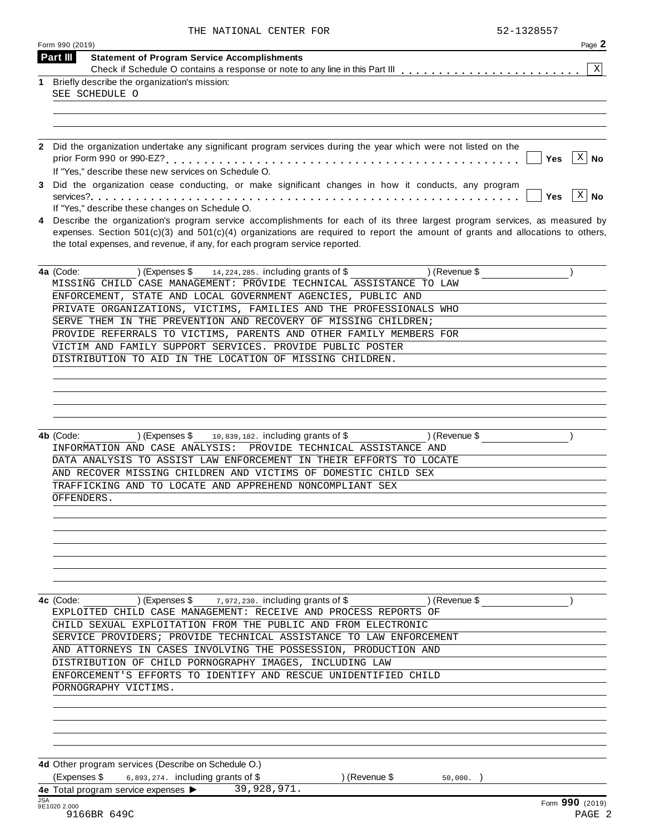| THE NATIONAL CENTER FOR |  | 52-1328557 |
|-------------------------|--|------------|

| Part III<br><b>Statement of Program Service Accomplishments</b><br>Briefly describe the organization's mission:<br>SEE SCHEDULE O                                                                                 | X                                                                                                                                                                                                                                                                                                                                                                                                                                                                                                                                                                                                                                                                                                                                                                                                                                                                                                                                                                                                                                                                                                                                                                                                                             |
|-------------------------------------------------------------------------------------------------------------------------------------------------------------------------------------------------------------------|-------------------------------------------------------------------------------------------------------------------------------------------------------------------------------------------------------------------------------------------------------------------------------------------------------------------------------------------------------------------------------------------------------------------------------------------------------------------------------------------------------------------------------------------------------------------------------------------------------------------------------------------------------------------------------------------------------------------------------------------------------------------------------------------------------------------------------------------------------------------------------------------------------------------------------------------------------------------------------------------------------------------------------------------------------------------------------------------------------------------------------------------------------------------------------------------------------------------------------|
|                                                                                                                                                                                                                   |                                                                                                                                                                                                                                                                                                                                                                                                                                                                                                                                                                                                                                                                                                                                                                                                                                                                                                                                                                                                                                                                                                                                                                                                                               |
|                                                                                                                                                                                                                   |                                                                                                                                                                                                                                                                                                                                                                                                                                                                                                                                                                                                                                                                                                                                                                                                                                                                                                                                                                                                                                                                                                                                                                                                                               |
|                                                                                                                                                                                                                   |                                                                                                                                                                                                                                                                                                                                                                                                                                                                                                                                                                                                                                                                                                                                                                                                                                                                                                                                                                                                                                                                                                                                                                                                                               |
|                                                                                                                                                                                                                   |                                                                                                                                                                                                                                                                                                                                                                                                                                                                                                                                                                                                                                                                                                                                                                                                                                                                                                                                                                                                                                                                                                                                                                                                                               |
|                                                                                                                                                                                                                   |                                                                                                                                                                                                                                                                                                                                                                                                                                                                                                                                                                                                                                                                                                                                                                                                                                                                                                                                                                                                                                                                                                                                                                                                                               |
| Did the organization undertake any significant program services during the year which were not listed on the                                                                                                      |                                                                                                                                                                                                                                                                                                                                                                                                                                                                                                                                                                                                                                                                                                                                                                                                                                                                                                                                                                                                                                                                                                                                                                                                                               |
| Yes<br>If "Yes," describe these new services on Schedule O.                                                                                                                                                       | $\vert X \vert$<br>No                                                                                                                                                                                                                                                                                                                                                                                                                                                                                                                                                                                                                                                                                                                                                                                                                                                                                                                                                                                                                                                                                                                                                                                                         |
| Did the organization cease conducting, or make significant changes in how it conducts, any program<br><b>Yes</b>                                                                                                  | X <br>No                                                                                                                                                                                                                                                                                                                                                                                                                                                                                                                                                                                                                                                                                                                                                                                                                                                                                                                                                                                                                                                                                                                                                                                                                      |
| If "Yes," describe these changes on Schedule O.                                                                                                                                                                   |                                                                                                                                                                                                                                                                                                                                                                                                                                                                                                                                                                                                                                                                                                                                                                                                                                                                                                                                                                                                                                                                                                                                                                                                                               |
| expenses. Section $501(c)(3)$ and $501(c)(4)$ organizations are required to report the amount of grants and allocations to others,<br>the total expenses, and revenue, if any, for each program service reported. |                                                                                                                                                                                                                                                                                                                                                                                                                                                                                                                                                                                                                                                                                                                                                                                                                                                                                                                                                                                                                                                                                                                                                                                                                               |
| 4a (Code:<br>14, 224, 285. including grants of \$<br>$($ Revenue \$<br>) (Expenses \$                                                                                                                             |                                                                                                                                                                                                                                                                                                                                                                                                                                                                                                                                                                                                                                                                                                                                                                                                                                                                                                                                                                                                                                                                                                                                                                                                                               |
|                                                                                                                                                                                                                   |                                                                                                                                                                                                                                                                                                                                                                                                                                                                                                                                                                                                                                                                                                                                                                                                                                                                                                                                                                                                                                                                                                                                                                                                                               |
|                                                                                                                                                                                                                   |                                                                                                                                                                                                                                                                                                                                                                                                                                                                                                                                                                                                                                                                                                                                                                                                                                                                                                                                                                                                                                                                                                                                                                                                                               |
| SERVE THEM IN THE PREVENTION AND RECOVERY OF MISSING CHILDREN;                                                                                                                                                    |                                                                                                                                                                                                                                                                                                                                                                                                                                                                                                                                                                                                                                                                                                                                                                                                                                                                                                                                                                                                                                                                                                                                                                                                                               |
| PROVIDE REFERRALS TO VICTIMS, PARENTS AND OTHER FAMILY MEMBERS FOR                                                                                                                                                |                                                                                                                                                                                                                                                                                                                                                                                                                                                                                                                                                                                                                                                                                                                                                                                                                                                                                                                                                                                                                                                                                                                                                                                                                               |
| VICTIM AND FAMILY SUPPORT SERVICES. PROVIDE PUBLIC POSTER                                                                                                                                                         |                                                                                                                                                                                                                                                                                                                                                                                                                                                                                                                                                                                                                                                                                                                                                                                                                                                                                                                                                                                                                                                                                                                                                                                                                               |
|                                                                                                                                                                                                                   |                                                                                                                                                                                                                                                                                                                                                                                                                                                                                                                                                                                                                                                                                                                                                                                                                                                                                                                                                                                                                                                                                                                                                                                                                               |
|                                                                                                                                                                                                                   |                                                                                                                                                                                                                                                                                                                                                                                                                                                                                                                                                                                                                                                                                                                                                                                                                                                                                                                                                                                                                                                                                                                                                                                                                               |
|                                                                                                                                                                                                                   |                                                                                                                                                                                                                                                                                                                                                                                                                                                                                                                                                                                                                                                                                                                                                                                                                                                                                                                                                                                                                                                                                                                                                                                                                               |
|                                                                                                                                                                                                                   |                                                                                                                                                                                                                                                                                                                                                                                                                                                                                                                                                                                                                                                                                                                                                                                                                                                                                                                                                                                                                                                                                                                                                                                                                               |
|                                                                                                                                                                                                                   |                                                                                                                                                                                                                                                                                                                                                                                                                                                                                                                                                                                                                                                                                                                                                                                                                                                                                                                                                                                                                                                                                                                                                                                                                               |
| 10,839,182. including grants of \$<br>4b (Code:<br>) (Expenses \$<br>) (Revenue \$                                                                                                                                |                                                                                                                                                                                                                                                                                                                                                                                                                                                                                                                                                                                                                                                                                                                                                                                                                                                                                                                                                                                                                                                                                                                                                                                                                               |
| PROVIDE TECHNICAL ASSISTANCE AND                                                                                                                                                                                  |                                                                                                                                                                                                                                                                                                                                                                                                                                                                                                                                                                                                                                                                                                                                                                                                                                                                                                                                                                                                                                                                                                                                                                                                                               |
|                                                                                                                                                                                                                   |                                                                                                                                                                                                                                                                                                                                                                                                                                                                                                                                                                                                                                                                                                                                                                                                                                                                                                                                                                                                                                                                                                                                                                                                                               |
|                                                                                                                                                                                                                   |                                                                                                                                                                                                                                                                                                                                                                                                                                                                                                                                                                                                                                                                                                                                                                                                                                                                                                                                                                                                                                                                                                                                                                                                                               |
|                                                                                                                                                                                                                   |                                                                                                                                                                                                                                                                                                                                                                                                                                                                                                                                                                                                                                                                                                                                                                                                                                                                                                                                                                                                                                                                                                                                                                                                                               |
|                                                                                                                                                                                                                   |                                                                                                                                                                                                                                                                                                                                                                                                                                                                                                                                                                                                                                                                                                                                                                                                                                                                                                                                                                                                                                                                                                                                                                                                                               |
|                                                                                                                                                                                                                   |                                                                                                                                                                                                                                                                                                                                                                                                                                                                                                                                                                                                                                                                                                                                                                                                                                                                                                                                                                                                                                                                                                                                                                                                                               |
|                                                                                                                                                                                                                   |                                                                                                                                                                                                                                                                                                                                                                                                                                                                                                                                                                                                                                                                                                                                                                                                                                                                                                                                                                                                                                                                                                                                                                                                                               |
|                                                                                                                                                                                                                   |                                                                                                                                                                                                                                                                                                                                                                                                                                                                                                                                                                                                                                                                                                                                                                                                                                                                                                                                                                                                                                                                                                                                                                                                                               |
|                                                                                                                                                                                                                   |                                                                                                                                                                                                                                                                                                                                                                                                                                                                                                                                                                                                                                                                                                                                                                                                                                                                                                                                                                                                                                                                                                                                                                                                                               |
|                                                                                                                                                                                                                   |                                                                                                                                                                                                                                                                                                                                                                                                                                                                                                                                                                                                                                                                                                                                                                                                                                                                                                                                                                                                                                                                                                                                                                                                                               |
|                                                                                                                                                                                                                   |                                                                                                                                                                                                                                                                                                                                                                                                                                                                                                                                                                                                                                                                                                                                                                                                                                                                                                                                                                                                                                                                                                                                                                                                                               |
|                                                                                                                                                                                                                   |                                                                                                                                                                                                                                                                                                                                                                                                                                                                                                                                                                                                                                                                                                                                                                                                                                                                                                                                                                                                                                                                                                                                                                                                                               |
|                                                                                                                                                                                                                   |                                                                                                                                                                                                                                                                                                                                                                                                                                                                                                                                                                                                                                                                                                                                                                                                                                                                                                                                                                                                                                                                                                                                                                                                                               |
|                                                                                                                                                                                                                   |                                                                                                                                                                                                                                                                                                                                                                                                                                                                                                                                                                                                                                                                                                                                                                                                                                                                                                                                                                                                                                                                                                                                                                                                                               |
|                                                                                                                                                                                                                   |                                                                                                                                                                                                                                                                                                                                                                                                                                                                                                                                                                                                                                                                                                                                                                                                                                                                                                                                                                                                                                                                                                                                                                                                                               |
|                                                                                                                                                                                                                   |                                                                                                                                                                                                                                                                                                                                                                                                                                                                                                                                                                                                                                                                                                                                                                                                                                                                                                                                                                                                                                                                                                                                                                                                                               |
| ENFORCEMENT'S EFFORTS TO IDENTIFY AND RESCUE UNIDENTIFIED CHILD                                                                                                                                                   |                                                                                                                                                                                                                                                                                                                                                                                                                                                                                                                                                                                                                                                                                                                                                                                                                                                                                                                                                                                                                                                                                                                                                                                                                               |
| PORNOGRAPHY VICTIMS.                                                                                                                                                                                              |                                                                                                                                                                                                                                                                                                                                                                                                                                                                                                                                                                                                                                                                                                                                                                                                                                                                                                                                                                                                                                                                                                                                                                                                                               |
|                                                                                                                                                                                                                   |                                                                                                                                                                                                                                                                                                                                                                                                                                                                                                                                                                                                                                                                                                                                                                                                                                                                                                                                                                                                                                                                                                                                                                                                                               |
|                                                                                                                                                                                                                   |                                                                                                                                                                                                                                                                                                                                                                                                                                                                                                                                                                                                                                                                                                                                                                                                                                                                                                                                                                                                                                                                                                                                                                                                                               |
|                                                                                                                                                                                                                   |                                                                                                                                                                                                                                                                                                                                                                                                                                                                                                                                                                                                                                                                                                                                                                                                                                                                                                                                                                                                                                                                                                                                                                                                                               |
|                                                                                                                                                                                                                   |                                                                                                                                                                                                                                                                                                                                                                                                                                                                                                                                                                                                                                                                                                                                                                                                                                                                                                                                                                                                                                                                                                                                                                                                                               |
|                                                                                                                                                                                                                   |                                                                                                                                                                                                                                                                                                                                                                                                                                                                                                                                                                                                                                                                                                                                                                                                                                                                                                                                                                                                                                                                                                                                                                                                                               |
|                                                                                                                                                                                                                   |                                                                                                                                                                                                                                                                                                                                                                                                                                                                                                                                                                                                                                                                                                                                                                                                                                                                                                                                                                                                                                                                                                                                                                                                                               |
| 39,928,971.<br>4e Total program service expenses >                                                                                                                                                                |                                                                                                                                                                                                                                                                                                                                                                                                                                                                                                                                                                                                                                                                                                                                                                                                                                                                                                                                                                                                                                                                                                                                                                                                                               |
|                                                                                                                                                                                                                   | Describe the organization's program service accomplishments for each of its three largest program services, as measured by<br>MISSING CHILD CASE MANAGEMENT: PROVIDE TECHNICAL ASSISTANCE TO LAW<br>ENFORCEMENT, STATE AND LOCAL GOVERNMENT AGENCIES, PUBLIC AND<br>PRIVATE ORGANIZATIONS, VICTIMS, FAMILIES AND THE PROFESSIONALS WHO<br>DISTRIBUTION TO AID IN THE LOCATION OF MISSING CHILDREN.<br>INFORMATION AND CASE ANALYSIS:<br>DATA ANALYSIS TO ASSIST LAW ENFORCEMENT IN THEIR EFFORTS TO LOCATE<br>AND RECOVER MISSING CHILDREN AND VICTIMS OF DOMESTIC CHILD SEX<br>TRAFFICKING AND TO LOCATE AND APPREHEND NONCOMPLIANT SEX<br>OFFENDERS.<br>4c (Code:<br>) (Expenses \$<br>7,972,230. including grants of \$<br>) (Revenue \$<br>EXPLOITED CHILD CASE MANAGEMENT: RECEIVE AND PROCESS REPORTS OF<br>CHILD SEXUAL EXPLOITATION FROM THE PUBLIC AND FROM ELECTRONIC<br>SERVICE PROVIDERS; PROVIDE TECHNICAL ASSISTANCE TO LAW ENFORCEMENT<br>AND ATTORNEYS IN CASES INVOLVING THE POSSESSION, PRODUCTION AND<br>DISTRIBUTION OF CHILD PORNOGRAPHY IMAGES, INCLUDING LAW<br>4d Other program services (Describe on Schedule O.)<br>(Expenses \$<br>$6,893,274.$ including grants of \$<br>) (Revenue \$<br>50,000. |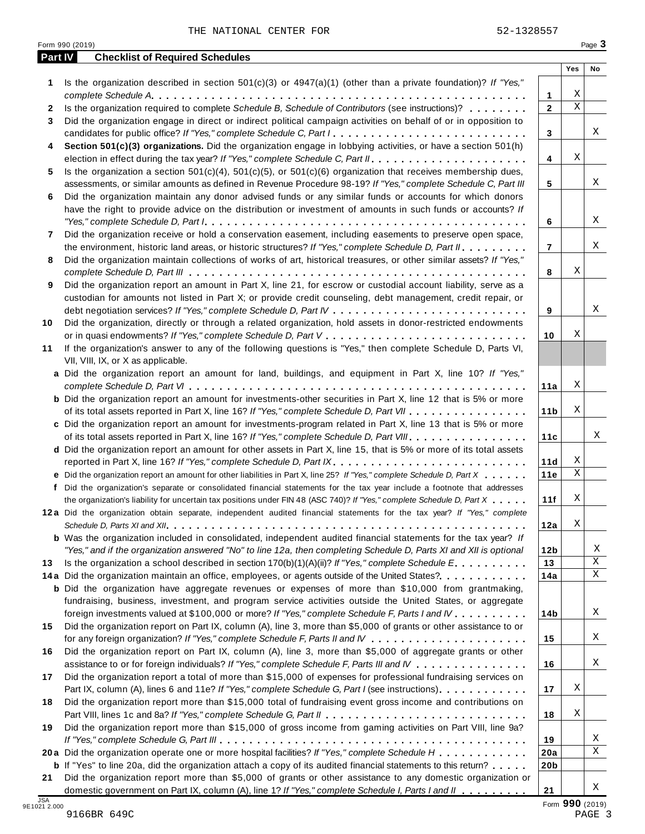**1** Is the organization described in section 501(c)(3) or 4947(a)(1) (other than a private foundation)? *If "Yes,"*

**Part IV Checklist of Required Schedules**

| 9166BR 649C |  | PAGE 3 |
|-------------|--|--------|
|             |  |        |

| 1                          | Is the organization described in section $501(c)(3)$ or $4947(a)(1)$ (other than a private foundation)? If "Yes,"                                                                                                                                                                                                                                                                             |                 |             |                 |
|----------------------------|-----------------------------------------------------------------------------------------------------------------------------------------------------------------------------------------------------------------------------------------------------------------------------------------------------------------------------------------------------------------------------------------------|-----------------|-------------|-----------------|
|                            |                                                                                                                                                                                                                                                                                                                                                                                               | 1               | Χ           |                 |
| 2                          | Is the organization required to complete Schedule B, Schedule of Contributors (see instructions)?                                                                                                                                                                                                                                                                                             | $\mathbf{2}$    | $\mathbf X$ |                 |
| 3                          | Did the organization engage in direct or indirect political campaign activities on behalf of or in opposition to                                                                                                                                                                                                                                                                              |                 |             |                 |
|                            | candidates for public office? If "Yes," complete Schedule C, Part I.                                                                                                                                                                                                                                                                                                                          | 3               |             | X               |
| 4                          | Section 501(c)(3) organizations. Did the organization engage in lobbying activities, or have a section 501(h)                                                                                                                                                                                                                                                                                 |                 |             |                 |
|                            |                                                                                                                                                                                                                                                                                                                                                                                               | 4               | Χ           |                 |
| 5                          | Is the organization a section 501(c)(4), 501(c)(5), or 501(c)(6) organization that receives membership dues,                                                                                                                                                                                                                                                                                  |                 |             |                 |
|                            | assessments, or similar amounts as defined in Revenue Procedure 98-19? If "Yes," complete Schedule C, Part III                                                                                                                                                                                                                                                                                | 5               |             | Χ               |
| 6                          | Did the organization maintain any donor advised funds or any similar funds or accounts for which donors                                                                                                                                                                                                                                                                                       |                 |             |                 |
|                            | have the right to provide advice on the distribution or investment of amounts in such funds or accounts? If                                                                                                                                                                                                                                                                                   |                 |             |                 |
|                            | "Yes," complete Schedule D, Part $l_1, \ldots, l_k, \ldots, l_k, \ldots, l_k, \ldots, l_k, \ldots, l_k, \ldots, l_k, \ldots, l_k, \ldots, l_k, \ldots, l_k, \ldots, l_k, \ldots, l_k, \ldots, l_k, \ldots, l_k, \ldots, l_k, \ldots, l_k, \ldots, l_k, \ldots, l_k, \ldots, l_k, \ldots, l_k, \ldots, l_k, \ldots, l_k, \ldots, l_k, \ldots, l_k, \ldots, l_k, \ldots, l_k, \ldots, l_k, \ld$ | 6               |             | Χ               |
|                            | Did the organization receive or hold a conservation easement, including easements to preserve open space,                                                                                                                                                                                                                                                                                     |                 |             |                 |
| 7                          |                                                                                                                                                                                                                                                                                                                                                                                               |                 |             | Χ               |
|                            | the environment, historic land areas, or historic structures? If "Yes," complete Schedule D, Part II.                                                                                                                                                                                                                                                                                         | $\overline{7}$  |             |                 |
| 8                          | Did the organization maintain collections of works of art, historical treasures, or other similar assets? If "Yes,"                                                                                                                                                                                                                                                                           |                 |             |                 |
|                            |                                                                                                                                                                                                                                                                                                                                                                                               | 8               | Χ           |                 |
| 9                          | Did the organization report an amount in Part X, line 21, for escrow or custodial account liability, serve as a                                                                                                                                                                                                                                                                               |                 |             |                 |
|                            | custodian for amounts not listed in Part X; or provide credit counseling, debt management, credit repair, or                                                                                                                                                                                                                                                                                  |                 |             |                 |
|                            |                                                                                                                                                                                                                                                                                                                                                                                               | 9               |             | Χ               |
| 10                         | Did the organization, directly or through a related organization, hold assets in donor-restricted endowments                                                                                                                                                                                                                                                                                  |                 |             |                 |
|                            |                                                                                                                                                                                                                                                                                                                                                                                               | 10              | Χ           |                 |
| 11                         | If the organization's answer to any of the following questions is "Yes," then complete Schedule D, Parts VI,                                                                                                                                                                                                                                                                                  |                 |             |                 |
|                            | VII, VIII, IX, or X as applicable.                                                                                                                                                                                                                                                                                                                                                            |                 |             |                 |
|                            | a Did the organization report an amount for land, buildings, and equipment in Part X, line 10? If "Yes,"                                                                                                                                                                                                                                                                                      |                 |             |                 |
|                            |                                                                                                                                                                                                                                                                                                                                                                                               | 11a             | Χ           |                 |
|                            | <b>b</b> Did the organization report an amount for investments-other securities in Part X, line 12 that is 5% or more                                                                                                                                                                                                                                                                         |                 |             |                 |
|                            | of its total assets reported in Part X, line 16? If "Yes," complete Schedule D, Part VII                                                                                                                                                                                                                                                                                                      | 11 <sub>b</sub> | Χ           |                 |
|                            | c Did the organization report an amount for investments-program related in Part X, line 13 that is 5% or more                                                                                                                                                                                                                                                                                 |                 |             |                 |
|                            | of its total assets reported in Part X, line 16? If "Yes," complete Schedule D, Part VIII                                                                                                                                                                                                                                                                                                     | 11c             |             | X               |
|                            | d Did the organization report an amount for other assets in Part X, line 15, that is 5% or more of its total assets                                                                                                                                                                                                                                                                           |                 |             |                 |
|                            |                                                                                                                                                                                                                                                                                                                                                                                               | 11d             | Χ           |                 |
|                            | e Did the organization report an amount for other liabilities in Part X, line 25? If "Yes," complete Schedule D, Part X                                                                                                                                                                                                                                                                       | 11e             | $\mathbf X$ |                 |
|                            | f Did the organization's separate or consolidated financial statements for the tax year include a footnote that addresses                                                                                                                                                                                                                                                                     |                 |             |                 |
|                            | the organization's liability for uncertain tax positions under FIN 48 (ASC 740)? If "Yes," complete Schedule D, Part X                                                                                                                                                                                                                                                                        | 11f             | Χ           |                 |
|                            | 12a Did the organization obtain separate, independent audited financial statements for the tax year? If "Yes," complete                                                                                                                                                                                                                                                                       |                 |             |                 |
|                            |                                                                                                                                                                                                                                                                                                                                                                                               | 12a             | Χ           |                 |
|                            | <b>b</b> Was the organization included in consolidated, independent audited financial statements for the tax year? If                                                                                                                                                                                                                                                                         |                 |             |                 |
|                            | "Yes," and if the organization answered "No" to line 12a, then completing Schedule D, Parts XI and XII is optional                                                                                                                                                                                                                                                                            | 12 <sub>b</sub> |             | Χ               |
| 13                         | Is the organization a school described in section $170(b)(1)(A)(ii)$ ? If "Yes," complete Schedule E.                                                                                                                                                                                                                                                                                         | 13              |             | Χ               |
|                            | 14a Did the organization maintain an office, employees, or agents outside of the United States?.                                                                                                                                                                                                                                                                                              | 14a             |             | Χ               |
|                            | <b>b</b> Did the organization have aggregate revenues or expenses of more than \$10,000 from grantmaking,                                                                                                                                                                                                                                                                                     |                 |             |                 |
|                            | fundraising, business, investment, and program service activities outside the United States, or aggregate                                                                                                                                                                                                                                                                                     |                 |             |                 |
|                            |                                                                                                                                                                                                                                                                                                                                                                                               |                 |             | X               |
|                            | foreign investments valued at \$100,000 or more? If "Yes," complete Schedule F, Parts I and IV                                                                                                                                                                                                                                                                                                | 14b             |             |                 |
| 15                         | Did the organization report on Part IX, column (A), line 3, more than \$5,000 of grants or other assistance to or                                                                                                                                                                                                                                                                             |                 |             |                 |
|                            |                                                                                                                                                                                                                                                                                                                                                                                               | 15              |             | X               |
| 16                         | Did the organization report on Part IX, column (A), line 3, more than \$5,000 of aggregate grants or other                                                                                                                                                                                                                                                                                    |                 |             |                 |
|                            | assistance to or for foreign individuals? If "Yes," complete Schedule F, Parts III and IV                                                                                                                                                                                                                                                                                                     | 16              |             | X               |
| 17                         | Did the organization report a total of more than \$15,000 of expenses for professional fundraising services on                                                                                                                                                                                                                                                                                |                 |             |                 |
|                            | Part IX, column (A), lines 6 and 11e? If "Yes," complete Schedule G, Part I (see instructions)                                                                                                                                                                                                                                                                                                | 17              | Χ           |                 |
| 18                         | Did the organization report more than \$15,000 total of fundraising event gross income and contributions on                                                                                                                                                                                                                                                                                   |                 |             |                 |
|                            |                                                                                                                                                                                                                                                                                                                                                                                               | 18              | Χ           |                 |
| 19                         | Did the organization report more than \$15,000 of gross income from gaming activities on Part VIII, line 9a?                                                                                                                                                                                                                                                                                  |                 |             |                 |
|                            |                                                                                                                                                                                                                                                                                                                                                                                               | 19              |             | X               |
|                            | 20a Did the organization operate one or more hospital facilities? If "Yes," complete Schedule H                                                                                                                                                                                                                                                                                               | 20a             |             | Χ               |
|                            | <b>b</b> If "Yes" to line 20a, did the organization attach a copy of its audited financial statements to this return?                                                                                                                                                                                                                                                                         | 20 <sub>b</sub> |             |                 |
| 21                         | Did the organization report more than \$5,000 of grants or other assistance to any domestic organization or                                                                                                                                                                                                                                                                                   |                 |             |                 |
|                            | domestic government on Part IX, column (A), line 1? If "Yes," complete Schedule I, Parts I and II                                                                                                                                                                                                                                                                                             | 21              |             | Χ               |
| <b>JSA</b><br>9E1021 2.000 |                                                                                                                                                                                                                                                                                                                                                                                               |                 |             | Form 990 (2019) |

**Yes No**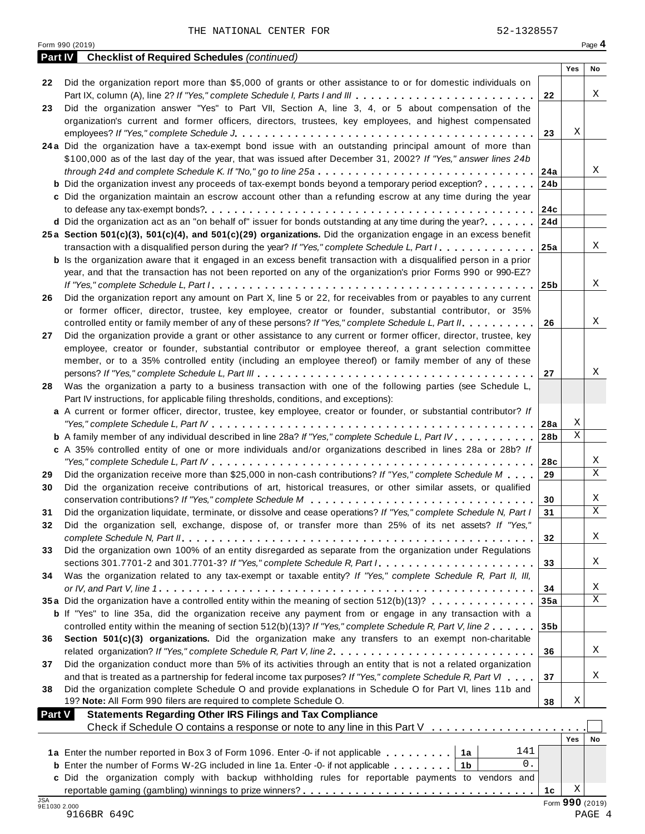|                            | <b>Part IV</b> Checklist of Required Schedules (continued)                                                                |                 |                 |             |
|----------------------------|---------------------------------------------------------------------------------------------------------------------------|-----------------|-----------------|-------------|
|                            |                                                                                                                           |                 | Yes             | No          |
| 22                         | Did the organization report more than \$5,000 of grants or other assistance to or for domestic individuals on             |                 |                 |             |
|                            | Part IX, column (A), line 2? If "Yes," complete Schedule I, Parts I and III                                               | 22              |                 | Χ           |
| 23                         | Did the organization answer "Yes" to Part VII, Section A, line 3, 4, or 5 about compensation of the                       |                 |                 |             |
|                            | organization's current and former officers, directors, trustees, key employees, and highest compensated                   |                 |                 |             |
|                            |                                                                                                                           | 23              | Χ               |             |
|                            | 24a Did the organization have a tax-exempt bond issue with an outstanding principal amount of more than                   |                 |                 |             |
|                            | \$100,000 as of the last day of the year, that was issued after December 31, 2002? If "Yes," answer lines 24b             |                 |                 |             |
|                            |                                                                                                                           | 24a             |                 | Χ           |
|                            | <b>b</b> Did the organization invest any proceeds of tax-exempt bonds beyond a temporary period exception?                | 24 <sub>b</sub> |                 |             |
|                            | c Did the organization maintain an escrow account other than a refunding escrow at any time during the year               |                 |                 |             |
|                            |                                                                                                                           |                 |                 |             |
|                            | <b>d</b> Did the organization act as an "on behalf of" issuer for bonds outstanding at any time during the year? 24d      |                 |                 |             |
|                            | 25a Section 501(c)(3), 501(c)(4), and 501(c)(29) organizations. Did the organization engage in an excess benefit          |                 |                 |             |
|                            | transaction with a disqualified person during the year? If "Yes," complete Schedule L, Part I.                            | 25a             |                 | X           |
|                            | <b>b</b> Is the organization aware that it engaged in an excess benefit transaction with a disqualified person in a prior |                 |                 |             |
|                            | year, and that the transaction has not been reported on any of the organization's prior Forms 990 or 990-EZ?              |                 |                 |             |
|                            |                                                                                                                           |                 |                 | X           |
| 26                         | Did the organization report any amount on Part X, line 5 or 22, for receivables from or payables to any current           |                 |                 |             |
|                            | or former officer, director, trustee, key employee, creator or founder, substantial contributor, or 35%                   |                 |                 |             |
|                            | controlled entity or family member of any of these persons? If "Yes," complete Schedule L, Part II.                       | 26              |                 | X           |
| 27                         | Did the organization provide a grant or other assistance to any current or former officer, director, trustee, key         |                 |                 |             |
|                            | employee, creator or founder, substantial contributor or employee thereof, a grant selection committee                    |                 |                 |             |
|                            | member, or to a 35% controlled entity (including an employee thereof) or family member of any of these                    |                 |                 |             |
|                            |                                                                                                                           | 27              |                 | Χ           |
| 28                         | Was the organization a party to a business transaction with one of the following parties (see Schedule L,                 |                 |                 |             |
|                            | Part IV instructions, for applicable filing thresholds, conditions, and exceptions):                                      |                 |                 |             |
|                            | a A current or former officer, director, trustee, key employee, creator or founder, or substantial contributor? If        |                 |                 |             |
|                            |                                                                                                                           |                 | Χ               |             |
|                            | <b>b</b> A family member of any individual described in line 28a? If "Yes," complete Schedule L, Part IV.                 | 28 <sub>b</sub> | $\rm X$         |             |
|                            | c A 35% controlled entity of one or more individuals and/or organizations described in lines 28a or 28b? If               |                 |                 |             |
|                            |                                                                                                                           | 28c             |                 | Χ           |
| 29                         | Did the organization receive more than \$25,000 in non-cash contributions? If "Yes," complete Schedule M $\ldots$         | 29              |                 | $\mathbf X$ |
| 30                         | Did the organization receive contributions of art, historical treasures, or other similar assets, or qualified            |                 |                 |             |
|                            |                                                                                                                           | 30              |                 | X           |
| 31                         | Did the organization liquidate, terminate, or dissolve and cease operations? If "Yes," complete Schedule N, Part I        | 31              |                 | $\mathbf X$ |
| 32                         | Did the organization sell, exchange, dispose of, or transfer more than 25% of its net assets? If "Yes,"                   |                 |                 |             |
|                            |                                                                                                                           | 32              |                 | Χ           |
| 33                         | Did the organization own 100% of an entity disregarded as separate from the organization under Regulations                |                 |                 |             |
|                            | sections 301.7701-2 and 301.7701-3? If "Yes," complete Schedule R, Part /                                                 | 33              |                 | X           |
| 34                         | Was the organization related to any tax-exempt or taxable entity? If "Yes," complete Schedule R, Part II, III,            |                 |                 |             |
|                            |                                                                                                                           | 34              |                 | Χ           |
|                            | 35a Did the organization have a controlled entity within the meaning of section 512(b)(13)?                               | 35a             |                 | $\mathbf X$ |
|                            | <b>b</b> If "Yes" to line 35a, did the organization receive any payment from or engage in any transaction with a          |                 |                 |             |
|                            | controlled entity within the meaning of section 512(b)(13)? If "Yes," complete Schedule R, Part V, line 2                 | 35 <sub>b</sub> |                 |             |
| 36                         | Section 501(c)(3) organizations. Did the organization make any transfers to an exempt non-charitable                      |                 |                 |             |
|                            | related organization? If "Yes," complete Schedule R, Part V, line 2.                                                      | 36              |                 | Χ           |
| 37                         | Did the organization conduct more than 5% of its activities through an entity that is not a related organization          |                 |                 |             |
|                            | and that is treated as a partnership for federal income tax purposes? If "Yes," complete Schedule R, Part VI              | 37              |                 | X           |
| 38                         | Did the organization complete Schedule O and provide explanations in Schedule O for Part VI, lines 11b and                |                 |                 |             |
|                            | 19? Note: All Form 990 filers are required to complete Schedule O.                                                        | 38              | Χ               |             |
| <b>Part V</b>              | <b>Statements Regarding Other IRS Filings and Tax Compliance</b>                                                          |                 |                 |             |
|                            | Check if Schedule O contains a response or note to any line in this Part V                                                |                 |                 |             |
|                            |                                                                                                                           |                 | Yes             | No          |
|                            | 141<br>1a Enter the number reported in Box 3 of Form 1096. Enter -0- if not applicable   1a                               |                 |                 |             |
|                            | 0.<br><b>b</b> Enter the number of Forms W-2G included in line 1a. Enter -0- if not applicable $\dots \dots$              |                 |                 |             |
|                            | c Did the organization comply with backup withholding rules for reportable payments to vendors and                        |                 |                 |             |
|                            |                                                                                                                           | 1 <sub>c</sub>  | Χ               |             |
| <b>JSA</b><br>9E1030 2.000 |                                                                                                                           |                 | Form 990 (2019) |             |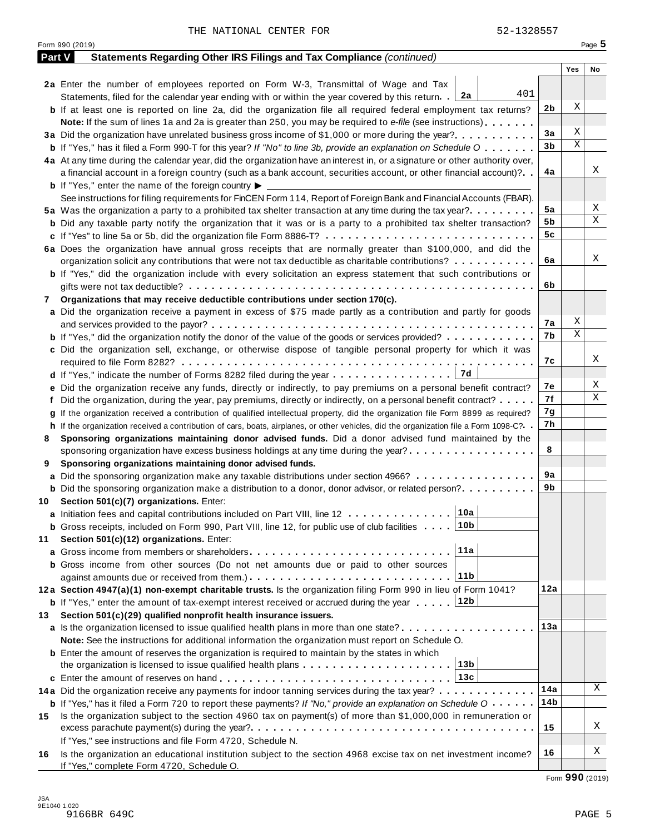|        | Form 990 (2019)                                                                                                                              |     | Page 5 |   |
|--------|----------------------------------------------------------------------------------------------------------------------------------------------|-----|--------|---|
| Part V | Statements Regarding Other IRS Filings and Tax Compliance (continued)                                                                        |     |        |   |
|        |                                                                                                                                              | Yes | No     |   |
|        | 2a Enter the number of employees reported on Form W-3, Transmittal of Wage and Tax                                                           |     |        |   |
|        | 401<br>  2a<br>Statements, filed for the calendar year ending with or within the year covered by this return.                                |     |        |   |
|        | <b>b</b> If at least one is reported on line 2a, did the organization file all required federal employment tax returns?                      | 2b  | Χ      |   |
|        | <b>Note:</b> If the sum of lines 1a and 2a is greater than 250, you may be required to e-file (see instructions).                            |     |        |   |
|        | 3a Did the organization have unrelated business gross income of \$1,000 or more during the year?                                             | 3a  | Χ      |   |
|        | <b>b</b> If "Yes," has it filed a Form 990-T for this year? If "No" to line 3b, provide an explanation on Schedule O                         | 3b  | Χ      |   |
|        | 4a At any time during the calendar year, did the organization have an interest in, or a signature or other authority over,                   |     |        |   |
|        | a financial account in a foreign country (such as a bank account, securities account, or other financial account)?                           | 4a  |        | Χ |
|        | <b>b</b> If "Yes," enter the name of the foreign country $\blacktriangleright$                                                               |     |        |   |
|        | See instructions for filing requirements for FinCEN Form 114, Report of Foreign Bank and Financial Accounts (FBAR).                          |     |        |   |
|        | 5a Was the organization a party to a prohibited tax shelter transaction at any time during the tax year?                                     | 5a  |        | Χ |
|        | <b>b</b> Did any taxable party notify the organization that it was or is a party to a prohibited tax shelter transaction?                    | 5b  |        | Χ |
|        |                                                                                                                                              | 5c  |        |   |
|        | 6a Does the organization have annual gross receipts that are normally greater than \$100,000, and did the                                    |     |        |   |
|        |                                                                                                                                              | 6a  |        | Χ |
|        | organization solicit any contributions that were not tax deductible as charitable contributions?                                             |     |        |   |
|        | <b>b</b> If "Yes," did the organization include with every solicitation an express statement that such contributions or                      |     |        |   |
|        |                                                                                                                                              | 6b  |        |   |
| 7      | Organizations that may receive deductible contributions under section 170(c).                                                                |     |        |   |
|        | a Did the organization receive a payment in excess of \$75 made partly as a contribution and partly for goods                                |     |        |   |
|        |                                                                                                                                              | 7а  | Χ      |   |
|        | <b>b</b> If "Yes," did the organization notify the donor of the value of the goods or services provided?                                     | 7b  | Χ      |   |
|        | c Did the organization sell, exchange, or otherwise dispose of tangible personal property for which it was                                   |     |        |   |
|        |                                                                                                                                              | 7с  |        | Χ |
|        | 7d                                                                                                                                           |     |        |   |
|        | e Did the organization receive any funds, directly or indirectly, to pay premiums on a personal benefit contract?                            | 7е  |        | Χ |
|        | f Did the organization, during the year, pay premiums, directly or indirectly, on a personal benefit contract?                               | 7f  |        | Χ |
|        | If the organization received a contribution of qualified intellectual property, did the organization file Form 8899 as required?             | 7g  |        |   |
|        | h If the organization received a contribution of cars, boats, airplanes, or other vehicles, did the organization file a Form 1098-C?         | 7h  |        |   |
| 8      | Sponsoring organizations maintaining donor advised funds. Did a donor advised fund maintained by the                                         |     |        |   |
|        | sponsoring organization have excess business holdings at any time during the year?                                                           | 8   |        |   |
| 9      | Sponsoring organizations maintaining donor advised funds.                                                                                    |     |        |   |
|        | <b>a</b> Did the sponsoring organization make any taxable distributions under section 4966?                                                  | 9а  |        |   |
|        | <b>b</b> Did the sponsoring organization make a distribution to a donor, donor advisor, or related person?                                   | 9b  |        |   |
|        | 10 Section 501(c)(7) organizations. Enter:                                                                                                   |     |        |   |
|        | 10a <br>a Initiation fees and capital contributions included on Part VIII, line 12                                                           |     |        |   |
|        | 10b<br><b>b</b> Gross receipts, included on Form 990, Part VIII, line 12, for public use of club facilities                                  |     |        |   |
| 11     | Section 501(c)(12) organizations. Enter:                                                                                                     |     |        |   |
|        | 11a                                                                                                                                          |     |        |   |
|        | <b>b</b> Gross income from other sources (Do not net amounts due or paid to other sources                                                    |     |        |   |
|        | 11b                                                                                                                                          |     |        |   |
|        |                                                                                                                                              | 12a |        |   |
|        | 12a Section 4947(a)(1) non-exempt charitable trusts. Is the organization filing Form 990 in lieu of Form 1041?                               |     |        |   |
|        | 12b<br><b>b</b> If "Yes," enter the amount of tax-exempt interest received or accrued during the year                                        |     |        |   |
| 13.    | Section 501(c)(29) qualified nonprofit health insurance issuers.                                                                             |     |        |   |
|        | a Is the organization licensed to issue qualified health plans in more than one state?                                                       | 13а |        |   |
|        | Note: See the instructions for additional information the organization must report on Schedule O.                                            |     |        |   |
|        | <b>b</b> Enter the amount of reserves the organization is required to maintain by the states in which                                        |     |        |   |
|        | 13b<br>the organization is licensed to issue qualified health plans $\dots \dots \dots \dots \dots \dots \dots$                              |     |        |   |
|        | 13c                                                                                                                                          |     |        |   |
|        | 14a Did the organization receive any payments for indoor tanning services during the tax year?                                               | 14a |        | Χ |
|        | <b>b</b> If "Yes," has it filed a Form 720 to report these payments? If "No," provide an explanation on Schedule $0 \cdot \cdot \cdot \cdot$ | 14b |        |   |
| 15     | Is the organization subject to the section 4960 tax on payment(s) of more than \$1,000,000 in remuneration or                                |     |        |   |
|        |                                                                                                                                              | 15  |        | Χ |
|        | If "Yes," see instructions and file Form 4720, Schedule N.                                                                                   |     |        |   |
| 16     | Is the organization an educational institution subject to the section 4968 excise tax on net investment income?                              | 16  |        | Χ |
|        | If "Yes," complete Form 4720, Schedule O.                                                                                                    |     |        |   |

Form **990** (2019)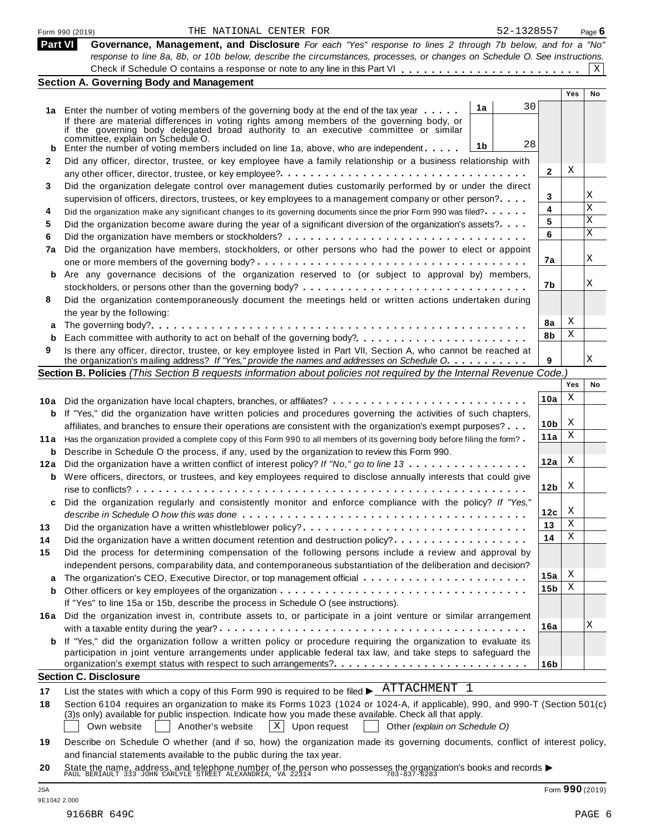|     | 52-1328557<br>THE NATIONAL CENTER FOR<br>Form 990 (2019)                                                                                                                             |                 |            | Page $6$  |
|-----|--------------------------------------------------------------------------------------------------------------------------------------------------------------------------------------|-----------------|------------|-----------|
|     | Part VI<br>Governance, Management, and Disclosure For each "Yes" response to lines 2 through 7b below, and for a "No"                                                                |                 |            |           |
|     | response to line 8a, 8b, or 10b below, describe the circumstances, processes, or changes on Schedule O. See instructions.                                                            |                 |            |           |
|     | <b>Section A. Governing Body and Management</b>                                                                                                                                      |                 |            | X         |
|     |                                                                                                                                                                                      |                 | <b>Yes</b> | <b>No</b> |
|     | 30<br>1a                                                                                                                                                                             |                 |            |           |
|     | 1a Enter the number of voting members of the governing body at the end of the tax year<br>If there are material differences in voting rights among members of the governing body, or |                 |            |           |
|     | if the governing body delegated broad authority to an executive committee or similar                                                                                                 |                 |            |           |
|     | committée, explain on Schedule O.<br>28<br>1b                                                                                                                                        |                 |            |           |
|     | Enter the number of voting members included on line 1a, above, who are independent                                                                                                   |                 |            |           |
| 2   | Did any officer, director, trustee, or key employee have a family relationship or a business relationship with                                                                       | 2               | X          |           |
| 3   | Did the organization delegate control over management duties customarily performed by or under the direct                                                                            |                 |            |           |
|     | supervision of officers, directors, trustees, or key employees to a management company or other person?                                                                              | 3               |            | Χ         |
| 4   | Did the organization make any significant changes to its governing documents since the prior Form 990 was filed?                                                                     | 4               |            | X         |
| 5   | Did the organization become aware during the year of a significant diversion of the organization's assets?                                                                           | 5               |            | Χ         |
| 6   |                                                                                                                                                                                      | 6               |            | X         |
| 7a  | Did the organization have members, stockholders, or other persons who had the power to elect or appoint                                                                              |                 |            |           |
|     |                                                                                                                                                                                      | 7a              |            | Χ         |
|     | Are any governance decisions of the organization reserved to (or subject to approval by) members,                                                                                    |                 |            |           |
|     |                                                                                                                                                                                      | 7b              |            | Χ         |
| 8   | Did the organization contemporaneously document the meetings held or written actions undertaken during                                                                               |                 |            |           |
|     | the year by the following:                                                                                                                                                           |                 |            |           |
|     |                                                                                                                                                                                      | 8a              | X          |           |
| b   |                                                                                                                                                                                      | 8b              | Χ          |           |
| 9   | Is there any officer, director, trustee, or key employee listed in Part VII, Section A, who cannot be reached at                                                                     |                 |            |           |
|     | the organization's mailing address? If "Yes," provide the names and addresses on Schedule O.                                                                                         | 9               |            | Χ         |
|     | Section B. Policies (This Section B requests information about policies not required by the Internal Revenue Code.)                                                                  |                 |            |           |
|     |                                                                                                                                                                                      |                 | Yes        | No        |
|     | 10a Did the organization have local chapters, branches, or affiliates?                                                                                                               | 10a             | Χ          |           |
| b   | If "Yes," did the organization have written policies and procedures governing the activities of such chapters,                                                                       |                 |            |           |
|     | affiliates, and branches to ensure their operations are consistent with the organization's exempt purposes?                                                                          | 10 <sub>b</sub> | X          |           |
|     | 11a Has the organization provided a complete copy of this Form 990 to all members of its governing body before filing the form?                                                      | 11a             | X          |           |
|     | <b>b</b> Describe in Schedule O the process, if any, used by the organization to review this Form 990.                                                                               |                 |            |           |
| 12a | Did the organization have a written conflict of interest policy? If "No," go to line 13                                                                                              | 12a             | X          |           |
|     | <b>b</b> Were officers, directors, or trustees, and key employees required to disclose annually interests that could give                                                            |                 |            |           |
|     |                                                                                                                                                                                      | 12 <sub>b</sub> | X          |           |
|     | Did the organization regularly and consistently monitor and enforce compliance with the policy? If "Yes,"                                                                            |                 |            |           |
|     |                                                                                                                                                                                      | 12c             | X          |           |
| 13  | Did the organization have a written whistleblower policy?                                                                                                                            | 13              | Χ          |           |
| 14  | Did the organization have a written document retention and destruction policy?                                                                                                       | 14              | Χ          |           |
| 15  | Did the process for determining compensation of the following persons include a review and approval by                                                                               |                 |            |           |
|     | independent persons, comparability data, and contemporaneous substantiation of the deliberation and decision?                                                                        |                 |            |           |
|     |                                                                                                                                                                                      | 15a             | X          |           |
|     |                                                                                                                                                                                      | 15 <sub>b</sub> | Χ          |           |
|     | If "Yes" to line 15a or 15b, describe the process in Schedule O (see instructions).                                                                                                  |                 |            |           |
|     | 16a Did the organization invest in, contribute assets to, or participate in a joint venture or similar arrangement                                                                   |                 |            |           |
|     |                                                                                                                                                                                      | 16a             |            | Χ         |
|     | <b>b</b> If "Yes," did the organization follow a written policy or procedure requiring the organization to evaluate its                                                              |                 |            |           |
|     | participation in joint venture arrangements under applicable federal tax law, and take steps to safeguard the                                                                        |                 |            |           |
|     |                                                                                                                                                                                      | 16 <sub>b</sub> |            |           |
|     | <b>Section C. Disclosure</b>                                                                                                                                                         |                 |            |           |
| 17  | List the states with which a copy of this Form 990 is required to be filed $\blacktriangleright$ $\overline{\text{ATTACHMENT}}$ 1                                                    |                 |            |           |
| 18  | Section 6104 requires an organization to make its Forms 1023 (1024 or 1024-A, if applicable), 990, and 990-T (Section 501(c)                                                         |                 |            |           |
|     | (3)s only) available for public inspection. Indicate how you made these available. Check all that apply.                                                                             |                 |            |           |
|     | $\mathbf{x}$<br>Upon request<br>Own website<br>Another's website<br>Other (explain on Schedule O)                                                                                    |                 |            |           |
| 19  | Describe on Schedule O whether (and if so, how) the organization made its governing documents, conflict of interest policy,                                                          |                 |            |           |
|     | and financial statements available to the public during the tax year.                                                                                                                |                 |            |           |
|     |                                                                                                                                                                                      |                 |            |           |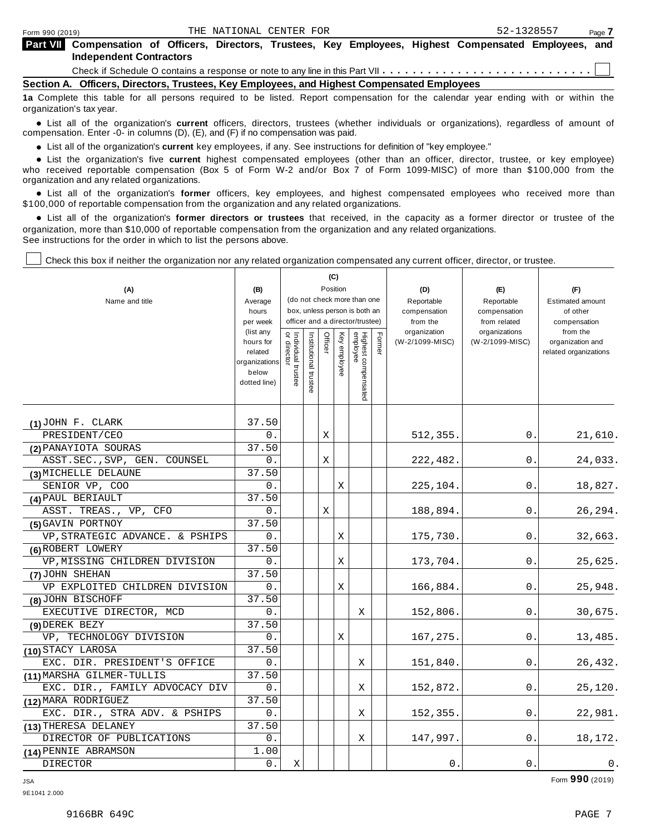| Part VII Compensation of Officers, Directors, Trustees, Key Employees, Highest Compensated Employees, and |  |  |  |  |  |
|-----------------------------------------------------------------------------------------------------------|--|--|--|--|--|
| <b>Independent Contractors</b>                                                                            |  |  |  |  |  |

Check if Schedule O contains a response or note to any line in this Part VII  $\ldots$   $\ldots$   $\ldots$   $\ldots$   $\ldots$   $\ldots$   $\ldots$ 

**Section A. Officers, Directors, Trustees, Key Employees, and Highest Compensated Employees**

**1a** Complete this table for all persons required to be listed. Report compensation for the calendar year ending with or within the organization's tax year.

anization's lax year.<br>● List all of the organization's **current** officers, directors, trustees (whether individuals or organizations), regardless of amount of<br>nnensation Enter -0- in columns (D) (E) and (E) if no compensa compensation. Enter -0- in columns (D), (E), and (F) if no compensation was paid.

• List all of the organization's **current** key employees, if any. See instructions for definition of "key employee."<br>● List the experientials five expect highest expressed explores (other than an efficer director of

**Example in the organization's current** key employees, if any. See instructions for definition of key employee.<br>• List the organization's five **current** highest compensated employees (other than an officer, director, trust who received reportable compensation (Box 5 of Form W-2 and/or Box 7 of Form 1099-MISC) of more than \$100,000 from the

organization and any related organizations.<br>• List all of the organization's **former** officers, key employees, and highest compensated employees who received more than<br>\$1.00.000 of reportable componention from the erganiza \$100,000 of reportable compensation from the organization and any related organizations.

% List all of the organization's **former directors or trustees** that received, in the capacity as a former director or trustee of the organization, more than \$10,000 of reportable compensation from the organization and any related organizations. See instructions for the order in which to list the persons above.

Check this box if neither the organization nor any related organization compensated any current officer, director, or trustee.

|                                |                       |                                   |                      |         | (C)          |                                                                  |        |                          |                               |                          |
|--------------------------------|-----------------------|-----------------------------------|----------------------|---------|--------------|------------------------------------------------------------------|--------|--------------------------|-------------------------------|--------------------------|
| (A)                            | (B)                   |                                   |                      |         | Position     |                                                                  |        | (D)                      | (E)                           | (F)                      |
| Name and title                 | Average               |                                   |                      |         |              | (do not check more than one                                      |        | Reportable               | Reportable                    | <b>Estimated amount</b>  |
|                                | hours                 |                                   |                      |         |              | box, unless person is both an<br>officer and a director/trustee) |        | compensation             | compensation                  | of other                 |
|                                | per week<br>(list any |                                   |                      |         |              |                                                                  |        | from the<br>organization | from related<br>organizations | compensation<br>from the |
|                                | hours for             | Individual trustee<br>or director | nstitutional trustee | Officer | Key employee |                                                                  | Former | (W-2/1099-MISC)          | (W-2/1099-MISC)               | organization and         |
|                                | related               |                                   |                      |         |              |                                                                  |        |                          |                               | related organizations    |
|                                | organizations         |                                   |                      |         |              |                                                                  |        |                          |                               |                          |
|                                | below<br>dotted line) |                                   |                      |         |              |                                                                  |        |                          |                               |                          |
|                                |                       |                                   |                      |         |              | Highest compensated<br>employee                                  |        |                          |                               |                          |
|                                |                       |                                   |                      |         |              |                                                                  |        |                          |                               |                          |
| $(1)$ JOHN F. CLARK            | 37.50                 |                                   |                      |         |              |                                                                  |        |                          |                               |                          |
| PRESIDENT/CEO                  | 0.                    |                                   |                      | Χ       |              |                                                                  |        | 512,355.                 | 0.                            | 21,610.                  |
| (2) PANAYIOTA SOURAS           | 37.50                 |                                   |                      |         |              |                                                                  |        |                          |                               |                          |
| ASST.SEC., SVP, GEN. COUNSEL   | 0.                    |                                   |                      | Χ       |              |                                                                  |        | 222,482.                 | 0.                            | 24,033.                  |
| (3) MICHELLE DELAUNE           | 37.50                 |                                   |                      |         |              |                                                                  |        |                          |                               |                          |
| SENIOR VP, COO                 | 0.                    |                                   |                      |         | Χ            |                                                                  |        | 225,104.                 | 0.                            | 18,827.                  |
| (4) PAUL BERIAULT              | 37.50                 |                                   |                      |         |              |                                                                  |        |                          |                               |                          |
| ASST. TREAS., VP, CFO          | $0$ .                 |                                   |                      | X       |              |                                                                  |        | 188,894.                 | 0.                            | 26,294.                  |
| (5) GAVIN PORTNOY              | 37.50                 |                                   |                      |         |              |                                                                  |        |                          |                               |                          |
| VP.STRATEGIC ADVANCE. & PSHIPS | 0.                    |                                   |                      |         | X            |                                                                  |        | 175,730.                 | 0.                            | 32,663.                  |
| (6) ROBERT LOWERY              | 37.50                 |                                   |                      |         |              |                                                                  |        |                          |                               |                          |
| VP, MISSING CHILDREN DIVISION  | 0.                    |                                   |                      |         | Χ            |                                                                  |        | 173,704.                 | 0.                            | 25,625.                  |
| (7) JOHN SHEHAN                | 37.50                 |                                   |                      |         |              |                                                                  |        |                          |                               |                          |
| VP EXPLOITED CHILDREN DIVISION | 0.                    |                                   |                      |         | Χ            |                                                                  |        | 166,884.                 | 0.                            | 25,948.                  |
| (8) JOHN BISCHOFF              | 37.50                 |                                   |                      |         |              |                                                                  |        |                          |                               |                          |
| EXECUTIVE DIRECTOR, MCD        | 0.                    |                                   |                      |         |              | Χ                                                                |        | 152,806.                 | 0.                            | 30,675.                  |
| (9) DEREK BEZY                 | 37.50                 |                                   |                      |         |              |                                                                  |        |                          |                               |                          |
| VP, TECHNOLOGY DIVISION        | 0.                    |                                   |                      |         | X            |                                                                  |        | 167,275.                 | 0.                            | 13,485.                  |
| (10) STACY LAROSA              | 37.50                 |                                   |                      |         |              |                                                                  |        |                          |                               |                          |
| EXC. DIR. PRESIDENT'S OFFICE   | 0.                    |                                   |                      |         |              | Χ                                                                |        | 151,840.                 | 0.                            | 26,432.                  |
| (11) MARSHA GILMER-TULLIS      | 37.50                 |                                   |                      |         |              |                                                                  |        |                          |                               |                          |
| EXC. DIR., FAMILY ADVOCACY DIV | 0.                    |                                   |                      |         |              | Χ                                                                |        | 152,872.                 | 0.                            | 25,120.                  |
| (12) MARA RODRIGUEZ            | 37.50                 |                                   |                      |         |              |                                                                  |        |                          |                               |                          |
| EXC. DIR., STRA ADV. & PSHIPS  | 0.                    |                                   |                      |         |              | X                                                                |        | 152, 355.                | 0.                            | 22,981.                  |
| (13) THERESA DELANEY           | 37.50                 |                                   |                      |         |              |                                                                  |        |                          |                               |                          |
| DIRECTOR OF PUBLICATIONS       | 0.                    |                                   |                      |         |              | Χ                                                                |        | 147,997.                 | 0.                            | 18,172.                  |
| (14) PENNIE ABRAMSON           | 1.00                  |                                   |                      |         |              |                                                                  |        |                          |                               |                          |
| DIRECTOR                       | 0.                    | Χ                                 |                      |         |              |                                                                  |        | 0.                       | 0.                            | $0$ .                    |

JSA Form **990** (2019)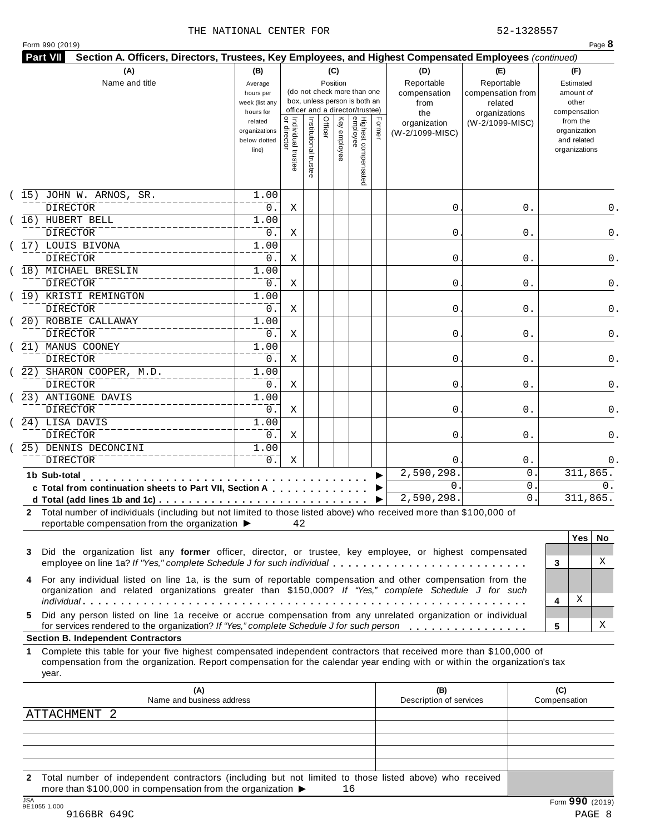#### THE NATIONAL CENTER FOR **52-1328557**

|             | (A)                                                                                                                                                                                                                                                                                           | (B)                                                 |                                           |                       |         | (C)          |                                                                                                 |        | (D)                                       | (E)                                                         | (F)                                                      |
|-------------|-----------------------------------------------------------------------------------------------------------------------------------------------------------------------------------------------------------------------------------------------------------------------------------------------|-----------------------------------------------------|-------------------------------------------|-----------------------|---------|--------------|-------------------------------------------------------------------------------------------------|--------|-------------------------------------------|-------------------------------------------------------------|----------------------------------------------------------|
|             | Name and title                                                                                                                                                                                                                                                                                | Average<br>hours per<br>week (list any<br>hours for |                                           |                       |         | Position     | (do not check more than one<br>box, unless person is both an<br>officer and a director/trustee) |        | Reportable<br>compensation<br>from<br>the | Reportable<br>compensation from<br>related<br>organizations | Estimated<br>amount of<br>other<br>compensation          |
|             |                                                                                                                                                                                                                                                                                               | related<br>organizations<br>below dotted<br>line)   | <br>  Individual trustee<br>  or director | Institutional trustee | Officer | Key employee | Highest compensated<br>employee                                                                 | Former | organization<br>(W-2/1099-MISC)           | (W-2/1099-MISC)                                             | from the<br>organization<br>and related<br>organizations |
|             | (15) JOHN W. ARNOS, SR.                                                                                                                                                                                                                                                                       | 1.00                                                |                                           |                       |         |              |                                                                                                 |        |                                           |                                                             |                                                          |
|             | <b>DIRECTOR</b><br>(16) HUBERT BELL                                                                                                                                                                                                                                                           | 0.<br>1.00                                          | Χ                                         |                       |         |              |                                                                                                 |        | 0                                         | 0.                                                          |                                                          |
|             | DIRECTOR                                                                                                                                                                                                                                                                                      | 0.                                                  | Χ                                         |                       |         |              |                                                                                                 |        | 0                                         | 0.                                                          |                                                          |
|             | (17) LOUIS BIVONA                                                                                                                                                                                                                                                                             | 1.00                                                |                                           |                       |         |              |                                                                                                 |        |                                           |                                                             |                                                          |
|             | <b>DIRECTOR</b>                                                                                                                                                                                                                                                                               | 0.                                                  | Χ                                         |                       |         |              |                                                                                                 |        | 0                                         | 0.                                                          |                                                          |
|             | (18) MICHAEL BRESLIN                                                                                                                                                                                                                                                                          | 1.00                                                |                                           |                       |         |              |                                                                                                 |        |                                           |                                                             |                                                          |
|             | DIRECTOR                                                                                                                                                                                                                                                                                      | 0.                                                  | Χ                                         |                       |         |              |                                                                                                 |        | 0                                         | 0.                                                          |                                                          |
|             | (19) KRISTI REMINGTON                                                                                                                                                                                                                                                                         | 1.00                                                |                                           |                       |         |              |                                                                                                 |        |                                           |                                                             |                                                          |
|             | DIRECTOR<br>20) ROBBIE CALLAWAY                                                                                                                                                                                                                                                               | $0$ .<br>1.00                                       | Χ                                         |                       |         |              |                                                                                                 |        | 0                                         | 0.                                                          |                                                          |
|             | <b>DIRECTOR</b>                                                                                                                                                                                                                                                                               | $0$ .                                               | Χ                                         |                       |         |              |                                                                                                 |        | 0                                         | 0.                                                          |                                                          |
|             | 21) MANUS COONEY                                                                                                                                                                                                                                                                              | 1.00                                                |                                           |                       |         |              |                                                                                                 |        |                                           |                                                             |                                                          |
|             | <b>DIRECTOR</b>                                                                                                                                                                                                                                                                               | $0$ .                                               | Χ                                         |                       |         |              |                                                                                                 |        | 0                                         | 0.                                                          |                                                          |
|             | 22) SHARON COOPER, M.D.                                                                                                                                                                                                                                                                       | 1.00                                                |                                           |                       |         |              |                                                                                                 |        |                                           |                                                             |                                                          |
|             | DIRECTOR                                                                                                                                                                                                                                                                                      | $0$ .                                               | Χ                                         |                       |         |              |                                                                                                 |        | 0                                         | 0.                                                          |                                                          |
|             | (23) ANTIGONE DAVIS                                                                                                                                                                                                                                                                           | 1.00                                                |                                           |                       |         |              |                                                                                                 |        |                                           |                                                             |                                                          |
|             | DIRECTOR<br>(24) LISA DAVIS                                                                                                                                                                                                                                                                   | $0$ .<br>1.00                                       | Χ                                         |                       |         |              |                                                                                                 |        | 0                                         | 0.                                                          |                                                          |
|             | <b>DIRECTOR</b>                                                                                                                                                                                                                                                                               | $0$ .                                               | Χ                                         |                       |         |              |                                                                                                 |        | 0                                         | 0.                                                          |                                                          |
|             | 25) DENNIS DECONCINI                                                                                                                                                                                                                                                                          | 1.00                                                |                                           |                       |         |              |                                                                                                 |        |                                           |                                                             |                                                          |
|             | <b>DIRECTOR</b>                                                                                                                                                                                                                                                                               | 0.                                                  | Χ                                         |                       |         |              |                                                                                                 |        | $\Omega$                                  | $0$ .                                                       |                                                          |
|             | 1b Sub-total<br>.                                                                                                                                                                                                                                                                             |                                                     |                                           |                       |         |              |                                                                                                 |        | 2,590,298                                 | 0                                                           | 311,865.                                                 |
|             | c Total from continuation sheets to Part VII, Section A                                                                                                                                                                                                                                       |                                                     |                                           |                       |         |              |                                                                                                 |        | $\mathbf{0}$ .                            | 0                                                           | 0.                                                       |
|             |                                                                                                                                                                                                                                                                                               |                                                     |                                           |                       |         |              |                                                                                                 |        | 2,590,298.                                | 0.                                                          | 311,865.                                                 |
|             | 2 Total number of individuals (including but not limited to those listed above) who received more than \$100,000 of<br>reportable compensation from the organization ▶                                                                                                                        |                                                     | 42                                        |                       |         |              |                                                                                                 |        |                                           |                                                             |                                                          |
| 3           | Did the organization list any former officer, director, or trustee, key employee, or highest compensated<br>employee on line 1a? If "Yes," complete Schedule J for such individual                                                                                                            |                                                     |                                           |                       |         |              |                                                                                                 |        |                                           |                                                             | <b>Yes</b><br>No.<br>X<br>3                              |
| 4           | For any individual listed on line 1a, is the sum of reportable compensation and other compensation from the<br>organization and related organizations greater than \$150,000? If "Yes," complete Schedule J for such                                                                          |                                                     |                                           |                       |         |              |                                                                                                 |        |                                           |                                                             | Χ<br>4                                                   |
| 5.          | Did any person listed on line 1a receive or accrue compensation from any unrelated organization or individual<br>for services rendered to the organization? If "Yes," complete Schedule J for such person                                                                                     |                                                     |                                           |                       |         |              |                                                                                                 |        |                                           |                                                             | X<br>5                                                   |
| 1.<br>year. | <b>Section B. Independent Contractors</b><br>Complete this table for your five highest compensated independent contractors that received more than \$100,000 of<br>compensation from the organization. Report compensation for the calendar year ending with or within the organization's tax |                                                     |                                           |                       |         |              |                                                                                                 |        |                                           |                                                             |                                                          |
|             | (A)<br>Name and business address                                                                                                                                                                                                                                                              |                                                     |                                           |                       |         |              |                                                                                                 |        | (B)<br>Description of services            |                                                             | (C)<br>Compensation                                      |
|             |                                                                                                                                                                                                                                                                                               |                                                     |                                           |                       |         |              |                                                                                                 |        |                                           |                                                             |                                                          |
|             | ATTACHMENT 2                                                                                                                                                                                                                                                                                  |                                                     |                                           |                       |         |              |                                                                                                 |        |                                           |                                                             |                                                          |
|             |                                                                                                                                                                                                                                                                                               |                                                     |                                           |                       |         |              |                                                                                                 |        |                                           |                                                             |                                                          |

**2** Total number of independent contractors (including but not limited to those listed above) who received<br>more than \$100,000 in compensation from the organization  $\rightarrow$  16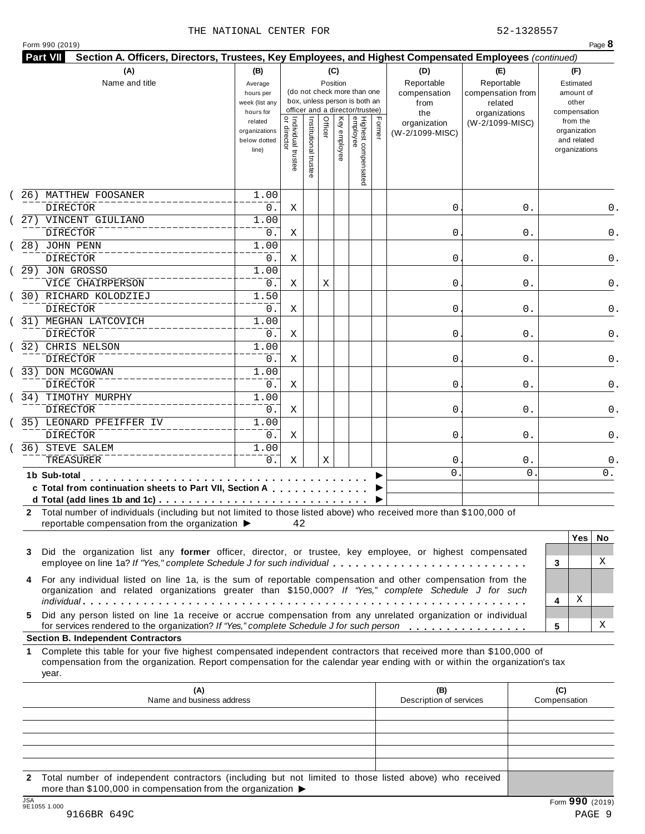#### THE NATIONAL CENTER FOR **1200 SET 1200 S**2-1328557

| (A)                                                                                                                                                                                                                                                                                               | (B)                                                                                                                                                   |                                     |                       | (C)     |              |                                 |        |                                           | (E)                                        | (F)                                                                      |
|---------------------------------------------------------------------------------------------------------------------------------------------------------------------------------------------------------------------------------------------------------------------------------------------------|-------------------------------------------------------------------------------------------------------------------------------------------------------|-------------------------------------|-----------------------|---------|--------------|---------------------------------|--------|-------------------------------------------|--------------------------------------------|--------------------------------------------------------------------------|
| Name and title                                                                                                                                                                                                                                                                                    | Position<br>Average<br>(do not check more than one<br>hours per<br>box, unless person is both an<br>week (list any<br>officer and a director/trustee) |                                     |                       |         |              |                                 |        | (D)<br>Reportable<br>compensation<br>from | Reportable<br>compensation from<br>related | Estimated<br>amount of<br>other                                          |
|                                                                                                                                                                                                                                                                                                   | hours for<br>related<br>organizations<br>below dotted<br>line)                                                                                        | Individual trustee<br>  or director | Institutional trustee | Officer | Key employee | Highest compensated<br>employee | Former | the<br>organization<br>(W-2/1099-MISC)    | organizations<br>(W-2/1099-MISC)           | compensation<br>from the<br>organization<br>and related<br>organizations |
| 26) MATTHEW FOOSANER<br>DIRECTOR                                                                                                                                                                                                                                                                  | 1.00<br>0.                                                                                                                                            | Χ                                   |                       |         |              |                                 |        | 0                                         | 0.                                         |                                                                          |
| 27) VINCENT GIULIANO                                                                                                                                                                                                                                                                              | 1.00                                                                                                                                                  |                                     |                       |         |              |                                 |        |                                           |                                            |                                                                          |
| <b>DIRECTOR</b>                                                                                                                                                                                                                                                                                   | 0.                                                                                                                                                    | Χ                                   |                       |         |              |                                 |        | 0                                         | 0.                                         |                                                                          |
| 28) JOHN PENN                                                                                                                                                                                                                                                                                     | 1.00                                                                                                                                                  |                                     |                       |         |              |                                 |        |                                           |                                            |                                                                          |
| <b>DIRECTOR</b>                                                                                                                                                                                                                                                                                   | 0.                                                                                                                                                    | Χ                                   |                       |         |              |                                 |        | 0                                         | 0.                                         |                                                                          |
| 29) JON GROSSO                                                                                                                                                                                                                                                                                    | 1.00                                                                                                                                                  |                                     |                       |         |              |                                 |        |                                           |                                            |                                                                          |
| VICE CHAIRPERSON                                                                                                                                                                                                                                                                                  | 0.                                                                                                                                                    |                                     |                       |         |              |                                 |        | 0                                         |                                            |                                                                          |
| 30) RICHARD KOLODZIEJ                                                                                                                                                                                                                                                                             | 1.50                                                                                                                                                  | Χ                                   |                       | Χ       |              |                                 |        |                                           | 0.                                         |                                                                          |
|                                                                                                                                                                                                                                                                                                   |                                                                                                                                                       |                                     |                       |         |              |                                 |        |                                           |                                            |                                                                          |
| DIRECTOR<br>31) MEGHAN LATCOVICH                                                                                                                                                                                                                                                                  | 0.<br>1.00                                                                                                                                            | Χ                                   |                       |         |              |                                 |        | 0                                         | 0.                                         |                                                                          |
| <b>DIRECTOR</b>                                                                                                                                                                                                                                                                                   | 0.                                                                                                                                                    | Χ                                   |                       |         |              |                                 |        | 0                                         | 0.                                         |                                                                          |
| 32) CHRIS NELSON                                                                                                                                                                                                                                                                                  | 1.00                                                                                                                                                  |                                     |                       |         |              |                                 |        |                                           |                                            |                                                                          |
| <b>DIRECTOR</b>                                                                                                                                                                                                                                                                                   | 0.                                                                                                                                                    |                                     |                       |         |              |                                 |        | 0                                         |                                            |                                                                          |
| 33) DON MCGOWAN                                                                                                                                                                                                                                                                                   | 1.00                                                                                                                                                  | Χ                                   |                       |         |              |                                 |        |                                           | 0.                                         |                                                                          |
|                                                                                                                                                                                                                                                                                                   |                                                                                                                                                       |                                     |                       |         |              |                                 |        |                                           |                                            |                                                                          |
| <b>DIRECTOR</b>                                                                                                                                                                                                                                                                                   | 0.                                                                                                                                                    | Χ                                   |                       |         |              |                                 |        | 0                                         | 0.                                         |                                                                          |
| 34) TIMOTHY MURPHY                                                                                                                                                                                                                                                                                | 1.00                                                                                                                                                  |                                     |                       |         |              |                                 |        |                                           |                                            |                                                                          |
| DIRECTOR                                                                                                                                                                                                                                                                                          | 0.                                                                                                                                                    | Χ                                   |                       |         |              |                                 |        | 0                                         | 0.                                         |                                                                          |
| 35) LEONARD PFEIFFER IV                                                                                                                                                                                                                                                                           | 1.00                                                                                                                                                  |                                     |                       |         |              |                                 |        |                                           |                                            |                                                                          |
| <b>DIRECTOR</b>                                                                                                                                                                                                                                                                                   | 0.                                                                                                                                                    | Χ                                   |                       |         |              |                                 |        | 0                                         | 0.                                         |                                                                          |
| 36) STEVE SALEM                                                                                                                                                                                                                                                                                   | 1.00                                                                                                                                                  |                                     |                       |         |              |                                 |        |                                           |                                            |                                                                          |
| <b>TREASURER</b>                                                                                                                                                                                                                                                                                  | 0.                                                                                                                                                    | Χ                                   |                       | Χ       |              |                                 |        | 0                                         | $0$ .                                      |                                                                          |
| 1b Sub-total<br>.<br>c Total from continuation sheets to Part VII, Section A<br>2 Total number of individuals (including but not limited to those listed above) who received more than \$100,000 of<br>reportable compensation from the organization ▶                                            |                                                                                                                                                       | 42                                  |                       |         |              |                                 |        | 0                                         | $\mathbf 0$                                | 0.                                                                       |
| Did the organization list any former officer, director, or trustee, key employee, or highest compensated<br>employee on line 1a? If "Yes," complete Schedule J for such individual<br>For any individual listed on line 1a, is the sum of reportable compensation and other compensation from the |                                                                                                                                                       |                                     |                       |         |              |                                 |        |                                           |                                            | <b>Yes</b><br>No.<br>X<br>3                                              |
| organization and related organizations greater than \$150,000? If "Yes," complete Schedule J for such                                                                                                                                                                                             |                                                                                                                                                       |                                     |                       |         |              |                                 |        |                                           |                                            | Χ<br>4                                                                   |
| Did any person listed on line 1a receive or accrue compensation from any unrelated organization or individual<br>for services rendered to the organization? If "Yes," complete Schedule J for such person                                                                                         |                                                                                                                                                       |                                     |                       |         |              |                                 |        |                                           |                                            | X<br>5                                                                   |
| <b>Section B. Independent Contractors</b>                                                                                                                                                                                                                                                         |                                                                                                                                                       |                                     |                       |         |              |                                 |        |                                           |                                            |                                                                          |
| Complete this table for your five highest compensated independent contractors that received more than \$100,000 of<br>compensation from the organization. Report compensation for the calendar year ending with or within the organization's tax<br>year.                                         |                                                                                                                                                       |                                     |                       |         |              |                                 |        |                                           |                                            |                                                                          |
| (A)<br>Name and business address                                                                                                                                                                                                                                                                  |                                                                                                                                                       |                                     |                       |         |              |                                 |        | (B)<br>Description of services            |                                            | (C)<br>Compensation                                                      |
|                                                                                                                                                                                                                                                                                                   |                                                                                                                                                       |                                     |                       |         |              |                                 |        |                                           |                                            |                                                                          |

**2** Total number of independent contractors (including but not limited to those listed above) who received more than \$100,000 in compensation from the organization  $\blacktriangleright$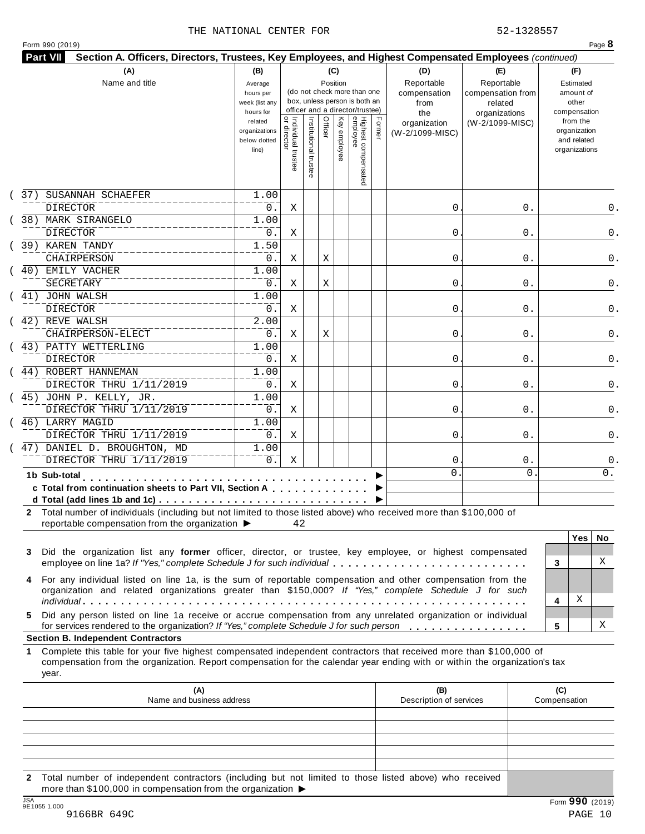#### THE NATIONAL CENTER FOR **52-1328557**

|  | Form 990 (2019) |  |
|--|-----------------|--|

| 37)         | (A)<br>Name and title<br>SUSANNAH SCHAEFER<br><b>DIRECTOR</b><br>38) MARK SIRANGELO<br>DIRECTOR<br>39) KAREN TANDY<br>CHAIRPERSON<br>40) EMILY VACHER<br><b>SECRETARY</b><br>41) JOHN WALSH                                                                                                    | (B)<br>Average<br>hours per<br>week (list any<br>hours for<br>related<br>organizations<br>below dotted<br>line)<br>1.00<br>0.<br>1.00<br>0.<br>1.50<br>0. | <br>  Individual trustee<br>  or director<br>Χ<br>Χ | Institutional trustee | (C)<br>Position<br>Officer | Key employee | (do not check more than one<br>box, unless person is both an<br>officer and a director/trustee)<br>Highest compensated<br>employee | Former | (D)<br>Reportable<br>compensation<br>from<br>the<br>organization<br>(W-2/1099-MISC)<br>0 | (E)<br>Reportable<br>compensation from<br>related<br>organizations<br>(W-2/1099-MISC)<br>0. | (F)<br>Estimated<br>amount of<br>other<br>compensation<br>from the<br>organization<br>and related<br>organizations |
|-------------|------------------------------------------------------------------------------------------------------------------------------------------------------------------------------------------------------------------------------------------------------------------------------------------------|-----------------------------------------------------------------------------------------------------------------------------------------------------------|-----------------------------------------------------|-----------------------|----------------------------|--------------|------------------------------------------------------------------------------------------------------------------------------------|--------|------------------------------------------------------------------------------------------|---------------------------------------------------------------------------------------------|--------------------------------------------------------------------------------------------------------------------|
|             |                                                                                                                                                                                                                                                                                                |                                                                                                                                                           |                                                     |                       |                            |              |                                                                                                                                    |        |                                                                                          |                                                                                             |                                                                                                                    |
|             |                                                                                                                                                                                                                                                                                                |                                                                                                                                                           |                                                     |                       |                            |              |                                                                                                                                    |        |                                                                                          |                                                                                             |                                                                                                                    |
|             |                                                                                                                                                                                                                                                                                                |                                                                                                                                                           |                                                     |                       |                            |              |                                                                                                                                    |        |                                                                                          |                                                                                             |                                                                                                                    |
|             |                                                                                                                                                                                                                                                                                                |                                                                                                                                                           |                                                     |                       |                            |              |                                                                                                                                    |        | 0                                                                                        | 0.                                                                                          |                                                                                                                    |
|             |                                                                                                                                                                                                                                                                                                |                                                                                                                                                           | Χ                                                   |                       | Χ                          |              |                                                                                                                                    |        | 0                                                                                        | 0.                                                                                          |                                                                                                                    |
|             |                                                                                                                                                                                                                                                                                                | 1.00<br>0.                                                                                                                                                | Χ                                                   |                       | Χ                          |              |                                                                                                                                    |        | 0                                                                                        | 0.                                                                                          |                                                                                                                    |
|             | <b>DIRECTOR</b>                                                                                                                                                                                                                                                                                | 1.00<br>0.                                                                                                                                                | Χ                                                   |                       |                            |              |                                                                                                                                    |        | 0                                                                                        | 0.                                                                                          |                                                                                                                    |
|             | 42) REVE WALSH<br>CHAIRPERSON-ELECT                                                                                                                                                                                                                                                            | 2.00<br>0.                                                                                                                                                | Χ                                                   |                       | Χ                          |              |                                                                                                                                    |        | 0                                                                                        | 0.                                                                                          |                                                                                                                    |
|             | 43) PATTY WETTERLING<br><b>DIRECTOR</b>                                                                                                                                                                                                                                                        | 1.00<br>0.                                                                                                                                                | Χ                                                   |                       |                            |              |                                                                                                                                    |        | 0                                                                                        | 0.                                                                                          |                                                                                                                    |
|             | 44) ROBERT HANNEMAN<br>DIRECTOR THRU 1/11/2019<br>45) JOHN P. KELLY, JR.                                                                                                                                                                                                                       | 1.00<br>0.<br>1.00                                                                                                                                        | Χ                                                   |                       |                            |              |                                                                                                                                    |        | 0                                                                                        | 0.                                                                                          |                                                                                                                    |
|             | DIRECTOR THRU 1/11/2019<br>46) LARRY MAGID                                                                                                                                                                                                                                                     | 0.<br>1.00                                                                                                                                                | Χ                                                   |                       |                            |              |                                                                                                                                    |        | 0                                                                                        | 0.                                                                                          |                                                                                                                    |
|             | DIRECTOR THRU 1/11/2019<br>47) DANIEL D. BROUGHTON, MD                                                                                                                                                                                                                                         | $0$ .<br>1.00                                                                                                                                             | Χ                                                   |                       |                            |              |                                                                                                                                    |        | 0                                                                                        | 0.                                                                                          |                                                                                                                    |
|             | DIRECTOR THRU 1/11/2019<br>1b Sub-total                                                                                                                                                                                                                                                        | 0.                                                                                                                                                        | Χ                                                   |                       |                            |              |                                                                                                                                    |        | 0<br>$\mathbf 0$                                                                         | $0$ .<br>$\mathbf{0}$                                                                       | 0.                                                                                                                 |
|             | c Total from continuation sheets to Part VII, Section A                                                                                                                                                                                                                                        |                                                                                                                                                           |                                                     |                       |                            |              |                                                                                                                                    |        |                                                                                          |                                                                                             |                                                                                                                    |
|             | 2 Total number of individuals (including but not limited to those listed above) who received more than \$100,000 of<br>reportable compensation from the organization ▶                                                                                                                         |                                                                                                                                                           | 42                                                  |                       |                            |              |                                                                                                                                    |        |                                                                                          |                                                                                             |                                                                                                                    |
| 3           | Did the organization list any former officer, director, or trustee, key employee, or highest compensated                                                                                                                                                                                       |                                                                                                                                                           |                                                     |                       |                            |              |                                                                                                                                    |        |                                                                                          |                                                                                             | <b>Yes</b><br>No.<br>X                                                                                             |
| 4           | employee on line 1a? If "Yes," complete Schedule J for such individual<br>For any individual listed on line 1a, is the sum of reportable compensation and other compensation from the<br>organization and related organizations greater than \$150,000? If "Yes," complete Schedule J for such |                                                                                                                                                           |                                                     |                       |                            |              |                                                                                                                                    |        |                                                                                          |                                                                                             | 3<br>Χ                                                                                                             |
| 5.          | Did any person listed on line 1a receive or accrue compensation from any unrelated organization or individual<br>for services rendered to the organization? If "Yes," complete Schedule J for such person                                                                                      |                                                                                                                                                           |                                                     |                       |                            |              |                                                                                                                                    |        |                                                                                          |                                                                                             | 4<br>X<br>5                                                                                                        |
| 1.<br>year. | <b>Section B. Independent Contractors</b><br>Complete this table for your five highest compensated independent contractors that received more than \$100,000 of<br>compensation from the organization. Report compensation for the calendar year ending with or within the organization's tax  |                                                                                                                                                           |                                                     |                       |                            |              |                                                                                                                                    |        |                                                                                          |                                                                                             |                                                                                                                    |
|             | (A)<br>Name and business address                                                                                                                                                                                                                                                               |                                                                                                                                                           |                                                     |                       |                            |              |                                                                                                                                    |        | (B)<br>Description of services                                                           |                                                                                             | (C)<br>Compensation                                                                                                |
|             |                                                                                                                                                                                                                                                                                                |                                                                                                                                                           |                                                     |                       |                            |              |                                                                                                                                    |        |                                                                                          |                                                                                             |                                                                                                                    |

**2** Total number of independent contractors (including but not limited to those listed above) who received more than \$100,000 in compensation from the organization  $\blacktriangleright$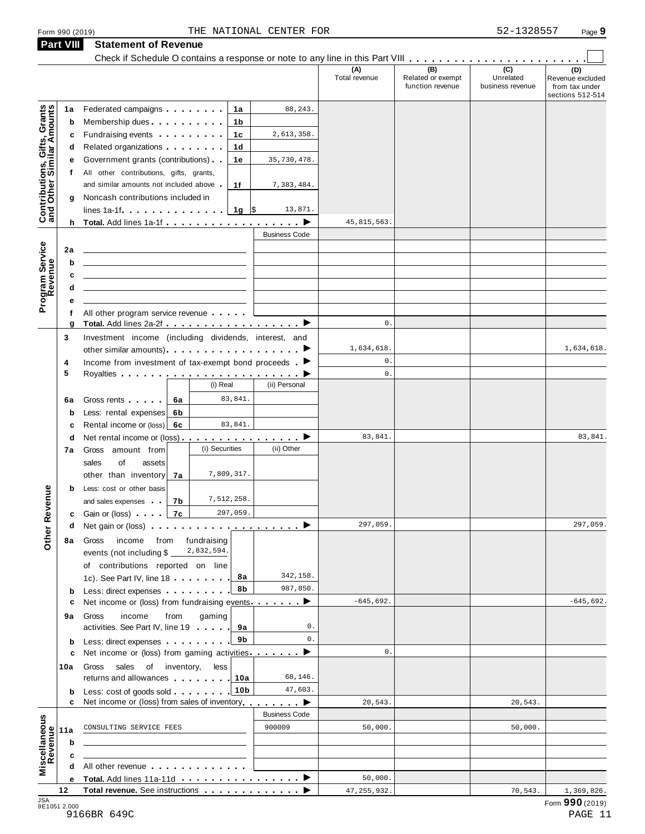|                                                           |              | Check if Schedule O contains a response or note to any line in this Part VIII                                   |                |                      | (A)<br>Total revenue | (B)<br>Related or exempt<br>function revenue | $\overline{C}$<br>Unrelated<br>business revenue | (D)<br>Revenue excluded<br>from tax under<br>sections 512-514 |
|-----------------------------------------------------------|--------------|-----------------------------------------------------------------------------------------------------------------|----------------|----------------------|----------------------|----------------------------------------------|-------------------------------------------------|---------------------------------------------------------------|
|                                                           | 1a           | Federated campaigns <b>Federated</b>                                                                            | 1а             | 88, 243.             |                      |                                              |                                                 |                                                               |
| Contributions, Gifts, Grants<br>and Other Similar Amounts | b            | Membership dues <b>All Accords</b> Membership dues                                                              | 1b             |                      |                      |                                              |                                                 |                                                               |
|                                                           | c            | Fundraising events <b>Fundraising</b>                                                                           | 1c             | 2,613,358.           |                      |                                              |                                                 |                                                               |
|                                                           | d            | Related organizations <b>contains</b>                                                                           | 1 d            |                      |                      |                                              |                                                 |                                                               |
|                                                           | е            | Government grants (contributions).                                                                              | 1e             | 35,730,478.          |                      |                                              |                                                 |                                                               |
|                                                           | $^{\dagger}$ | All other contributions, gifts, grants,                                                                         |                |                      |                      |                                              |                                                 |                                                               |
|                                                           |              | and similar amounts not included above                                                                          | 1f             | 7,383,484.           |                      |                                              |                                                 |                                                               |
|                                                           | g            | Noncash contributions included in                                                                               |                |                      |                      |                                              |                                                 |                                                               |
|                                                           |              | lines 1a-1f. $\ldots$ . $\ldots$ . $\ldots$ .                                                                   | $1g$ \$        | 13,871.              |                      |                                              |                                                 |                                                               |
|                                                           |              |                                                                                                                 |                |                      | 45,815,563.          |                                              |                                                 |                                                               |
|                                                           |              |                                                                                                                 |                | <b>Business Code</b> |                      |                                              |                                                 |                                                               |
|                                                           | 2a           |                                                                                                                 |                |                      |                      |                                              |                                                 |                                                               |
|                                                           | b            |                                                                                                                 |                |                      |                      |                                              |                                                 |                                                               |
| Program Service<br>Revenue                                | c            |                                                                                                                 |                |                      |                      |                                              |                                                 |                                                               |
|                                                           | d            |                                                                                                                 |                |                      |                      |                                              |                                                 |                                                               |
|                                                           |              | All other program service revenue                                                                               |                |                      |                      |                                              |                                                 |                                                               |
|                                                           | g            | Total. Add lines 2a-2f ▶                                                                                        |                |                      | $\mathbb O$ .        |                                              |                                                 |                                                               |
|                                                           | 3            | Investment income (including dividends, interest, and                                                           |                |                      |                      |                                              |                                                 |                                                               |
|                                                           |              |                                                                                                                 |                |                      | 1,634,618.           |                                              |                                                 | 1,634,618.                                                    |
|                                                           | 4            | Income from investment of tax-exempt bond proceeds $\blacksquare$                                               |                |                      | $\mathbb O$ .        |                                              |                                                 |                                                               |
|                                                           | 5            |                                                                                                                 |                |                      | $\mathbb O$ .        |                                              |                                                 |                                                               |
|                                                           |              |                                                                                                                 | (i) Real       | (ii) Personal        |                      |                                              |                                                 |                                                               |
|                                                           | 6a           | Gross rents  <br>6а                                                                                             | 83,841.        |                      |                      |                                              |                                                 |                                                               |
|                                                           | b            | Less: rental expenses<br>6b                                                                                     |                |                      |                      |                                              |                                                 |                                                               |
|                                                           | c            | Rental income or (loss) 6c                                                                                      | 83,841.        |                      |                      |                                              |                                                 |                                                               |
|                                                           | d            | Net rental income or (loss) ▶                                                                                   |                |                      | 83,841.              |                                              |                                                 | 83,841.                                                       |
|                                                           | 7a           | Gross amount from                                                                                               | (i) Securities | (ii) Other           |                      |                                              |                                                 |                                                               |
|                                                           |              | sales<br>of<br>assets                                                                                           | 7,809,317.     |                      |                      |                                              |                                                 |                                                               |
|                                                           |              | other than inventory<br>7a                                                                                      |                |                      |                      |                                              |                                                 |                                                               |
|                                                           | b            | Less: cost or other basis<br>7b<br>and sales expenses                                                           | 7,512,258.     |                      |                      |                                              |                                                 |                                                               |
| evenue                                                    |              | 7c<br><b>c</b> Gain or (loss) <b>c</b>                                                                          | 297,059.       |                      |                      |                                              |                                                 |                                                               |
|                                                           | d            | Net gain or (loss) $\cdots$ $\cdots$ $\cdots$ $\cdots$ $\cdots$ $\cdots$                                        |                |                      | 297,059.             |                                              |                                                 | 297,059.                                                      |
| Other <sub>R</sub>                                        | 8а           | income from fundraising<br>Gross                                                                                |                |                      |                      |                                              |                                                 |                                                               |
|                                                           |              | events (not including $$$ $-$                                                                                   | 2,832,594.     |                      |                      |                                              |                                                 |                                                               |
|                                                           |              | of contributions reported on line                                                                               |                |                      |                      |                                              |                                                 |                                                               |
|                                                           |              | 1c). See Part IV, line 18                                                                                       | 8a             | 342,158.             |                      |                                              |                                                 |                                                               |
|                                                           | b            | Less: direct expenses                                                                                           | 8b             | 987,850.             |                      |                                              |                                                 |                                                               |
|                                                           | c            | Net income or (loss) from fundraising events ▶                                                                  |                |                      | $-645,692.$          |                                              |                                                 | $-645,692.$                                                   |
|                                                           | 9а           | Gross<br>income<br>from                                                                                         | gaming         |                      |                      |                                              |                                                 |                                                               |
|                                                           |              | activities. See Part IV, line 19                                                                                | 9а             | 0.                   |                      |                                              |                                                 |                                                               |
|                                                           | b            | Less: direct expenses                                                                                           | 9b             | $0$ .                | $\mathbb O$ .        |                                              |                                                 |                                                               |
|                                                           | с            | Net income or (loss) from gaming activities                                                                     |                | ▸                    |                      |                                              |                                                 |                                                               |
|                                                           | 10a          | Gross sales of inventory,<br>returns and allowances   10a                                                       | less           | 68,146.              |                      |                                              |                                                 |                                                               |
|                                                           |              | Less: cost of goods sold 10b                                                                                    |                | 47,603.              |                      |                                              |                                                 |                                                               |
|                                                           | b<br>c       | Net income or (loss) from sales of inventory                                                                    |                | $\blacksquare$       | 20,543.              |                                              | 20,543.                                         |                                                               |
|                                                           |              |                                                                                                                 |                | <b>Business Code</b> |                      |                                              |                                                 |                                                               |
|                                                           | 11a          | CONSULTING SERVICE FEES                                                                                         |                | 900009               | 50,000.              |                                              | 50,000.                                         |                                                               |
|                                                           | b            |                                                                                                                 |                |                      |                      |                                              |                                                 |                                                               |
| Miscellaneous<br>Revenue                                  | c            |                                                                                                                 |                |                      |                      |                                              |                                                 |                                                               |
|                                                           |              | All other revenue example and the state of the state of the state of the state of the state of the state of the |                |                      |                      |                                              |                                                 |                                                               |
|                                                           | е            |                                                                                                                 |                |                      | 50,000.              |                                              |                                                 |                                                               |
|                                                           | 12           | Total revenue. See instructions                                                                                 |                |                      | 47, 255, 932.        |                                              | 70,543.                                         | 1,369,826.                                                    |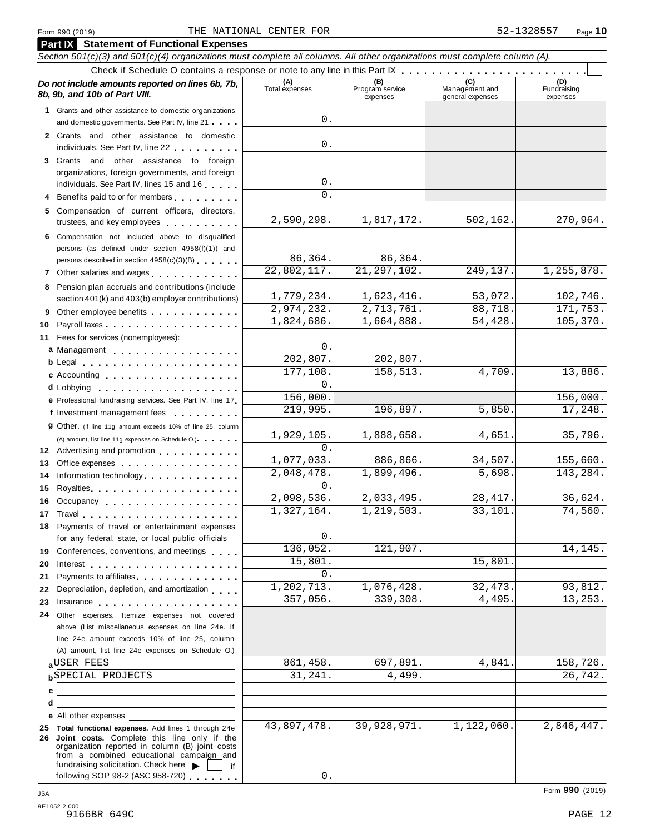#### Form <sup>990</sup> (2019) Page **10** THE NATIONAL CENTER FOR 52-1328557

| <b>Part IX</b> Statement of Functional Expenses<br>Section 501(c)(3) and 501(c)(4) organizations must complete all columns. All other organizations must complete column (A).                                                        |                         |                                    |                                    |                                |
|--------------------------------------------------------------------------------------------------------------------------------------------------------------------------------------------------------------------------------------|-------------------------|------------------------------------|------------------------------------|--------------------------------|
|                                                                                                                                                                                                                                      |                         |                                    |                                    |                                |
| Do not include amounts reported on lines 6b, 7b,<br>8b, 9b, and 10b of Part VIII.                                                                                                                                                    | (A)<br>Total expenses   | (B)<br>Program service<br>expenses | Management and<br>general expenses | (D)<br>Fundraising<br>expenses |
| 1 Grants and other assistance to domestic organizations                                                                                                                                                                              |                         |                                    |                                    |                                |
| and domestic governments. See Part IV, line 21                                                                                                                                                                                       | $0$ .                   |                                    |                                    |                                |
| 2 Grants and other assistance to domestic                                                                                                                                                                                            |                         |                                    |                                    |                                |
| individuals. See Part IV, line 22                                                                                                                                                                                                    | $\mathsf{O}$            |                                    |                                    |                                |
| 3 Grants and other assistance to foreign                                                                                                                                                                                             |                         |                                    |                                    |                                |
| organizations, foreign governments, and foreign                                                                                                                                                                                      | 0                       |                                    |                                    |                                |
| individuals. See Part IV, lines 15 and 16<br>Benefits paid to or for members                                                                                                                                                         | $\Omega$                |                                    |                                    |                                |
| 5 Compensation of current officers, directors,                                                                                                                                                                                       |                         |                                    |                                    |                                |
| trustees, and key employees                                                                                                                                                                                                          | 2,590,298.              | 1,817,172.                         | 502,162.                           | 270,964.                       |
| 6 Compensation not included above to disqualified                                                                                                                                                                                    |                         |                                    |                                    |                                |
| persons (as defined under section 4958(f)(1)) and                                                                                                                                                                                    |                         |                                    |                                    |                                |
| persons described in section 4958(c)(3)(B)                                                                                                                                                                                           | 86,364.                 | 86,364.                            |                                    |                                |
|                                                                                                                                                                                                                                      | 22,802,117.             | 21, 297, 102.                      | 249,137.                           | 1,255,878.                     |
| 8 Pension plan accruals and contributions (include                                                                                                                                                                                   |                         |                                    |                                    |                                |
| section 401(k) and 403(b) employer contributions)                                                                                                                                                                                    | 1,779,234.              | 1,623,416.                         | 53,072.                            | 102,746.                       |
| Other employee benefits<br>9                                                                                                                                                                                                         | 2,974,232.              | 2,713,761.                         | 88,718.                            | 171,753.                       |
| 10                                                                                                                                                                                                                                   | 1,824,686.              | 1,664,888.                         | 54,428.                            | 105,370.                       |
| 11 Fees for services (nonemployees):                                                                                                                                                                                                 | 0                       |                                    |                                    |                                |
| a Management                                                                                                                                                                                                                         | $\overline{202, 807}$ . | 202,807.                           |                                    |                                |
|                                                                                                                                                                                                                                      | 177,108.                | 158,513.                           | 4,709.                             | 13,886.                        |
| c Accounting                                                                                                                                                                                                                         | $\Omega$                |                                    |                                    |                                |
|                                                                                                                                                                                                                                      | 156,000.                |                                    |                                    | 156,000.                       |
| e Professional fundraising services. See Part IV, line 17<br>f Investment management fees                                                                                                                                            | 219,995.                | 196,897.                           | 5,850.                             | 17,248.                        |
| <b>g</b> Other. (If line 11g amount exceeds 10% of line 25, column                                                                                                                                                                   |                         |                                    |                                    |                                |
| (A) amount, list line 11g expenses on Schedule O.).                                                                                                                                                                                  | 1,929,105.              | 1,888,658.                         | 4,651.                             | 35,796.                        |
| 12 Advertising and promotion                                                                                                                                                                                                         | $\Omega$ .              |                                    |                                    |                                |
| Office expenses<br>13                                                                                                                                                                                                                | 1,077,033.              | 886,866.                           | 34,507.                            | 155,660.                       |
| Information technology experience and the state of the state of the state of the state of the state of the state of the state of the state of the state of the state of the state of the state of the state of the state of th<br>14 | 2,048,478.              | 1,899,496.                         | 5,698.                             | 143,284.                       |
| 15<br>Royalties                                                                                                                                                                                                                      | $\Omega$ .              |                                    |                                    |                                |
| 16 Occupancy                                                                                                                                                                                                                         | 2,098,536.              | 2,033,495.                         | 28, 417.                           | 36,624.                        |
|                                                                                                                                                                                                                                      | 1,327,164               | 1,219,503.                         | 33,101.                            | 74,560.                        |
| 18 Payments of travel or entertainment expenses                                                                                                                                                                                      |                         |                                    |                                    |                                |
| for any federal, state, or local public officials                                                                                                                                                                                    | 0                       |                                    |                                    |                                |
| 19 Conferences, conventions, and meetings                                                                                                                                                                                            | 136,052.<br>15,801.     | 121,907.                           | 15,801.                            | 14,145.                        |
| 20<br>Interest $\ldots$ , $\ldots$ , $\ldots$ , $\ldots$ , $\ldots$ , $\ldots$ , $\ldots$                                                                                                                                            | $\mathsf{O}$ .          |                                    |                                    |                                |
| Payments to affiliates <b>All Accords</b> Payments to affiliates<br>21<br>Depreciation, depletion, and amortization<br>22                                                                                                            | 1,202,713.              | 1,076,428.                         | 32, 473.                           | 93,812.                        |
| 23<br>Insurance experience and the set of the set of the set of the set of the set of the set of the set of the set of the set of the set of the set of the set of the set of the set of the set of the set of the set of the set of | 357,056.                | 339,308.                           | 4,495.                             | 13,253.                        |
| 24 Other expenses. Itemize expenses not covered                                                                                                                                                                                      |                         |                                    |                                    |                                |
| above (List miscellaneous expenses on line 24e. If                                                                                                                                                                                   |                         |                                    |                                    |                                |
| line 24e amount exceeds 10% of line 25, column                                                                                                                                                                                       |                         |                                    |                                    |                                |
| (A) amount, list line 24e expenses on Schedule O.)                                                                                                                                                                                   |                         |                                    |                                    |                                |
| aUSER FEES                                                                                                                                                                                                                           | 861,458.                | 697,891.                           | 4,841.                             | 158,726.                       |
| <b>b</b> SPECIAL PROJECTS                                                                                                                                                                                                            | 31,241.                 | 4,499.                             |                                    | 26,742.                        |
| c.<br>the control of the control of the control of the control of the control of                                                                                                                                                     |                         |                                    |                                    |                                |
| d                                                                                                                                                                                                                                    |                         |                                    |                                    |                                |
| e All other expenses                                                                                                                                                                                                                 |                         |                                    |                                    |                                |
| 25 Total functional expenses. Add lines 1 through 24e<br>Joint costs. Complete this line only if the<br>26                                                                                                                           | 43,897,478.             | 39,928,971.                        | 1,122,060.                         | 2,846,447.                     |
| organization reported in column (B) joint costs<br>from a combined educational campaign and                                                                                                                                          |                         |                                    |                                    |                                |
| fundraising solicitation. Check here $\blacktriangleright$<br>if<br>following SOP 08-2 (ASC 058-720)                                                                                                                                 |                         |                                    |                                    |                                |

0.

following SOP 98-2 (ASC 958-720)  $\overline{\cdots}$  .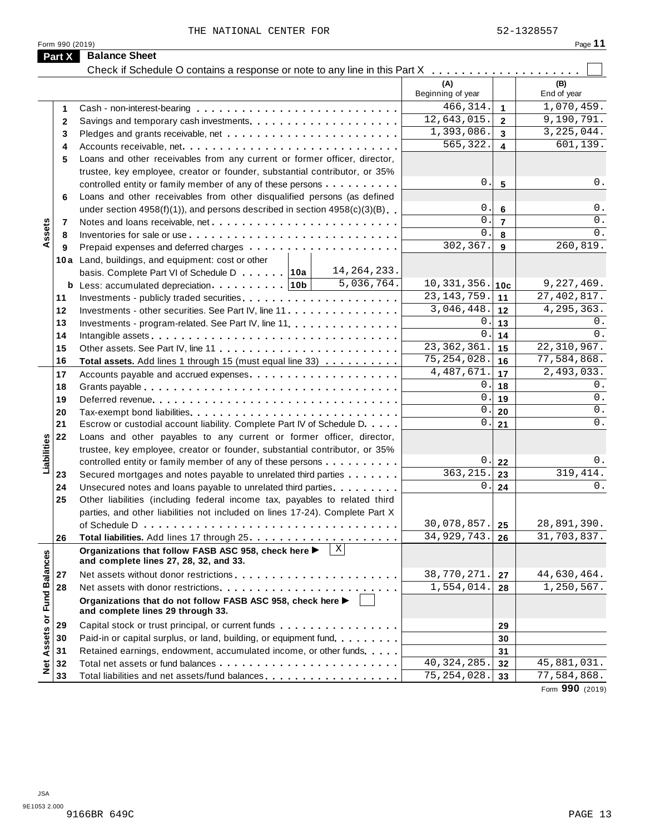THE NATIONAL CENTER FOR **1200** 52-1328557

|                      |                                                                                                      | (A)<br>Beginning of year |                      | (B)<br>End of year |
|----------------------|------------------------------------------------------------------------------------------------------|--------------------------|----------------------|--------------------|
| 1                    |                                                                                                      | $\overline{466,314}$ .   | $\blacktriangleleft$ | 1,070,459.         |
| $\mathbf{2}$         |                                                                                                      | 12,643,015.              | $\overline{2}$       | 9,190,791.         |
| 3                    |                                                                                                      | 1,393,086.               | $\mathbf{3}$         | 3, 225, 044.       |
| 4                    |                                                                                                      | 565,322.                 | $\overline{4}$       | 601,139.           |
| 5                    | Loans and other receivables from any current or former officer, director,                            |                          |                      |                    |
|                      | trustee, key employee, creator or founder, substantial contributor, or 35%                           |                          |                      |                    |
|                      | controlled entity or family member of any of these persons                                           | 0.                       | $5\phantom{1}$       | 0.                 |
| 6                    | Loans and other receivables from other disqualified persons (as defined                              |                          |                      |                    |
|                      | under section $4958(f)(1)$ , and persons described in section $4958(c)(3)(B)$                        | 0.                       | $6\phantom{1}6$      | 0.                 |
|                      |                                                                                                      | 0.                       | $\overline{7}$       | 0.                 |
| Assets<br>7          |                                                                                                      | 0.                       | 8                    | 0.                 |
| 8                    |                                                                                                      | 302,367.                 | 9                    | 260, 819.          |
| 9                    |                                                                                                      |                          |                      |                    |
|                      | 10a Land, buildings, and equipment: cost or other<br>14, 264, 233.                                   |                          |                      |                    |
|                      | basis. Complete Part VI of Schedule D 10a<br>5,036,764.                                              | 10, 331, 356.            |                      | 9,227,469.         |
|                      |                                                                                                      | 23, 143, 759.            | 10c                  | 27, 402, 817.      |
| 11                   |                                                                                                      | 3,046,448.               | 11                   | 4, 295, 363.       |
| 12                   |                                                                                                      |                          | 12                   |                    |
| 13                   | Investments - program-related. See Part IV, line 11.                                                 | 0.                       | 13                   | 0.<br>0.           |
| 14                   |                                                                                                      | 0.                       | 14                   |                    |
| 15                   |                                                                                                      | 23, 362, 361.            | 15                   | 22,310,967.        |
| 16                   | Total assets. Add lines 1 through 15 (must equal line 33)                                            | 75, 254, 028.            | 16                   | 77,584,868.        |
| 17                   |                                                                                                      | 4, 487, 671.             | 17                   | 2,493,033.         |
| 18                   |                                                                                                      | 0.                       | 18                   | 0.                 |
| 19                   |                                                                                                      | 0.                       | 19                   | $0$ .              |
| 20                   |                                                                                                      | 0.                       | 20                   | 0.                 |
| 21                   | Escrow or custodial account liability. Complete Part IV of Schedule D.                               | 0.                       | 21                   | $0$ .              |
| 22                   | Loans and other payables to any current or former officer, director,                                 |                          |                      |                    |
|                      | trustee, key employee, creator or founder, substantial contributor, or 35%                           |                          |                      |                    |
| Liabilities          | controlled entity or family member of any of these persons                                           | 0.                       | 22                   | 0.                 |
| 23                   | Secured mortgages and notes payable to unrelated third parties                                       | 363, 215.                | 23                   | 319,414.           |
| 24                   | Unsecured notes and loans payable to unrelated third parties                                         | 0.1                      | 24                   | 0.                 |
| 25                   | Other liabilities (including federal income tax, payables to related third                           |                          |                      |                    |
|                      | parties, and other liabilities not included on lines 17-24). Complete Part X                         |                          |                      |                    |
|                      |                                                                                                      | 30,078,857.              | 25                   | 28,891,390.        |
| 26                   |                                                                                                      | 34, 929, 743.            | 26                   | 31,703,837.        |
|                      | X <br>Organizations that follow FASB ASC 958, check here ▶<br>and complete lines 27, 28, 32, and 33. |                          |                      |                    |
| 27                   |                                                                                                      | 38,770,271.              | 27                   | 44,630,464.        |
| 28                   |                                                                                                      | 1,554,014.               | 28                   | 1,250,567.         |
| <b>Fund Balances</b> | Organizations that do not follow FASB ASC 958, check here ▶<br>and complete lines 29 through 33.     |                          |                      |                    |
| 29                   | Capital stock or trust principal, or current funds                                                   |                          | 29                   |                    |
| 30                   | Paid-in or capital surplus, or land, building, or equipment fund.                                    |                          | 30                   |                    |
| Assets or<br>31      | Retained earnings, endowment, accumulated income, or other funds                                     |                          | 31                   |                    |
| $\frac{1}{2}$<br>32  |                                                                                                      | 40, 324, 285.            | 32                   | 45,881,031.        |
|                      | Total liabilities and net assets/fund balances                                                       | 75, 254, 028.            | 33                   | 77,584,868.        |

Form **990** (2019)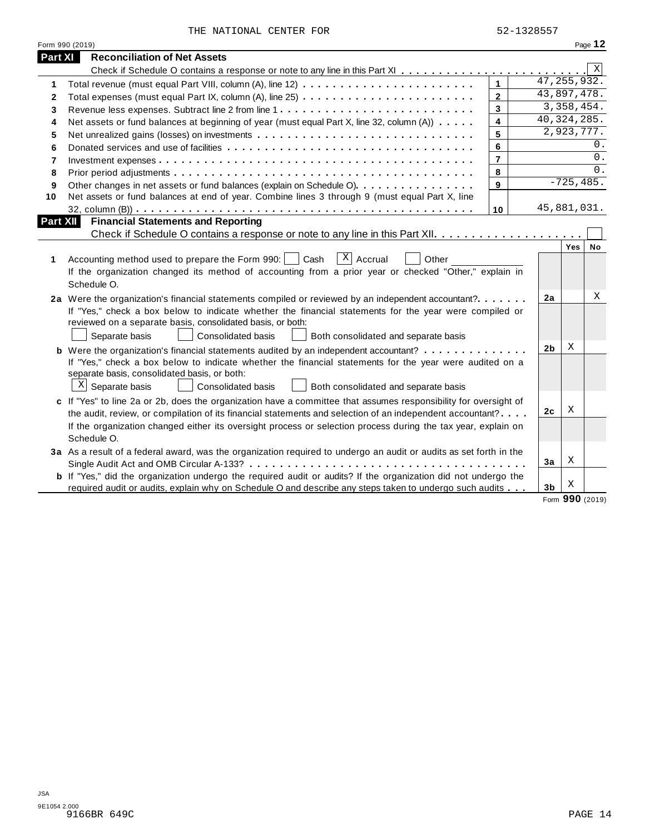|  | THE NATIONAL CENTER FOR |  |  |
|--|-------------------------|--|--|
|--|-------------------------|--|--|

|                 | THE NATIONAL CENTER FOR                                                                                               |                         | 52-1328557     |                          |     |           |
|-----------------|-----------------------------------------------------------------------------------------------------------------------|-------------------------|----------------|--------------------------|-----|-----------|
|                 | Form 990 (2019)                                                                                                       |                         |                |                          |     | Page 12   |
| Part XI         | <b>Reconciliation of Net Assets</b>                                                                                   |                         |                |                          |     |           |
|                 |                                                                                                                       |                         |                |                          |     | X         |
| 1               |                                                                                                                       |                         |                | $\overline{47,255,9}32.$ |     |           |
| $\mathbf{2}$    |                                                                                                                       | $\mathbf{2}$            |                | 43,897,478.              |     |           |
| 3               | Revenue less expenses. Subtract line 2 from line 1                                                                    | $\overline{\mathbf{3}}$ |                | 3,358,454.               |     |           |
| 4               | Net assets or fund balances at beginning of year (must equal Part X, line 32, column (A))                             | $\overline{\mathbf{4}}$ |                | 40, 324, 285.            |     |           |
| 5               |                                                                                                                       | 5                       |                | 2,923,777.               |     |           |
| 6               |                                                                                                                       | 6                       |                |                          |     | 0.        |
| 7               |                                                                                                                       | $\overline{7}$          |                |                          |     | 0.        |
| 8               |                                                                                                                       | 8                       |                |                          |     | $0$ .     |
| 9               | Other changes in net assets or fund balances (explain on Schedule O).                                                 | 9                       |                | $-725, 485.$             |     |           |
| 10              | Net assets or fund balances at end of year. Combine lines 3 through 9 (must equal Part X, line                        |                         |                |                          |     |           |
|                 |                                                                                                                       | 10                      |                | 45,881,031.              |     |           |
| <b>Part XII</b> | <b>Financial Statements and Reporting</b>                                                                             |                         |                |                          |     |           |
|                 |                                                                                                                       |                         |                |                          |     |           |
|                 |                                                                                                                       |                         |                |                          | Yes | <b>No</b> |
| 1               | $X$ Accrual<br>Accounting method used to prepare the Form 990:<br>Cash<br>Other                                       |                         |                |                          |     |           |
|                 | If the organization changed its method of accounting from a prior year or checked "Other," explain in                 |                         |                |                          |     |           |
|                 | Schedule O.                                                                                                           |                         |                |                          |     |           |
|                 | 2a Were the organization's financial statements compiled or reviewed by an independent accountant?                    |                         | 2a             |                          |     | Χ         |
|                 | If "Yes," check a box below to indicate whether the financial statements for the year were compiled or                |                         |                |                          |     |           |
|                 | reviewed on a separate basis, consolidated basis, or both:                                                            |                         |                |                          |     |           |
|                 | Separate basis<br>Consolidated basis<br>Both consolidated and separate basis                                          |                         |                |                          |     |           |
|                 | <b>b</b> Were the organization's financial statements audited by an independent accountant?                           |                         | 2 <sub>b</sub> | X                        |     |           |
|                 | If "Yes," check a box below to indicate whether the financial statements for the year were audited on a               |                         |                |                          |     |           |
|                 | separate basis, consolidated basis, or both:                                                                          |                         |                |                          |     |           |
|                 | $\mathbb{X}$ Separate basis<br>Consolidated basis<br>Both consolidated and separate basis                             |                         |                |                          |     |           |
|                 | c If "Yes" to line 2a or 2b, does the organization have a committee that assumes responsibility for oversight of      |                         |                |                          |     |           |
|                 | the audit, review, or compilation of its financial statements and selection of an independent accountant?             |                         | 2c             | Χ                        |     |           |
|                 | If the organization changed either its oversight process or selection process during the tax year, explain on         |                         |                |                          |     |           |
|                 | Schedule O.                                                                                                           |                         |                |                          |     |           |
|                 | 3a As a result of a federal award, was the organization required to undergo an audit or audits as set forth in the    |                         |                |                          |     |           |
|                 | Single Audit Act and OMB Circular A-133?                                                                              |                         | 3a             | Χ                        |     |           |
|                 | <b>b</b> If "Yes," did the organization undergo the required audit or audits? If the organization did not undergo the |                         |                |                          |     |           |
|                 | required audit or audits, explain why on Schedule O and describe any steps taken to undergo such audits               |                         | 3 <sub>b</sub> | X                        |     |           |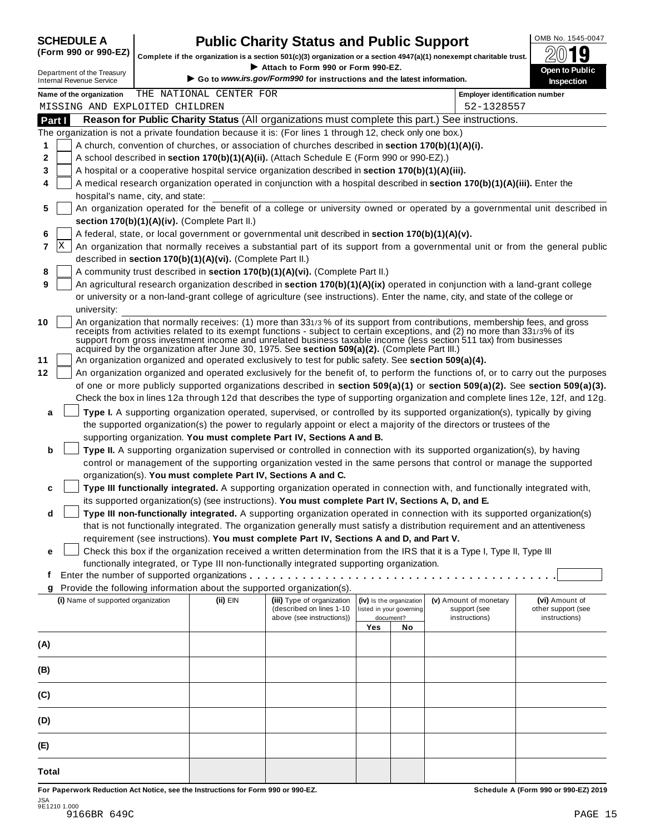| <b>SCHEDULE A</b> |  |
|-------------------|--|
|                   |  |

# **CHEDULE A Public Charity Status and Public Support**  $\frac{100\text{dB No. }1545-0047}{000\text{dB}}$

(Form 990 or 990-EZ) complete if the organization is a section 501(c)(3) organization or a section 4947(a)(1) nonexempt charitable trust.  $2019$ 

|        |                                                               |                                                            | Complete if the organization is a section 501(c)(3) organization or a section $4947(a)(1)$ nonexempt charitable trust.<br>Attach to Form 990 or Form 990-EZ. |     |                                       |                                                                                                                                                                                                                                                                                                                                                                                 | ZW IJ                                                                                                                        |
|--------|---------------------------------------------------------------|------------------------------------------------------------|--------------------------------------------------------------------------------------------------------------------------------------------------------------|-----|---------------------------------------|---------------------------------------------------------------------------------------------------------------------------------------------------------------------------------------------------------------------------------------------------------------------------------------------------------------------------------------------------------------------------------|------------------------------------------------------------------------------------------------------------------------------|
|        | Department of the Treasury<br><b>Internal Revenue Service</b> |                                                            | Go to www.irs.gov/Form990 for instructions and the latest information.                                                                                       |     |                                       |                                                                                                                                                                                                                                                                                                                                                                                 | Open to Public<br>Inspection                                                                                                 |
|        | Name of the organization                                      | THE NATIONAL CENTER FOR                                    |                                                                                                                                                              |     |                                       | <b>Employer identification number</b>                                                                                                                                                                                                                                                                                                                                           |                                                                                                                              |
|        | MISSING AND EXPLOITED CHILDREN                                |                                                            |                                                                                                                                                              |     |                                       | 52-1328557                                                                                                                                                                                                                                                                                                                                                                      |                                                                                                                              |
| Part I |                                                               |                                                            |                                                                                                                                                              |     |                                       | Reason for Public Charity Status (All organizations must complete this part.) See instructions.                                                                                                                                                                                                                                                                                 |                                                                                                                              |
|        |                                                               |                                                            | The organization is not a private foundation because it is: (For lines 1 through 12, check only one box.)                                                    |     |                                       |                                                                                                                                                                                                                                                                                                                                                                                 |                                                                                                                              |
| 1      |                                                               |                                                            | A church, convention of churches, or association of churches described in section 170(b)(1)(A)(i).                                                           |     |                                       |                                                                                                                                                                                                                                                                                                                                                                                 |                                                                                                                              |
| 2      |                                                               |                                                            | A school described in section 170(b)(1)(A)(ii). (Attach Schedule E (Form 990 or 990-EZ).)                                                                    |     |                                       |                                                                                                                                                                                                                                                                                                                                                                                 |                                                                                                                              |
| 3      |                                                               |                                                            | A hospital or a cooperative hospital service organization described in section 170(b)(1)(A)(iii).                                                            |     |                                       |                                                                                                                                                                                                                                                                                                                                                                                 |                                                                                                                              |
| 4      |                                                               |                                                            |                                                                                                                                                              |     |                                       | A medical research organization operated in conjunction with a hospital described in section 170(b)(1)(A)(iii). Enter the                                                                                                                                                                                                                                                       |                                                                                                                              |
|        | hospital's name, city, and state:                             |                                                            |                                                                                                                                                              |     |                                       |                                                                                                                                                                                                                                                                                                                                                                                 |                                                                                                                              |
| 5      |                                                               |                                                            |                                                                                                                                                              |     |                                       |                                                                                                                                                                                                                                                                                                                                                                                 | An organization operated for the benefit of a college or university owned or operated by a governmental unit described in    |
|        |                                                               | section 170(b)(1)(A)(iv). (Complete Part II.)              |                                                                                                                                                              |     |                                       |                                                                                                                                                                                                                                                                                                                                                                                 |                                                                                                                              |
| 6      |                                                               |                                                            | A federal, state, or local government or governmental unit described in section 170(b)(1)(A)(v).                                                             |     |                                       |                                                                                                                                                                                                                                                                                                                                                                                 |                                                                                                                              |
| X<br>7 |                                                               |                                                            |                                                                                                                                                              |     |                                       |                                                                                                                                                                                                                                                                                                                                                                                 | An organization that normally receives a substantial part of its support from a governmental unit or from the general public |
|        |                                                               | described in section 170(b)(1)(A)(vi). (Complete Part II.) |                                                                                                                                                              |     |                                       |                                                                                                                                                                                                                                                                                                                                                                                 |                                                                                                                              |
| 8      |                                                               |                                                            | A community trust described in section 170(b)(1)(A)(vi). (Complete Part II.)                                                                                 |     |                                       |                                                                                                                                                                                                                                                                                                                                                                                 |                                                                                                                              |
| 9      |                                                               |                                                            |                                                                                                                                                              |     |                                       | An agricultural research organization described in section 170(b)(1)(A)(ix) operated in conjunction with a land-grant college                                                                                                                                                                                                                                                   |                                                                                                                              |
|        |                                                               |                                                            |                                                                                                                                                              |     |                                       | or university or a non-land-grant college of agriculture (see instructions). Enter the name, city, and state of the college or                                                                                                                                                                                                                                                  |                                                                                                                              |
|        | university:                                                   |                                                            |                                                                                                                                                              |     |                                       |                                                                                                                                                                                                                                                                                                                                                                                 |                                                                                                                              |
| 10     |                                                               |                                                            | acquired by the organization after June 30, 1975. See section 509(a)(2). (Complete Part III.)                                                                |     |                                       | An organization that normally receives: (1) more than 331/3% of its support from contributions, membership fees, and gross<br>receipts from activities related to its exempt functions - subject to certain exceptions, and (2) no more than 331/3% of its<br>support from gross investment income and unrelated business taxable income (less section 511 tax) from businesses |                                                                                                                              |
|        |                                                               |                                                            | An organization organized and operated exclusively to test for public safety. See section 509(a)(4).                                                         |     |                                       |                                                                                                                                                                                                                                                                                                                                                                                 |                                                                                                                              |
|        |                                                               |                                                            |                                                                                                                                                              |     |                                       | An organization organized and operated exclusively for the benefit of, to perform the functions of, or to carry out the purposes                                                                                                                                                                                                                                                |                                                                                                                              |
|        |                                                               |                                                            |                                                                                                                                                              |     |                                       | of one or more publicly supported organizations described in section 509(a)(1) or section 509(a)(2). See section 509(a)(3).                                                                                                                                                                                                                                                     |                                                                                                                              |
|        |                                                               |                                                            |                                                                                                                                                              |     |                                       | Check the box in lines 12a through 12d that describes the type of supporting organization and complete lines 12e, 12f, and 12g.                                                                                                                                                                                                                                                 |                                                                                                                              |
| a      |                                                               |                                                            |                                                                                                                                                              |     |                                       | Type I. A supporting organization operated, supervised, or controlled by its supported organization(s), typically by giving                                                                                                                                                                                                                                                     |                                                                                                                              |
|        |                                                               |                                                            |                                                                                                                                                              |     |                                       | the supported organization(s) the power to regularly appoint or elect a majority of the directors or trustees of the                                                                                                                                                                                                                                                            |                                                                                                                              |
|        |                                                               |                                                            | supporting organization. You must complete Part IV, Sections A and B.                                                                                        |     |                                       |                                                                                                                                                                                                                                                                                                                                                                                 |                                                                                                                              |
| b      |                                                               |                                                            |                                                                                                                                                              |     |                                       | Type II. A supporting organization supervised or controlled in connection with its supported organization(s), by having                                                                                                                                                                                                                                                         |                                                                                                                              |
|        |                                                               |                                                            |                                                                                                                                                              |     |                                       | control or management of the supporting organization vested in the same persons that control or manage the supported                                                                                                                                                                                                                                                            |                                                                                                                              |
|        |                                                               |                                                            | organization(s). You must complete Part IV, Sections A and C.                                                                                                |     |                                       |                                                                                                                                                                                                                                                                                                                                                                                 |                                                                                                                              |
| c      |                                                               |                                                            |                                                                                                                                                              |     |                                       | Type III functionally integrated. A supporting organization operated in connection with, and functionally integrated with,                                                                                                                                                                                                                                                      |                                                                                                                              |
|        |                                                               |                                                            | its supported organization(s) (see instructions). You must complete Part IV, Sections A, D, and E.                                                           |     |                                       |                                                                                                                                                                                                                                                                                                                                                                                 |                                                                                                                              |
| d      |                                                               |                                                            |                                                                                                                                                              |     |                                       | Type III non-functionally integrated. A supporting organization operated in connection with its supported organization(s)                                                                                                                                                                                                                                                       |                                                                                                                              |
|        |                                                               |                                                            |                                                                                                                                                              |     |                                       | that is not functionally integrated. The organization generally must satisfy a distribution requirement and an attentiveness                                                                                                                                                                                                                                                    |                                                                                                                              |
|        |                                                               |                                                            | requirement (see instructions). You must complete Part IV, Sections A and D, and Part V.                                                                     |     |                                       |                                                                                                                                                                                                                                                                                                                                                                                 |                                                                                                                              |
| е      |                                                               |                                                            |                                                                                                                                                              |     |                                       | Check this box if the organization received a written determination from the IRS that it is a Type I, Type II, Type III                                                                                                                                                                                                                                                         |                                                                                                                              |
|        |                                                               |                                                            | functionally integrated, or Type III non-functionally integrated supporting organization.                                                                    |     |                                       |                                                                                                                                                                                                                                                                                                                                                                                 |                                                                                                                              |
| t      |                                                               |                                                            |                                                                                                                                                              |     |                                       |                                                                                                                                                                                                                                                                                                                                                                                 |                                                                                                                              |
| g      |                                                               |                                                            | Provide the following information about the supported organization(s).                                                                                       |     |                                       |                                                                                                                                                                                                                                                                                                                                                                                 |                                                                                                                              |
|        | (i) Name of supported organization                            | (ii) EIN                                                   | (iii) Type of organization                                                                                                                                   |     | (iv) Is the organization              | (v) Amount of monetary                                                                                                                                                                                                                                                                                                                                                          | (vi) Amount of                                                                                                               |
|        |                                                               |                                                            | (described on lines 1-10<br>above (see instructions))                                                                                                        |     | listed in your governing<br>document? | support (see<br>instructions)                                                                                                                                                                                                                                                                                                                                                   | other support (see<br>instructions)                                                                                          |
|        |                                                               |                                                            |                                                                                                                                                              | Yes | No                                    |                                                                                                                                                                                                                                                                                                                                                                                 |                                                                                                                              |
| (A)    |                                                               |                                                            |                                                                                                                                                              |     |                                       |                                                                                                                                                                                                                                                                                                                                                                                 |                                                                                                                              |
|        |                                                               |                                                            |                                                                                                                                                              |     |                                       |                                                                                                                                                                                                                                                                                                                                                                                 |                                                                                                                              |
| (B)    |                                                               |                                                            |                                                                                                                                                              |     |                                       |                                                                                                                                                                                                                                                                                                                                                                                 |                                                                                                                              |
| (C)    |                                                               |                                                            |                                                                                                                                                              |     |                                       |                                                                                                                                                                                                                                                                                                                                                                                 |                                                                                                                              |
| (D)    |                                                               |                                                            |                                                                                                                                                              |     |                                       |                                                                                                                                                                                                                                                                                                                                                                                 |                                                                                                                              |
| (E)    |                                                               |                                                            |                                                                                                                                                              |     |                                       |                                                                                                                                                                                                                                                                                                                                                                                 |                                                                                                                              |
|        |                                                               |                                                            |                                                                                                                                                              |     |                                       |                                                                                                                                                                                                                                                                                                                                                                                 |                                                                                                                              |
| Total  |                                                               |                                                            |                                                                                                                                                              |     |                                       |                                                                                                                                                                                                                                                                                                                                                                                 |                                                                                                                              |

For Paperwork Reduction Act Notice, see the Instructions for Form 990 or 990-EZ. Schedule A (Form 990 or 990-EZ) 2019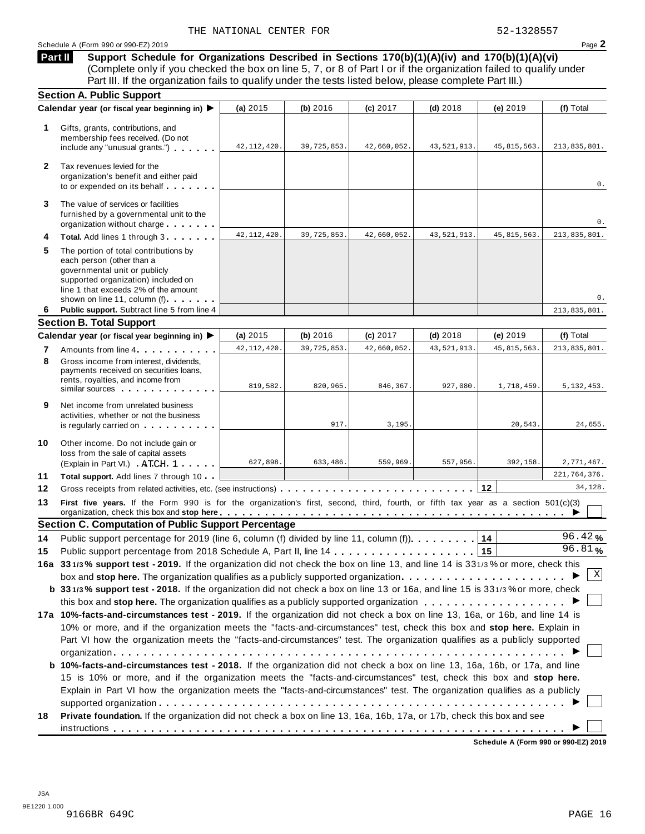**Support Schedule for Organizations Described in Sections 170(b)(1)(A)(iv) and 170(b)(1)(A)(vi)** (Complete only if you checked the box on line 5, 7, or 8 of Part I or if the organization failed to qualify under Part III. If the organization fails to qualify under the tests listed below, please complete Part III.) **Part II**

|              | <b>Section A. Public Support</b>                                                                                                                                                                                                                     |               |               |             |               |               |                |  |  |
|--------------|------------------------------------------------------------------------------------------------------------------------------------------------------------------------------------------------------------------------------------------------------|---------------|---------------|-------------|---------------|---------------|----------------|--|--|
|              | Calendar year (or fiscal year beginning in) ▶                                                                                                                                                                                                        | (a) 2015      | (b) 2016      | (c) 2017    | $(d)$ 2018    | (e) 2019      | (f) Total      |  |  |
| 1.           | Gifts, grants, contributions, and<br>membership fees received. (Do not<br>include any "unusual grants.")                                                                                                                                             | 42, 112, 420. | 39, 725, 853. | 42,660,052. | 43, 521, 913. | 45, 815, 563. | 213,835,801.   |  |  |
| $\mathbf{2}$ | Tax revenues levied for the<br>organization's benefit and either paid<br>to or expended on its behalf                                                                                                                                                |               |               |             |               |               | 0.             |  |  |
| 3            | The value of services or facilities<br>furnished by a governmental unit to the<br>organization without charge                                                                                                                                        |               |               |             |               |               | 0.             |  |  |
| 4            | Total. Add lines 1 through 3                                                                                                                                                                                                                         | 42, 112, 420  | 39,725,853.   | 42,660,052. | 43, 521, 913. | 45, 815, 563. | 213,835,801.   |  |  |
| 5            | The portion of total contributions by<br>each person (other than a<br>governmental unit or publicly<br>supported organization) included on<br>line 1 that exceeds 2% of the amount<br>shown on line 11, column (f)                                   |               |               |             |               |               | 0.             |  |  |
| 6            | Public support. Subtract line 5 from line 4                                                                                                                                                                                                          |               |               |             |               |               | 213,835,801.   |  |  |
|              | <b>Section B. Total Support</b>                                                                                                                                                                                                                      |               |               |             |               |               |                |  |  |
|              | Calendar year (or fiscal year beginning in) ▶                                                                                                                                                                                                        | (a) 2015      | (b) 2016      | (c) 2017    | $(d)$ 2018    | (e) 2019      | (f) Total      |  |  |
| 7            | Amounts from line 4                                                                                                                                                                                                                                  | 42, 112, 420. | 39,725,853.   | 42,660,052. | 43, 521, 913. | 45, 815, 563. | 213,835,801.   |  |  |
| 8            | Gross income from interest, dividends.<br>payments received on securities loans,<br>rents, royalties, and income from<br>similar sources experiences                                                                                                 | 819,582.      | 820,965.      | 846,367.    | 927,080.      | 1,718,459.    | 5, 132, 453.   |  |  |
| 9            | Net income from unrelated business<br>activities, whether or not the business<br>is regularly carried on the control of the set of the set of the set of the set of the set of the set of the s                                                      |               | 917.          | 3,195.      |               | 20,543.       | 24,655.        |  |  |
| 10           | Other income. Do not include gain or<br>loss from the sale of capital assets<br>(Explain in Part VI.) ATCH 1                                                                                                                                         | 627,898.      | 633,486.      | 559,969.    | 557,956.      | 392,158.      | 2,771,467.     |  |  |
| 11           | Total support. Add lines 7 through 10                                                                                                                                                                                                                |               |               |             |               |               | 221, 764, 376. |  |  |
| 12           | Gross receipts from related activities, etc. (see instructions)                                                                                                                                                                                      |               |               |             |               | 12            | 34,128.        |  |  |
| 13           | First five years. If the Form 990 is for the organization's first, second, third, fourth, or fifth tax year as a section 501(c)(3)                                                                                                                   |               |               |             |               |               |                |  |  |
|              | <b>Section C. Computation of Public Support Percentage</b>                                                                                                                                                                                           |               |               |             |               |               |                |  |  |
| 14           | Public support percentage for 2019 (line 6, column (f) divided by line 11, column (f)).                                                                                                                                                              |               |               |             |               | 14            | 96.42%         |  |  |
| 15           |                                                                                                                                                                                                                                                      |               |               |             |               | 15            | 96.81%         |  |  |
|              | 16a 331/3% support test - 2019. If the organization did not check the box on line 13, and line 14 is 331/3% or more, check this                                                                                                                      |               |               |             |               |               |                |  |  |
|              |                                                                                                                                                                                                                                                      |               |               |             |               |               | Χ              |  |  |
|              | b 331/3% support test - 2018. If the organization did not check a box on line 13 or 16a, and line 15 is 331/3% or more, check                                                                                                                        |               |               |             |               |               |                |  |  |
|              |                                                                                                                                                                                                                                                      |               |               |             |               |               |                |  |  |
|              | 17a 10%-facts-and-circumstances test - 2019. If the organization did not check a box on line 13, 16a, or 16b, and line 14 is                                                                                                                         |               |               |             |               |               |                |  |  |
|              | 10% or more, and if the organization meets the "facts-and-circumstances" test, check this box and stop here. Explain in<br>Part VI how the organization meets the "facts-and-circumstances" test. The organization qualifies as a publicly supported |               |               |             |               |               |                |  |  |
|              |                                                                                                                                                                                                                                                      |               |               |             |               |               |                |  |  |
|              |                                                                                                                                                                                                                                                      |               |               |             |               |               |                |  |  |
|              | b 10%-facts-and-circumstances test - 2018. If the organization did not check a box on line 13, 16a, 16b, or 17a, and line                                                                                                                            |               |               |             |               |               |                |  |  |
|              | 15 is 10% or more, and if the organization meets the "facts-and-circumstances" test, check this box and stop here.                                                                                                                                   |               |               |             |               |               |                |  |  |
|              | Explain in Part VI how the organization meets the "facts-and-circumstances" test. The organization qualifies as a publicly                                                                                                                           |               |               |             |               |               |                |  |  |
|              |                                                                                                                                                                                                                                                      |               |               |             |               |               |                |  |  |
| 18           | Private foundation. If the organization did not check a box on line 13, 16a, 16b, 17a, or 17b, check this box and see                                                                                                                                |               |               |             |               |               |                |  |  |
|              |                                                                                                                                                                                                                                                      |               |               |             |               |               |                |  |  |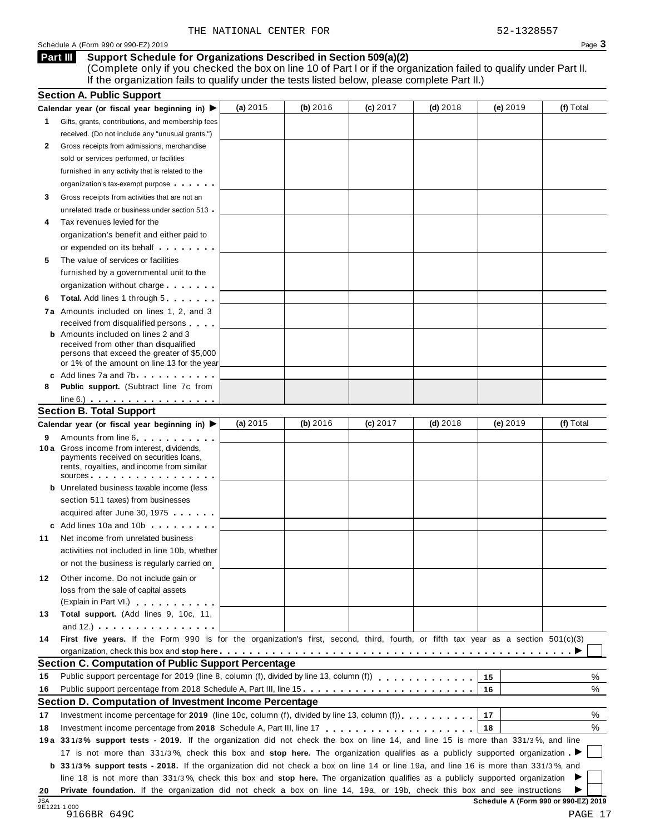Schedule A (Form 990 or 990-EZ) 2019 Page 3

#### **Support Schedule for Organizations Described in Section 509(a)(2) Part III**

(Complete only if you checked the box on line 10 of Part I or if the organization failed to qualify under Part II. If the organization fails to qualify under the tests listed below, please complete Part II.)

|                  | <b>Section A. Public Support</b>                                                                                                                                                                                                     |            |          |          |            |            |           |
|------------------|--------------------------------------------------------------------------------------------------------------------------------------------------------------------------------------------------------------------------------------|------------|----------|----------|------------|------------|-----------|
|                  | Calendar year (or fiscal year beginning in) $\blacktriangleright$                                                                                                                                                                    | (a) $2015$ | (b) 2016 | (c) 2017 | $(d)$ 2018 | (e) 2019   | (f) Total |
| 1.               | Gifts, grants, contributions, and membership fees                                                                                                                                                                                    |            |          |          |            |            |           |
|                  | received. (Do not include any "unusual grants.")                                                                                                                                                                                     |            |          |          |            |            |           |
| 2                | Gross receipts from admissions, merchandise                                                                                                                                                                                          |            |          |          |            |            |           |
|                  | sold or services performed, or facilities                                                                                                                                                                                            |            |          |          |            |            |           |
|                  | furnished in any activity that is related to the                                                                                                                                                                                     |            |          |          |            |            |           |
|                  | organization's tax-exempt purpose                                                                                                                                                                                                    |            |          |          |            |            |           |
| 3                | Gross receipts from activities that are not an                                                                                                                                                                                       |            |          |          |            |            |           |
|                  | unrelated trade or business under section 513                                                                                                                                                                                        |            |          |          |            |            |           |
| 4                | Tax revenues levied for the                                                                                                                                                                                                          |            |          |          |            |            |           |
|                  | organization's benefit and either paid to                                                                                                                                                                                            |            |          |          |            |            |           |
|                  | or expended on its behalf <b>contains the set of the set of the set of the set of the set of the set of the set of the set of the set of the set of the set of the set of the set of the set of the set of the set of the set of</b> |            |          |          |            |            |           |
| 5                | The value of services or facilities                                                                                                                                                                                                  |            |          |          |            |            |           |
|                  | furnished by a governmental unit to the                                                                                                                                                                                              |            |          |          |            |            |           |
|                  |                                                                                                                                                                                                                                      |            |          |          |            |            |           |
|                  | organization without charge                                                                                                                                                                                                          |            |          |          |            |            |           |
| 6                | <b>Total.</b> Add lines 1 through 5                                                                                                                                                                                                  |            |          |          |            |            |           |
|                  | 7a Amounts included on lines 1, 2, and 3                                                                                                                                                                                             |            |          |          |            |            |           |
|                  | received from disqualified persons<br><b>b</b> Amounts included on lines 2 and 3                                                                                                                                                     |            |          |          |            |            |           |
|                  | received from other than disqualified                                                                                                                                                                                                |            |          |          |            |            |           |
|                  | persons that exceed the greater of \$5,000                                                                                                                                                                                           |            |          |          |            |            |           |
|                  | or 1% of the amount on line 13 for the year                                                                                                                                                                                          |            |          |          |            |            |           |
|                  | c Add lines 7a and 7b                                                                                                                                                                                                                |            |          |          |            |            |           |
| 8                | <b>Public support.</b> (Subtract line 7c from                                                                                                                                                                                        |            |          |          |            |            |           |
|                  | $line 6.)$ $\ldots$ $\ldots$ $\ldots$ $\ldots$ $\ldots$                                                                                                                                                                              |            |          |          |            |            |           |
|                  | <b>Section B. Total Support</b>                                                                                                                                                                                                      |            |          |          |            |            |           |
|                  | Calendar year (or fiscal year beginning in) ▶                                                                                                                                                                                        | (a) $2015$ | (b) 2016 | (c) 2017 | $(d)$ 2018 | $(e)$ 2019 | (f) Total |
| 9                | Amounts from line 6 <b>Amounts</b> from line 6                                                                                                                                                                                       |            |          |          |            |            |           |
|                  | 10 a Gross income from interest, dividends,<br>payments received on securities loans,                                                                                                                                                |            |          |          |            |            |           |
|                  | rents, royalties, and income from similar                                                                                                                                                                                            |            |          |          |            |            |           |
|                  | sources                                                                                                                                                                                                                              |            |          |          |            |            |           |
|                  | <b>b</b> Unrelated business taxable income (less                                                                                                                                                                                     |            |          |          |            |            |           |
|                  | section 511 taxes) from businesses                                                                                                                                                                                                   |            |          |          |            |            |           |
|                  | acquired after June 30, 1975                                                                                                                                                                                                         |            |          |          |            |            |           |
|                  | c Add lines 10a and 10b                                                                                                                                                                                                              |            |          |          |            |            |           |
| 11               | Net income from unrelated business                                                                                                                                                                                                   |            |          |          |            |            |           |
|                  | activities not included in line 10b, whether                                                                                                                                                                                         |            |          |          |            |            |           |
|                  | or not the business is regularly carried on                                                                                                                                                                                          |            |          |          |            |            |           |
| 12               | Other income. Do not include gain or                                                                                                                                                                                                 |            |          |          |            |            |           |
|                  | loss from the sale of capital assets                                                                                                                                                                                                 |            |          |          |            |            |           |
|                  | (Explain in Part VI.) <b>All Accords</b>                                                                                                                                                                                             |            |          |          |            |            |           |
| 13               | Total support. (Add lines 9, 10c, 11,                                                                                                                                                                                                |            |          |          |            |            |           |
|                  | and $12.$ ) $\cdots$ $\cdots$ $\cdots$ $\cdots$ $\cdots$                                                                                                                                                                             |            |          |          |            |            |           |
| 14               | First five years. If the Form 990 is for the organization's first, second, third, fourth, or fifth tax year as a section 501(c)(3)                                                                                                   |            |          |          |            |            |           |
|                  |                                                                                                                                                                                                                                      |            |          |          |            |            |           |
|                  | Section C. Computation of Public Support Percentage                                                                                                                                                                                  |            |          |          |            |            |           |
| 15               |                                                                                                                                                                                                                                      |            |          |          |            | 15         | %         |
| 16               |                                                                                                                                                                                                                                      |            |          |          |            |            | %         |
|                  | Public support percentage from 2018 Schedule A, Part III, line 15                                                                                                                                                                    |            |          |          |            | 16         |           |
|                  | Section D. Computation of Investment Income Percentage                                                                                                                                                                               |            |          |          |            |            |           |
| 17               | Investment income percentage for 2019 (line 10c, column (f), divided by line 13, column (f)), $\ldots$ , , , , , , ,                                                                                                                 |            |          |          |            | 17         | %         |
| 18               | Investment income percentage from 2018 Schedule A, Part III, line 17                                                                                                                                                                 |            |          |          |            | 18         | %         |
|                  | 19a 331/3% support tests - 2019. If the organization did not check the box on line 14, and line 15 is more than 331/3%, and line                                                                                                     |            |          |          |            |            |           |
|                  | 17 is not more than 331/3%, check this box and stop here. The organization qualifies as a publicly supported organization                                                                                                            |            |          |          |            |            |           |
|                  | <b>b</b> 331/3% support tests - 2018. If the organization did not check a box on line 14 or line 19a, and line 16 is more than 331/3%, and                                                                                           |            |          |          |            |            |           |
|                  | line 18 is not more than 331/3%, check this box and stop here. The organization qualifies as a publicly supported organization                                                                                                       |            |          |          |            |            |           |
|                  |                                                                                                                                                                                                                                      |            |          |          |            |            |           |
| 20<br><b>JSA</b> | Private foundation. If the organization did not check a box on line 14, 19a, or 19b, check this box and see instructions                                                                                                             |            |          |          |            |            |           |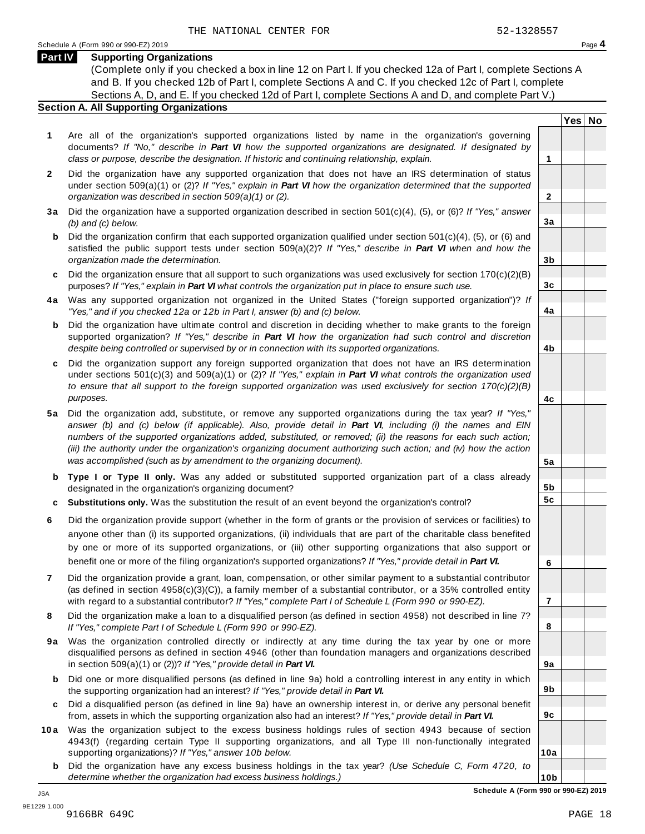**Yes No**

**2**

**3a**

**3b**

**3c**

**4a**

**4b**

**4c**

**5a**

**5b 5c**

**6**

**7**

**8**

**9a**

**9b**

**9c**

**10a**

#### **Part IV Supporting Organizations**

(Complete only if you checked a box in line 12 on Part I. If you checked 12a of Part I, complete Sections A and B. If you checked 12b of Part I, complete Sections A and C. If you checked 12c of Part I, complete Sections A, D, and E. If you checked 12d of Part I, complete Sections A and D, and complete Part V.)

#### **Section A. All Supporting Organizations**

- **1** Are all of the organization's supported organizations listed by name in the organization's governing documents? *If "No," describe in Part VI how the supported organizations are designated. If designated by class or purpose, describe the designation. If historic and continuing relationship, explain.* **1**
- **2** Did the organization have any supported organization that does not have an IRS determination of status under section 509(a)(1) or (2)? *If"Yes," explain in Part VI how the organization determined that the supported organization was described in section 509(a)(1) or (2).*
- **3 a** Did the organization have a supported organization described in section 501(c)(4), (5), or (6)? *If "Yes," answer (b) and (c) below.*
- **b** Did the organization confirm that each supported organization qualified under section 501(c)(4), (5), or (6) and | satisfied the public support tests under section 509(a)(2)? *If "Yes," describe in Part VI when and how the organization made the determination.*
- **c** Did the organization ensure that all support to such organizations was used exclusively for section 170(c)(2)(B) purposes? *If"Yes," explain in Part VI what controls the organization put in place to ensure such use.*
- **4 a** Was any supported organization not organized in the United States ("foreign supported organization")? *If "Yes," and if you checked 12a or 12b in Part I, answer (b) and (c) below.*
- **b** Did the organization have ultimate control and discretion in deciding whether to make grants to the foreign | supported organization? *If "Yes," describe in Part VI how the organization had such control and discretion despite being controlled or supervised by or in connection with its supported organizations.*
- **c** Did the organization support any foreign supported organization that does not have an IRS determination | under sections 501(c)(3) and 509(a)(1) or (2)? *If "Yes," explain in Part VI what controls the organization used to ensure that all support to the foreign supported organization was used exclusively for section 170(c)(2)(B) purposes.*
- **5 a** Did the organization add, substitute, or remove any supported organizations during the tax year? *If "Yes,"* answer (b) and (c) below (if applicable). Also, provide detail in Part VI, including (i) the names and EIN *numbers of the supported organizations added, substituted, or removed; (ii) the reasons for each such action;* (iii) the authority under the organization's organizing document authorizing such action; and (iv) how the action *was accomplished (such as by amendment to the organizing document).*
- **b Type I or Type II only.** Was any added or substituted supported organization part of a class already designated in the organization's organizing document?
- **c Substitutions only.** Was the substitution the result of an event beyond the organization's control?
- **6** Did the organization provide support (whether in the form of grants or the provision of services or facilities) to anyone other than (i) its supported organizations, (ii) individuals that are part of the charitable class benefited by one or more of its supported organizations, or (iii) other supporting organizations that also support or benefit one or more of the filing organization's supported organizations? *If"Yes," provide detail in Part VI.*
- **7** Did the organization provide a grant, loan, compensation, or other similar payment to a substantial contributor (as defined in section 4958(c)(3)(C)), a family member of a substantial contributor, or a 35% controlled entity with regard to a substantial contributor? *If"Yes," complete Part I of Schedule L (Form 990 or 990-EZ).*
- **8** Did the organization make a loan to a disqualified person (as defined in section 4958) not described in line 7? *If "Yes," complete Part I of Schedule L (Form 990 or 990-EZ).*
- **9a** Was the organization controlled directly or indirectly at any time during the tax year by one or more | disqualified persons as defined in section 4946 (other than foundation managers and organizations described in section 509(a)(1) or (2))? *If"Yes," provide detail in Part VI.*
- **b** Did one or more disqualified persons (as defined in line 9a) hold a controlling interest in any entity in which | the supporting organization had an interest? *If"Yes," provide detail in Part VI.*
- **c** Did a disqualified person (as defined in line 9a) have an ownership interest in, or derive any personal benefit from, assets in which the supporting organization also had an interest? *If"Yes," provide detail in Part VI.*
- **10a** Was the organization subject to the excess business holdings rules of section 4943 because of section | 4943(f) (regarding certain Type II supporting organizations, and all Type III non-functionally integrated supporting organizations)? *If"Yes," answer 10b below.*
	- **b** Did the organization have any excess business holdings in the tax year? *(Use Schedule C, Form 4720, to determine whether the organization had excess business holdings.)*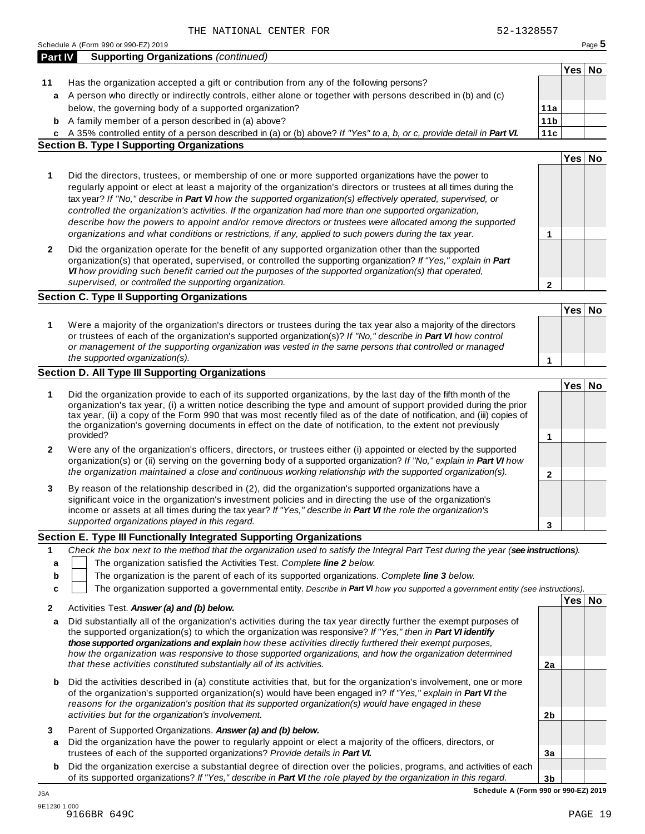|                  | Schedule A (Form 990 or 990-EZ) 2019                                                                                                                                                                                                                                                                                                                                                                                                                                                                                                                                                                                                                                         |                   |        | Page 5 |
|------------------|------------------------------------------------------------------------------------------------------------------------------------------------------------------------------------------------------------------------------------------------------------------------------------------------------------------------------------------------------------------------------------------------------------------------------------------------------------------------------------------------------------------------------------------------------------------------------------------------------------------------------------------------------------------------------|-------------------|--------|--------|
| Part IV          | <b>Supporting Organizations (continued)</b>                                                                                                                                                                                                                                                                                                                                                                                                                                                                                                                                                                                                                                  |                   |        |        |
|                  |                                                                                                                                                                                                                                                                                                                                                                                                                                                                                                                                                                                                                                                                              |                   | Yes No |        |
| 11               | Has the organization accepted a gift or contribution from any of the following persons?                                                                                                                                                                                                                                                                                                                                                                                                                                                                                                                                                                                      |                   |        |        |
|                  | a A person who directly or indirectly controls, either alone or together with persons described in (b) and (c)                                                                                                                                                                                                                                                                                                                                                                                                                                                                                                                                                               |                   |        |        |
|                  | below, the governing body of a supported organization?                                                                                                                                                                                                                                                                                                                                                                                                                                                                                                                                                                                                                       | 11a               |        |        |
| b                | A family member of a person described in (a) above?                                                                                                                                                                                                                                                                                                                                                                                                                                                                                                                                                                                                                          | 11 <sub>b</sub>   |        |        |
|                  | c A 35% controlled entity of a person described in (a) or (b) above? If "Yes" to a, b, or c, provide detail in Part VI.<br><b>Section B. Type I Supporting Organizations</b>                                                                                                                                                                                                                                                                                                                                                                                                                                                                                                 | 11c               |        |        |
|                  |                                                                                                                                                                                                                                                                                                                                                                                                                                                                                                                                                                                                                                                                              |                   | Yes No |        |
| 1                | Did the directors, trustees, or membership of one or more supported organizations have the power to<br>regularly appoint or elect at least a majority of the organization's directors or trustees at all times during the<br>tax year? If "No," describe in Part VI how the supported organization(s) effectively operated, supervised, or<br>controlled the organization's activities. If the organization had more than one supported organization,<br>describe how the powers to appoint and/or remove directors or trustees were allocated among the supported<br>organizations and what conditions or restrictions, if any, applied to such powers during the tax year. | 1                 |        |        |
| $\mathbf{2}$     | Did the organization operate for the benefit of any supported organization other than the supported<br>organization(s) that operated, supervised, or controlled the supporting organization? If "Yes," explain in Part<br>VI how providing such benefit carried out the purposes of the supported organization(s) that operated,<br>supervised, or controlled the supporting organization.                                                                                                                                                                                                                                                                                   | $\mathbf{2}$      |        |        |
|                  | <b>Section C. Type II Supporting Organizations</b>                                                                                                                                                                                                                                                                                                                                                                                                                                                                                                                                                                                                                           |                   |        |        |
| 1                | Were a majority of the organization's directors or trustees during the tax year also a majority of the directors<br>or trustees of each of the organization's supported organization(s)? If "No," describe in Part VI how control<br>or management of the supporting organization was vested in the same persons that controlled or managed<br>the supported organization(s).                                                                                                                                                                                                                                                                                                | 1                 | Yes No |        |
|                  | Section D. All Type III Supporting Organizations                                                                                                                                                                                                                                                                                                                                                                                                                                                                                                                                                                                                                             |                   |        |        |
| 1                | Did the organization provide to each of its supported organizations, by the last day of the fifth month of the<br>organization's tax year, (i) a written notice describing the type and amount of support provided during the prior<br>tax year, (ii) a copy of the Form 990 that was most recently filed as of the date of notification, and (iii) copies of<br>the organization's governing documents in effect on the date of notification, to the extent not previously<br>provided?                                                                                                                                                                                     |                   | Yes No |        |
| 2                | Were any of the organization's officers, directors, or trustees either (i) appointed or elected by the supported<br>organization(s) or (ii) serving on the governing body of a supported organization? If "No," explain in Part VI how<br>the organization maintained a close and continuous working relationship with the supported organization(s).                                                                                                                                                                                                                                                                                                                        | 1                 |        |        |
| 3                | By reason of the relationship described in (2), did the organization's supported organizations have a<br>significant voice in the organization's investment policies and in directing the use of the organization's<br>income or assets at all times during the tax year? If "Yes," describe in Part VI the role the organization's<br>supported organizations played in this regard.                                                                                                                                                                                                                                                                                        | $\mathbf{2}$<br>3 |        |        |
|                  | Section E. Type III Functionally Integrated Supporting Organizations                                                                                                                                                                                                                                                                                                                                                                                                                                                                                                                                                                                                         |                   |        |        |
| 1<br>a<br>b<br>c | Check the box next to the method that the organization used to satisfy the Integral Part Test during the year (see instructions).<br>The organization satisfied the Activities Test. Complete line 2 below.<br>The organization is the parent of each of its supported organizations. Complete line 3 below.<br>The organization supported a governmental entity. Describe in Part VI how you supported a government entity (see instructions).                                                                                                                                                                                                                              |                   |        |        |
| 2                | Activities Test. Answer (a) and (b) below.                                                                                                                                                                                                                                                                                                                                                                                                                                                                                                                                                                                                                                   |                   | Yes No |        |
| a                | Did substantially all of the organization's activities during the tax year directly further the exempt purposes of<br>the supported organization(s) to which the organization was responsive? If "Yes," then in Part VI identify<br>those supported organizations and explain how these activities directly furthered their exempt purposes,<br>how the organization was responsive to those supported organizations, and how the organization determined<br>that these activities constituted substantially all of its activities.                                                                                                                                          | 2a                |        |        |
| b                | Did the activities described in (a) constitute activities that, but for the organization's involvement, one or more<br>of the organization's supported organization(s) would have been engaged in? If "Yes," explain in Part VI the<br>reasons for the organization's position that its supported organization(s) would have engaged in these<br>activities but for the organization's involvement.                                                                                                                                                                                                                                                                          | 2b                |        |        |
| 3<br>a           | Parent of Supported Organizations. Answer (a) and (b) below.<br>Did the organization have the power to regularly appoint or elect a majority of the officers, directors, or<br>trustees of each of the supported organizations? Provide details in Part VI.                                                                                                                                                                                                                                                                                                                                                                                                                  | 3a                |        |        |
| b                | Did the organization exercise a substantial degree of direction over the policies, programs, and activities of each                                                                                                                                                                                                                                                                                                                                                                                                                                                                                                                                                          |                   |        |        |
|                  | of its supported organizations? If "Yes," describe in Part VI the role played by the organization in this regard.                                                                                                                                                                                                                                                                                                                                                                                                                                                                                                                                                            | 3 <sub>b</sub>    |        |        |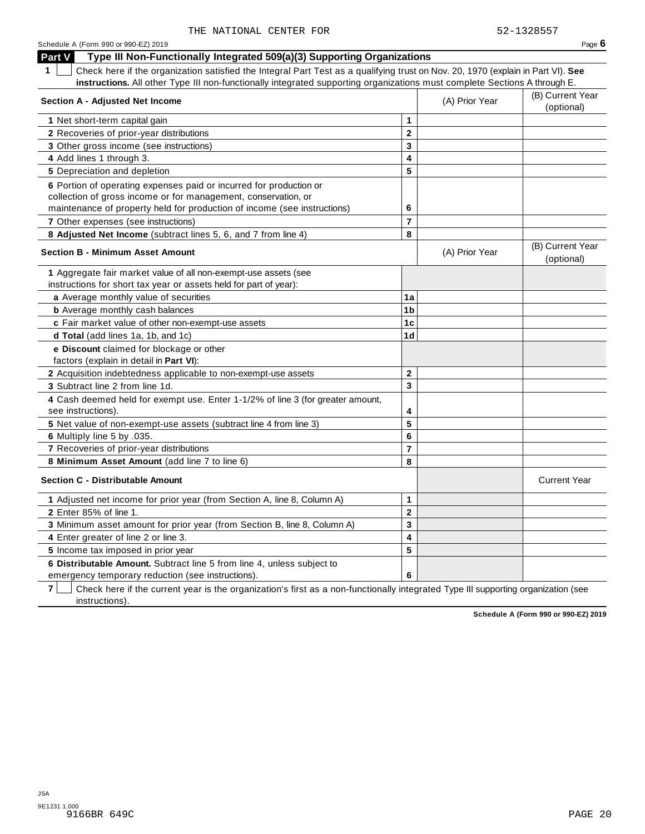| Schedule A (Form 990 or 990-EZ) 2019                                                                                                                                                                             |                         |                | Page $6$                       |
|------------------------------------------------------------------------------------------------------------------------------------------------------------------------------------------------------------------|-------------------------|----------------|--------------------------------|
| Type III Non-Functionally Integrated 509(a)(3) Supporting Organizations<br><b>Part V</b>                                                                                                                         |                         |                |                                |
| $\mathbf 1$<br>Check here if the organization satisfied the Integral Part Test as a qualifying trust on Nov. 20, 1970 (explain in Part VI). See                                                                  |                         |                |                                |
| instructions. All other Type III non-functionally integrated supporting organizations must complete Sections A through E.                                                                                        |                         |                |                                |
| <b>Section A - Adjusted Net Income</b>                                                                                                                                                                           |                         | (A) Prior Year | (B) Current Year<br>(optional) |
| 1 Net short-term capital gain                                                                                                                                                                                    | 1                       |                |                                |
| 2 Recoveries of prior-year distributions                                                                                                                                                                         | $\mathbf 2$             |                |                                |
| 3 Other gross income (see instructions)                                                                                                                                                                          | 3                       |                |                                |
| 4 Add lines 1 through 3.                                                                                                                                                                                         | $\overline{\mathbf{4}}$ |                |                                |
| 5 Depreciation and depletion                                                                                                                                                                                     | 5                       |                |                                |
| 6 Portion of operating expenses paid or incurred for production or<br>collection of gross income or for management, conservation, or<br>maintenance of property held for production of income (see instructions) | 6                       |                |                                |
| 7 Other expenses (see instructions)                                                                                                                                                                              | $\overline{7}$          |                |                                |
| 8 Adjusted Net Income (subtract lines 5, 6, and 7 from line 4)                                                                                                                                                   | 8                       |                |                                |
| <b>Section B - Minimum Asset Amount</b>                                                                                                                                                                          |                         | (A) Prior Year | (B) Current Year<br>(optional) |
| 1 Aggregate fair market value of all non-exempt-use assets (see                                                                                                                                                  |                         |                |                                |
| instructions for short tax year or assets held for part of year):                                                                                                                                                |                         |                |                                |
| a Average monthly value of securities                                                                                                                                                                            | 1a                      |                |                                |
| <b>b</b> Average monthly cash balances                                                                                                                                                                           | 1 <sub>b</sub>          |                |                                |
| c Fair market value of other non-exempt-use assets                                                                                                                                                               | 1c                      |                |                                |
| d Total (add lines 1a, 1b, and 1c)                                                                                                                                                                               | 1 <sub>d</sub>          |                |                                |
| e Discount claimed for blockage or other<br>factors (explain in detail in Part VI):                                                                                                                              |                         |                |                                |
| 2 Acquisition indebtedness applicable to non-exempt-use assets                                                                                                                                                   | $\mathbf{2}$            |                |                                |
| 3 Subtract line 2 from line 1d.                                                                                                                                                                                  | 3                       |                |                                |
| 4 Cash deemed held for exempt use. Enter 1-1/2% of line 3 (for greater amount,<br>see instructions).                                                                                                             | 4                       |                |                                |
| 5 Net value of non-exempt-use assets (subtract line 4 from line 3)                                                                                                                                               | 5                       |                |                                |
| 6 Multiply line 5 by .035.                                                                                                                                                                                       | 6                       |                |                                |
| 7 Recoveries of prior-year distributions                                                                                                                                                                         | $\overline{\mathbf{r}}$ |                |                                |
| 8 Minimum Asset Amount (add line 7 to line 6)                                                                                                                                                                    | 8                       |                |                                |
| <b>Section C - Distributable Amount</b>                                                                                                                                                                          |                         |                | <b>Current Year</b>            |
| 1 Adjusted net income for prior year (from Section A, line 8, Column A)                                                                                                                                          | 1                       |                |                                |
| 2 Enter 85% of line 1.                                                                                                                                                                                           | $\mathbf{2}$            |                |                                |
| 3 Minimum asset amount for prior year (from Section B, line 8, Column A)                                                                                                                                         | 3                       |                |                                |
| 4 Enter greater of line 2 or line 3.                                                                                                                                                                             | 4                       |                |                                |
| 5 Income tax imposed in prior year                                                                                                                                                                               | 5                       |                |                                |
| 6 Distributable Amount. Subtract line 5 from line 4, unless subject to<br>emergency temporary reduction (see instructions).                                                                                      | 6                       |                |                                |

**7 Check here if the current year is the organization's first as a non-functionally integrated Type III supporting organization (see** instructions).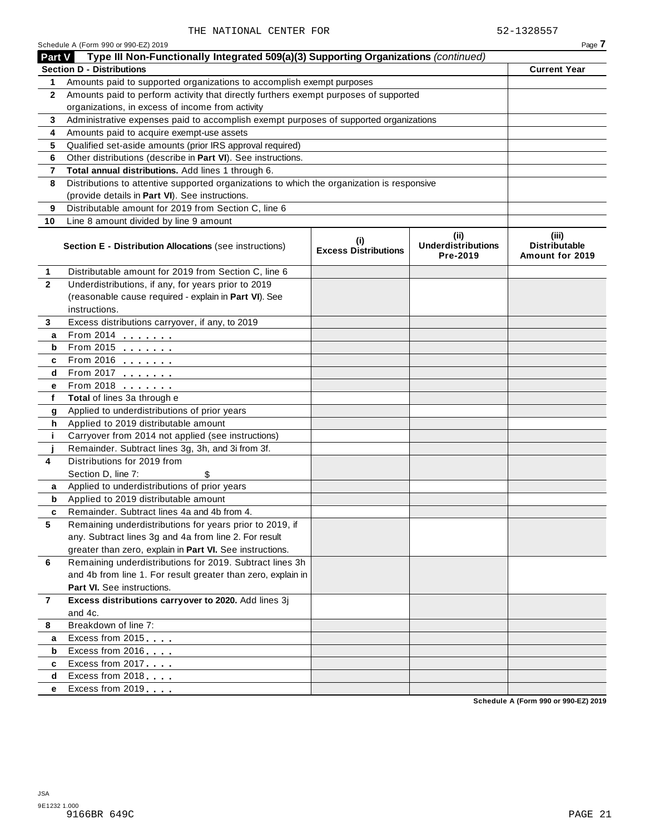|               | Schedule A (Form 990 or 990-EZ) 2019<br>Type III Non-Functionally Integrated 509(a)(3) Supporting Organizations (continued) |                                    |                                               | Page 7                                           |
|---------------|-----------------------------------------------------------------------------------------------------------------------------|------------------------------------|-----------------------------------------------|--------------------------------------------------|
| <b>Part V</b> | <b>Section D - Distributions</b>                                                                                            |                                    |                                               | <b>Current Year</b>                              |
| 1.            | Amounts paid to supported organizations to accomplish exempt purposes                                                       |                                    |                                               |                                                  |
| $\mathbf{2}$  | Amounts paid to perform activity that directly furthers exempt purposes of supported                                        |                                    |                                               |                                                  |
|               | organizations, in excess of income from activity                                                                            |                                    |                                               |                                                  |
| 3             | Administrative expenses paid to accomplish exempt purposes of supported organizations                                       |                                    |                                               |                                                  |
| 4             | Amounts paid to acquire exempt-use assets                                                                                   |                                    |                                               |                                                  |
| 5             | Qualified set-aside amounts (prior IRS approval required)                                                                   |                                    |                                               |                                                  |
| 6             | Other distributions (describe in Part VI). See instructions.                                                                |                                    |                                               |                                                  |
| 7             | Total annual distributions. Add lines 1 through 6.                                                                          |                                    |                                               |                                                  |
| 8             | Distributions to attentive supported organizations to which the organization is responsive                                  |                                    |                                               |                                                  |
|               | (provide details in Part VI). See instructions.                                                                             |                                    |                                               |                                                  |
| 9             | Distributable amount for 2019 from Section C, line 6                                                                        |                                    |                                               |                                                  |
|               |                                                                                                                             |                                    |                                               |                                                  |
| 10            | Line 8 amount divided by line 9 amount                                                                                      |                                    |                                               |                                                  |
|               | <b>Section E - Distribution Allocations (see instructions)</b>                                                              | (i)<br><b>Excess Distributions</b> | (ii)<br><b>Underdistributions</b><br>Pre-2019 | (iii)<br><b>Distributable</b><br>Amount for 2019 |
| 1             | Distributable amount for 2019 from Section C, line 6                                                                        |                                    |                                               |                                                  |
| $\mathbf{2}$  | Underdistributions, if any, for years prior to 2019                                                                         |                                    |                                               |                                                  |
|               | (reasonable cause required - explain in Part VI). See                                                                       |                                    |                                               |                                                  |
|               | instructions.                                                                                                               |                                    |                                               |                                                  |
| 3             | Excess distributions carryover, if any, to 2019                                                                             |                                    |                                               |                                                  |
| a             | From 2014 <b></b>                                                                                                           |                                    |                                               |                                                  |
| b             | From 2015 $\frac{1}{2}$                                                                                                     |                                    |                                               |                                                  |
| c             | From 2016 $\frac{1}{2}$                                                                                                     |                                    |                                               |                                                  |
| d             | From 2017                                                                                                                   |                                    |                                               |                                                  |
| е             | From 2018 <b>Figure 1.1</b>                                                                                                 |                                    |                                               |                                                  |
| f             | Total of lines 3a through e                                                                                                 |                                    |                                               |                                                  |
| g             | Applied to underdistributions of prior years                                                                                |                                    |                                               |                                                  |
| h             | Applied to 2019 distributable amount                                                                                        |                                    |                                               |                                                  |
| j.            | Carryover from 2014 not applied (see instructions)                                                                          |                                    |                                               |                                                  |
|               | Remainder. Subtract lines 3g, 3h, and 3i from 3f.                                                                           |                                    |                                               |                                                  |
| 4             | Distributions for 2019 from                                                                                                 |                                    |                                               |                                                  |
|               | Section D, line 7:<br>\$                                                                                                    |                                    |                                               |                                                  |
| a             | Applied to underdistributions of prior years                                                                                |                                    |                                               |                                                  |
| b             | Applied to 2019 distributable amount                                                                                        |                                    |                                               |                                                  |
| c             | Remainder. Subtract lines 4a and 4b from 4.                                                                                 |                                    |                                               |                                                  |
| 5             | Remaining underdistributions for years prior to 2019, if                                                                    |                                    |                                               |                                                  |
|               | any. Subtract lines 3g and 4a from line 2. For result                                                                       |                                    |                                               |                                                  |
|               | greater than zero, explain in Part VI. See instructions.                                                                    |                                    |                                               |                                                  |
| 6             | Remaining underdistributions for 2019. Subtract lines 3h                                                                    |                                    |                                               |                                                  |
|               | and 4b from line 1. For result greater than zero, explain in                                                                |                                    |                                               |                                                  |
|               | Part VI. See instructions.                                                                                                  |                                    |                                               |                                                  |
| 7             | Excess distributions carryover to 2020. Add lines 3j                                                                        |                                    |                                               |                                                  |
|               | and 4c.                                                                                                                     |                                    |                                               |                                                  |
| 8             | Breakdown of line 7:                                                                                                        |                                    |                                               |                                                  |
| a             | Excess from 2015                                                                                                            |                                    |                                               |                                                  |
| b             | Excess from 2016                                                                                                            |                                    |                                               |                                                  |
| c             | Excess from 2017                                                                                                            |                                    |                                               |                                                  |
| d             | Excess from 2018                                                                                                            |                                    |                                               |                                                  |
| е             | Excess from 2019                                                                                                            |                                    |                                               |                                                  |
|               |                                                                                                                             |                                    |                                               |                                                  |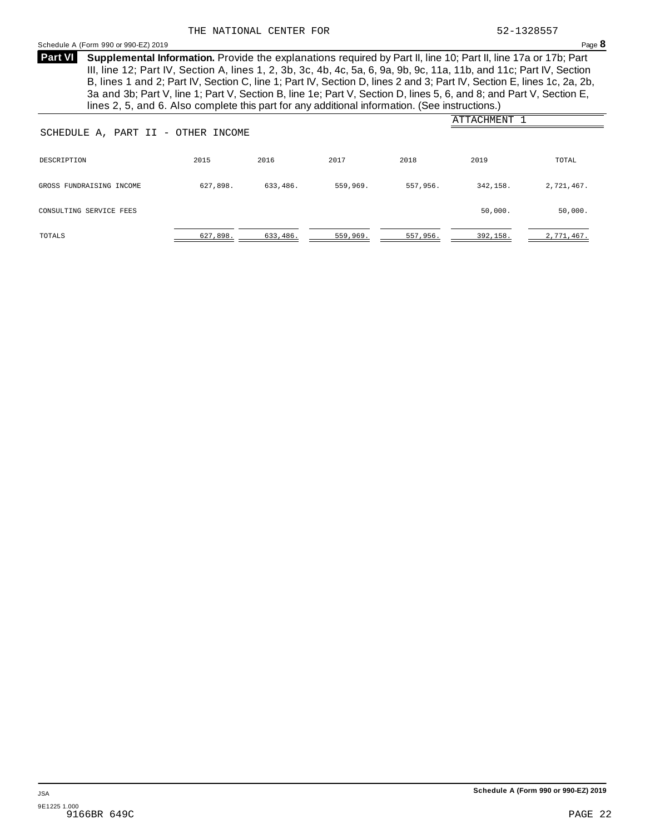#### <span id="page-26-0"></span>Schedule <sup>A</sup> (Form <sup>990</sup> or 990-EZ) <sup>2019</sup> Page **8**

**Supplemental Information.** Provide the explanations required by Part II, line 10; Part II, line 17a or 17b; Part **Part VI** III, line 12; Part IV, Section A, lines 1, 2, 3b, 3c, 4b, 4c, 5a, 6, 9a, 9b, 9c, 11a, 11b, and 11c; Part IV, Section B, lines 1 and 2; Part IV, Section C, line 1; Part IV, Section D, lines 2 and 3; Part IV, Section E, lines 1c, 2a, 2b, 3a and 3b; Part V, line 1; Part V, Section B, line 1e; Part V, Section D, lines 5, 6, and 8; and Part V, Section E, lines 2, 5, and 6. Also complete this part for any additional information. (See instructions.)

| SCHEDULE A, PART II - OTHER INCOME |          |          |          |          | ATTACHMENT 1 |            |
|------------------------------------|----------|----------|----------|----------|--------------|------------|
| DESCRIPTION                        | 2015     | 2016     | 2017     | 2018     | 2019         | TOTAL      |
| GROSS FUNDRAISING INCOME           | 627,898. | 633,486. | 559,969. | 557,956. | 342,158.     | 2,721,467. |
| CONSULTING SERVICE FEES            |          |          |          |          | 50,000.      | 50,000.    |
| TOTALS                             | 627,898. | 633,486. | 559,969. | 557,956. | 392,158.     | 2,771,467. |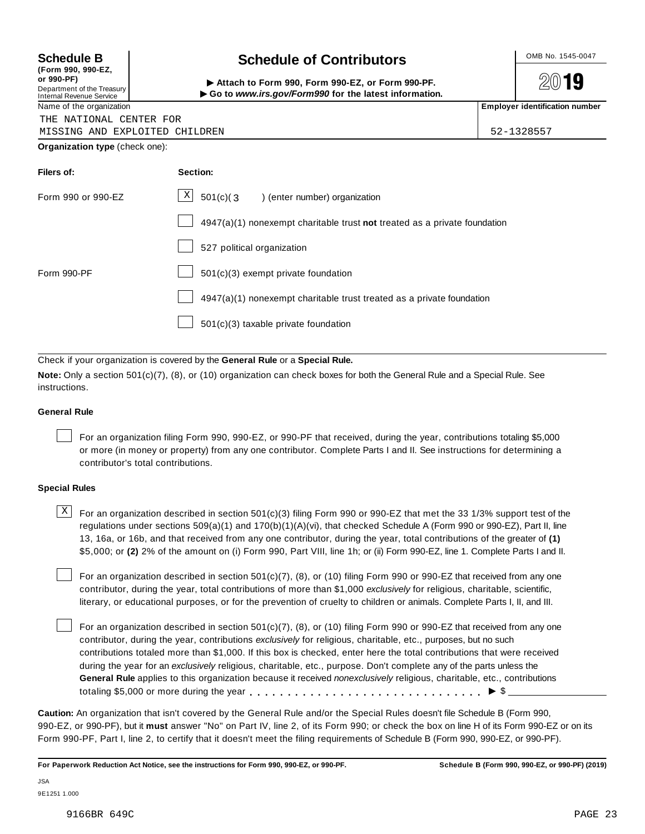**(Form 990, 990-EZ, or 990-PF)** Department of the Treasury<br>Internal Revenue Service

# **Schedule B chedule of Contributors**

2019

(Point issue, sub-EZ,<br>Department of the Treasury internal Revenue Service<br>Department of the Treasury internal Revenue Service internal Revenue Service internal Revenue Service internal<br>Name of the organization internal Re

|  | Name or the organization |  |
|--|--------------------------|--|
|  |                          |  |

THE NATIONAL CENTER FOR MISSING AND EXPLOITED CHILDREN 52-1328557

**Organization type** (check one):

| Filers of:         | Section:                                                                  |
|--------------------|---------------------------------------------------------------------------|
| Form 990 or 990-EZ | $\lfloor x \rfloor$ 501(c)(3) (enter number) organization                 |
|                    | 4947(a)(1) nonexempt charitable trust not treated as a private foundation |
|                    | 527 political organization                                                |
| Form 990-PF        | 501(c)(3) exempt private foundation                                       |
|                    | 4947(a)(1) nonexempt charitable trust treated as a private foundation     |
|                    | 501(c)(3) taxable private foundation                                      |

Check if your organization is covered by the **General Rule** or a **Special Rule.**

**Note:** Only a section 501(c)(7), (8), or (10) organization can check boxes for both the General Rule and a Special Rule. See instructions.

#### **General Rule**

For an organization filing Form 990, 990-EZ, or 990-PF that received, during the year, contributions totaling \$5,000 or more (in money or property) from any one contributor. Complete Parts I and II. See instructions for determining a contributor's total contributions.

#### **Special Rules**

 $\text{X}$  For an organization described in section 501(c)(3) filing Form 990 or 990-EZ that met the 33 1/3% support test of the regulations under sections 509(a)(1) and 170(b)(1)(A)(vi), that checked Schedule A (Form 990 or 990-EZ), Part II, line 13, 16a, or 16b, and that received from any one contributor, during the year, total contributions of the greater of **(1)** \$5,000; or **(2)** 2% of the amount on (i) Form 990, Part VIII, line 1h; or (ii) Form 990-EZ, line 1. Complete Parts I and II.

For an organization described in section 501(c)(7), (8), or (10) filing Form 990 or 990-EZ that received from any one contributor, during the year, total contributions of more than \$1,000 *exclusively* for religious, charitable, scientific, literary, or educational purposes, or for the prevention of cruelty to children or animals. Complete Parts I, II, and III.

For an organization described in section 501(c)(7), (8), or (10) filing Form 990 or 990-EZ that received from any one contributor, during the year, contributions *exclusively* for religious, charitable, etc., purposes, but no such contributions totaled more than \$1,000. If this box is checked, enter here the total contributions that were received during the year for an *exclusively* religious, charitable, etc., purpose. Don't complete any of the parts unless the **General Rule** applies to this organization because it received *nonexclusively* religious, charitable, etc., contributions totaling \$5,000 or more during the year m m m m m m m m m m m m m m m m m m m m m m m m m m m m m m m I \$

**Caution:** An organization that isn't covered by the General Rule and/or the Special Rules doesn't file Schedule B (Form 990, 990-EZ, or 990-PF), but it **must** answer "No" on Part IV, line 2, of its Form 990; or check the box on line H of its Form 990-EZ or on its Form 990-PF, Part I, line 2, to certify that it doesn't meet the filing requirements of Schedule B (Form 990, 990-EZ, or 990-PF).

For Paperwork Reduction Act Notice, see the instructions for Form 990, 990-EZ, or 990-PF. Schedule B (Form 990, 990-EZ, or 990-PF) (2019)

JSA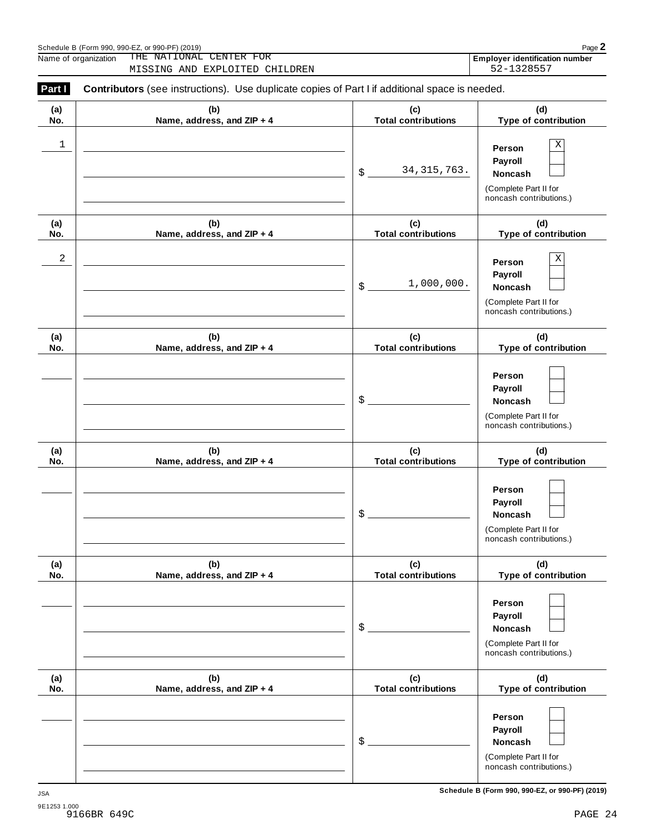| Part I     | <b>Contributors</b> (see instructions). Use duplicate copies of Part I if additional space is needed. |                                   |                                                                                         |
|------------|-------------------------------------------------------------------------------------------------------|-----------------------------------|-----------------------------------------------------------------------------------------|
| (a)<br>No. | (b)<br>Name, address, and ZIP + 4                                                                     | (c)<br><b>Total contributions</b> | (d)<br>Type of contribution                                                             |
| 1          |                                                                                                       | 34, 315, 763.<br>\$               | Χ<br>Person<br>Payroll<br>Noncash<br>(Complete Part II for<br>noncash contributions.)   |
| (a)<br>No. | (b)<br>Name, address, and ZIP + 4                                                                     | (c)<br><b>Total contributions</b> | (d)<br>Type of contribution                                                             |
| 2          |                                                                                                       | 1,000,000.<br>\$                  | Χ<br>Person<br>Payroll<br>Noncash<br>(Complete Part II for<br>noncash contributions.)   |
| (a)<br>No. | (b)<br>Name, address, and ZIP + 4                                                                     | (c)<br><b>Total contributions</b> | (d)<br>Type of contribution                                                             |
|            |                                                                                                       | \$                                | Person<br>Payroll<br>Noncash<br>(Complete Part II for<br>noncash contributions.)        |
| (a)<br>No. | (b)<br>Name, address, and ZIP + 4                                                                     | (c)<br><b>Total contributions</b> | (d)<br>Type of contribution                                                             |
|            |                                                                                                       | \$                                | Person<br>Payroll<br>Noncash<br>(Complete Part II for<br>noncash contributions.)        |
| (a)<br>No. | (b)<br>Name, address, and ZIP + 4                                                                     | (c)<br><b>Total contributions</b> | (d)<br>Type of contribution                                                             |
|            |                                                                                                       | \$                                | Person<br>Payroll<br>Noncash<br>(Complete Part II for<br>noncash contributions.)        |
| (a)<br>No. | (b)<br>Name, address, and ZIP + 4                                                                     | (c)<br><b>Total contributions</b> | (d)<br>Type of contribution                                                             |
|            |                                                                                                       | \$                                | Person<br>Payroll<br><b>Noncash</b><br>(Complete Part II for<br>noncash contributions.) |

 $S$ chedule B (Form 990, 990-EZ, or 990-PF) (2019)  $\qquad \qquad$ Name of organization **Employer identification number** THE NATIONAL CENTER FOR

MISSING AND EXPLOITED CHILDREN 52-1328557

**Schedule B (Form 990, 990-EZ, or 990-PF) (2019)** JSA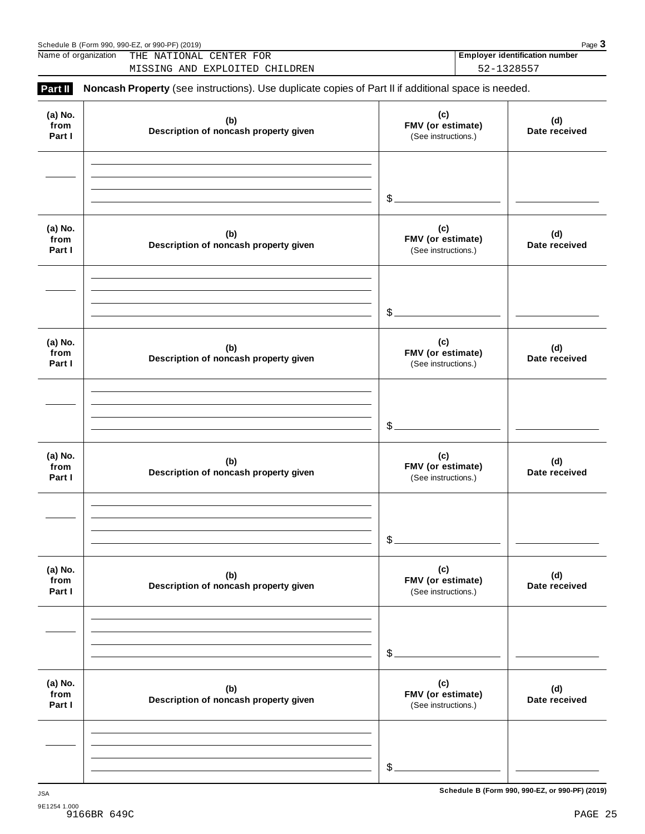| Name of organization      | THE NATIONAL CENTER FOR<br>MISSING AND EXPLOITED CHILDREN                                           |                                                 | <b>Employer identification number</b><br>52-1328557 |
|---------------------------|-----------------------------------------------------------------------------------------------------|-------------------------------------------------|-----------------------------------------------------|
| Part II                   | Noncash Property (see instructions). Use duplicate copies of Part II if additional space is needed. |                                                 |                                                     |
| (a) No.<br>from<br>Part I | (b)<br>Description of noncash property given                                                        | (c)<br>FMV (or estimate)<br>(See instructions.) | (d)<br>Date received                                |
|                           |                                                                                                     | $\mathcal{S}_{-}$                               |                                                     |
| (a) No.<br>from<br>Part I | (b)<br>Description of noncash property given                                                        | (c)<br>FMV (or estimate)<br>(See instructions.) | (d)<br>Date received                                |
|                           |                                                                                                     | $\mathcal{S}_{-}$                               |                                                     |
| (a) No.<br>from<br>Part I | (b)<br>Description of noncash property given                                                        | (c)<br>FMV (or estimate)<br>(See instructions.) | (d)<br>Date received                                |
|                           |                                                                                                     | $\mathcal{S}_{-}$                               |                                                     |
| (a) No.<br>from<br>Part I | (b)<br>Description of noncash property given                                                        | (c)<br>FMV (or estimate)<br>(See instructions.) | (d)<br>Date received                                |
|                           |                                                                                                     | \$                                              |                                                     |
| (a) No.<br>from<br>Part I | (b)<br>Description of noncash property given                                                        | (c)<br>FMV (or estimate)<br>(See instructions.) | (d)<br>Date received                                |
|                           |                                                                                                     | \$.                                             |                                                     |
| (a) No.<br>from<br>Part I | (b)<br>Description of noncash property given                                                        | (c)<br>FMV (or estimate)<br>(See instructions.) | (d)<br>Date received                                |
|                           |                                                                                                     | \$                                              |                                                     |

Schedule <sup>B</sup> (Form 990, 990-EZ, or 990-PF) (2019) Page **3**

**Schedule B (Form 990, 990-EZ, or 990-PF) (2019)** JSA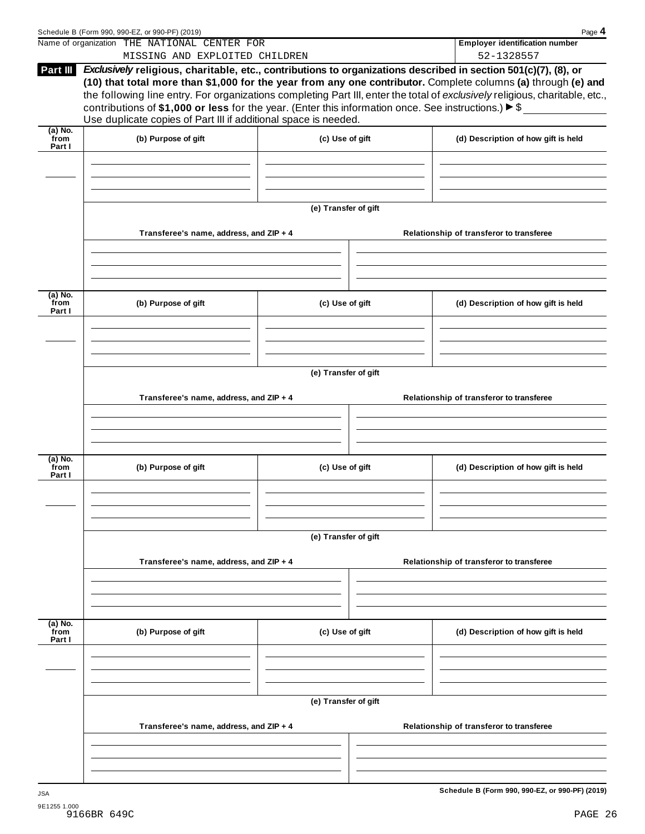|                             | Schedule B (Form 990, 990-EZ, or 990-PF) (2019)                                                                                                                                                                                                                                                                                                                                                                                              |                      | Page 4                                              |
|-----------------------------|----------------------------------------------------------------------------------------------------------------------------------------------------------------------------------------------------------------------------------------------------------------------------------------------------------------------------------------------------------------------------------------------------------------------------------------------|----------------------|-----------------------------------------------------|
|                             | Name of organization THE NATIONAL CENTER FOR<br>MISSING AND EXPLOITED CHILDREN                                                                                                                                                                                                                                                                                                                                                               |                      | <b>Employer identification number</b><br>52-1328557 |
|                             | Exclusively religious, charitable, etc., contributions to organizations described in section 501(c)(7), (8), or                                                                                                                                                                                                                                                                                                                              |                      |                                                     |
| Part III                    | (10) that total more than \$1,000 for the year from any one contributor. Complete columns (a) through (e) and<br>the following line entry. For organizations completing Part III, enter the total of exclusively religious, charitable, etc.,<br>contributions of \$1,000 or less for the year. (Enter this information once. See instructions.) $\blacktriangleright$ \$<br>Use duplicate copies of Part III if additional space is needed. |                      |                                                     |
|                             |                                                                                                                                                                                                                                                                                                                                                                                                                                              |                      |                                                     |
| $(a)$ No.<br>from<br>Part I | (b) Purpose of gift                                                                                                                                                                                                                                                                                                                                                                                                                          | (c) Use of gift      | (d) Description of how gift is held                 |
|                             |                                                                                                                                                                                                                                                                                                                                                                                                                                              | (e) Transfer of gift |                                                     |
|                             | Transferee's name, address, and ZIP + 4                                                                                                                                                                                                                                                                                                                                                                                                      |                      | Relationship of transferor to transferee            |
| (a) No.                     |                                                                                                                                                                                                                                                                                                                                                                                                                                              |                      |                                                     |
| from<br>Part I              | (b) Purpose of gift                                                                                                                                                                                                                                                                                                                                                                                                                          | (c) Use of gift      | (d) Description of how gift is held                 |
|                             |                                                                                                                                                                                                                                                                                                                                                                                                                                              | (e) Transfer of gift |                                                     |
|                             | Transferee's name, address, and ZIP + 4                                                                                                                                                                                                                                                                                                                                                                                                      |                      | Relationship of transferor to transferee            |
|                             |                                                                                                                                                                                                                                                                                                                                                                                                                                              |                      |                                                     |
| (a) No.<br>from<br>Part I   | (b) Purpose of gift                                                                                                                                                                                                                                                                                                                                                                                                                          | (c) Use of gift      | (d) Description of how gift is held                 |
|                             |                                                                                                                                                                                                                                                                                                                                                                                                                                              | (e) Transfer of gift |                                                     |
|                             | Transferee's name, address, and ZIP + 4                                                                                                                                                                                                                                                                                                                                                                                                      |                      | Relationship of transferor to transferee            |
|                             |                                                                                                                                                                                                                                                                                                                                                                                                                                              |                      |                                                     |
| (a) No.<br>from<br>Part I   | (b) Purpose of gift                                                                                                                                                                                                                                                                                                                                                                                                                          | (c) Use of gift      | (d) Description of how gift is held                 |
|                             |                                                                                                                                                                                                                                                                                                                                                                                                                                              |                      |                                                     |
|                             |                                                                                                                                                                                                                                                                                                                                                                                                                                              | (e) Transfer of gift |                                                     |
|                             | Transferee's name, address, and ZIP + 4                                                                                                                                                                                                                                                                                                                                                                                                      |                      | Relationship of transferor to transferee            |
|                             |                                                                                                                                                                                                                                                                                                                                                                                                                                              |                      |                                                     |
| <b>JSA</b>                  |                                                                                                                                                                                                                                                                                                                                                                                                                                              |                      | Schedule B (Form 990, 990-EZ, or 990-PF) (2019)     |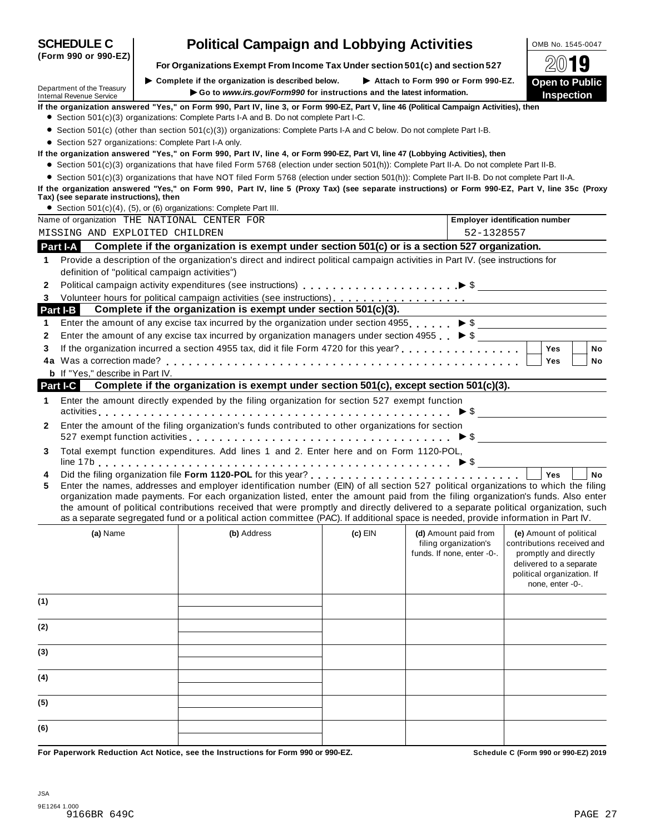| Department of the Treasury              | $\triangleright$ Complete if the organization is described below. $\triangleright$ Attach to Form 990 or Form 990-EZ.                                                                                                                                                   |           |                                               | <b>Open to Public</b>                                 |
|-----------------------------------------|-------------------------------------------------------------------------------------------------------------------------------------------------------------------------------------------------------------------------------------------------------------------------|-----------|-----------------------------------------------|-------------------------------------------------------|
| <b>Internal Revenue Service</b>         | Go to www.irs.gov/Form990 for instructions and the latest information.                                                                                                                                                                                                  |           |                                               | <b>Inspection</b>                                     |
|                                         | If the organization answered "Yes," on Form 990, Part IV, line 3, or Form 990-EZ, Part V, line 46 (Political Campaign Activities), then<br>• Section 501(c)(3) organizations: Complete Parts I-A and B. Do not complete Part I-C.                                       |           |                                               |                                                       |
|                                         |                                                                                                                                                                                                                                                                         |           |                                               |                                                       |
|                                         | • Section 501(c) (other than section 501(c)(3)) organizations: Complete Parts I-A and C below. Do not complete Part I-B.                                                                                                                                                |           |                                               |                                                       |
|                                         | • Section 527 organizations: Complete Part I-A only.<br>If the organization answered "Yes," on Form 990, Part IV, line 4, or Form 990-EZ, Part VI, line 47 (Lobbying Activities), then                                                                                  |           |                                               |                                                       |
|                                         | • Section 501(c)(3) organizations that have filed Form 5768 (election under section 501(h)): Complete Part II-A. Do not complete Part II-B.                                                                                                                             |           |                                               |                                                       |
|                                         | • Section 501(c)(3) organizations that have NOT filed Form 5768 (election under section 501(h)): Complete Part II-B. Do not complete Part II-A.                                                                                                                         |           |                                               |                                                       |
|                                         | If the organization answered "Yes," on Form 990, Part IV, line 5 (Proxy Tax) (see separate instructions) or Form 990-EZ, Part V, line 35c (Proxy                                                                                                                        |           |                                               |                                                       |
| Tax) (see separate instructions), then  |                                                                                                                                                                                                                                                                         |           |                                               |                                                       |
|                                         | • Section 501(c)(4), (5), or (6) organizations: Complete Part III.                                                                                                                                                                                                      |           |                                               |                                                       |
|                                         | Name of organization THE NATIONAL CENTER FOR                                                                                                                                                                                                                            |           |                                               | <b>Employer identification number</b>                 |
| MISSING AND EXPLOITED CHILDREN          |                                                                                                                                                                                                                                                                         |           | 52-1328557                                    |                                                       |
| <b>Part I-A</b>                         | Complete if the organization is exempt under section 501(c) or is a section 527 organization.                                                                                                                                                                           |           |                                               |                                                       |
| 1                                       | Provide a description of the organization's direct and indirect political campaign activities in Part IV. (see instructions for                                                                                                                                         |           |                                               |                                                       |
|                                         | definition of "political campaign activities")                                                                                                                                                                                                                          |           |                                               |                                                       |
| $\mathbf{2}$                            |                                                                                                                                                                                                                                                                         |           |                                               |                                                       |
| 3                                       |                                                                                                                                                                                                                                                                         |           |                                               |                                                       |
| <b>Part I-B</b>                         | Complete if the organization is exempt under section 501(c)(3).                                                                                                                                                                                                         |           |                                               |                                                       |
| 1                                       | Enter the amount of any excise tax incurred by the organization under section 4955. $\triangleright$ \$                                                                                                                                                                 |           |                                               |                                                       |
| 2                                       | Enter the amount of any excise tax incurred by organization managers under section 4955 $\triangleright$ \$                                                                                                                                                             |           |                                               |                                                       |
| 3                                       |                                                                                                                                                                                                                                                                         |           |                                               | <b>Yes</b><br>No                                      |
|                                         |                                                                                                                                                                                                                                                                         |           |                                               | <b>Yes</b><br>No                                      |
| <b>b</b> If "Yes," describe in Part IV. |                                                                                                                                                                                                                                                                         |           |                                               |                                                       |
| Part I-C                                | Complete if the organization is exempt under section 501(c), except section 501(c)(3).                                                                                                                                                                                  |           |                                               |                                                       |
| $\mathbf 1$                             | Enter the amount directly expended by the filing organization for section 527 exempt function                                                                                                                                                                           |           |                                               |                                                       |
|                                         |                                                                                                                                                                                                                                                                         |           |                                               | $\triangleright$ \$                                   |
| $\mathbf{2}$                            | Enter the amount of the filing organization's funds contributed to other organizations for section                                                                                                                                                                      |           |                                               |                                                       |
|                                         |                                                                                                                                                                                                                                                                         |           |                                               |                                                       |
| 3                                       | Total exempt function expenditures. Add lines 1 and 2. Enter here and on Form 1120-POL,                                                                                                                                                                                 |           |                                               |                                                       |
|                                         |                                                                                                                                                                                                                                                                         |           |                                               |                                                       |
| 4                                       |                                                                                                                                                                                                                                                                         |           |                                               | Yes<br><b>No</b>                                      |
| 5                                       | Enter the names, addresses and employer identification number (EIN) of all section 527 political organizations to which the filing                                                                                                                                      |           |                                               |                                                       |
|                                         | organization made payments. For each organization listed, enter the amount paid from the filing organization's funds. Also enter<br>the amount of political contributions received that were promptly and directly delivered to a separate political organization, such |           |                                               |                                                       |
|                                         | as a separate segregated fund or a political action committee (PAC). If additional space is needed, provide information in Part IV.                                                                                                                                     |           |                                               |                                                       |
|                                         |                                                                                                                                                                                                                                                                         |           |                                               |                                                       |
| (a) Name                                | (b) Address                                                                                                                                                                                                                                                             | $(c)$ EIN | (d) Amount paid from<br>filing organization's | (e) Amount of political<br>contributions received and |
|                                         |                                                                                                                                                                                                                                                                         |           | funds. If none, enter -0-.                    | promptly and directly                                 |
|                                         |                                                                                                                                                                                                                                                                         |           |                                               | delivered to a separate                               |
|                                         |                                                                                                                                                                                                                                                                         |           |                                               | political organization. If                            |
|                                         |                                                                                                                                                                                                                                                                         |           |                                               | none, enter -0-.                                      |
| (1)                                     |                                                                                                                                                                                                                                                                         |           |                                               |                                                       |
|                                         |                                                                                                                                                                                                                                                                         |           |                                               |                                                       |
| (2)                                     |                                                                                                                                                                                                                                                                         |           |                                               |                                                       |
|                                         |                                                                                                                                                                                                                                                                         |           |                                               |                                                       |
| (3)                                     |                                                                                                                                                                                                                                                                         |           |                                               |                                                       |
|                                         |                                                                                                                                                                                                                                                                         |           |                                               |                                                       |
| (4)                                     |                                                                                                                                                                                                                                                                         |           |                                               |                                                       |
|                                         |                                                                                                                                                                                                                                                                         |           |                                               |                                                       |
| (5)                                     |                                                                                                                                                                                                                                                                         |           |                                               |                                                       |
|                                         |                                                                                                                                                                                                                                                                         |           |                                               |                                                       |
| (6)                                     |                                                                                                                                                                                                                                                                         |           |                                               |                                                       |
|                                         |                                                                                                                                                                                                                                                                         |           |                                               |                                                       |
|                                         | For Paperwork Reduction Act Notice, see the Instructions for Form 990 or 990-EZ.                                                                                                                                                                                        |           |                                               | Schedule C (Form 990 or 990-EZ) 2019                  |

**(Form 990 or 990-EZ)**

**For Organizations Exempt From Income Tax Under section 501(c) and section <sup>527</sup>** À¾µ½  $\blacktriangleright$  Complete if the organization is described below.

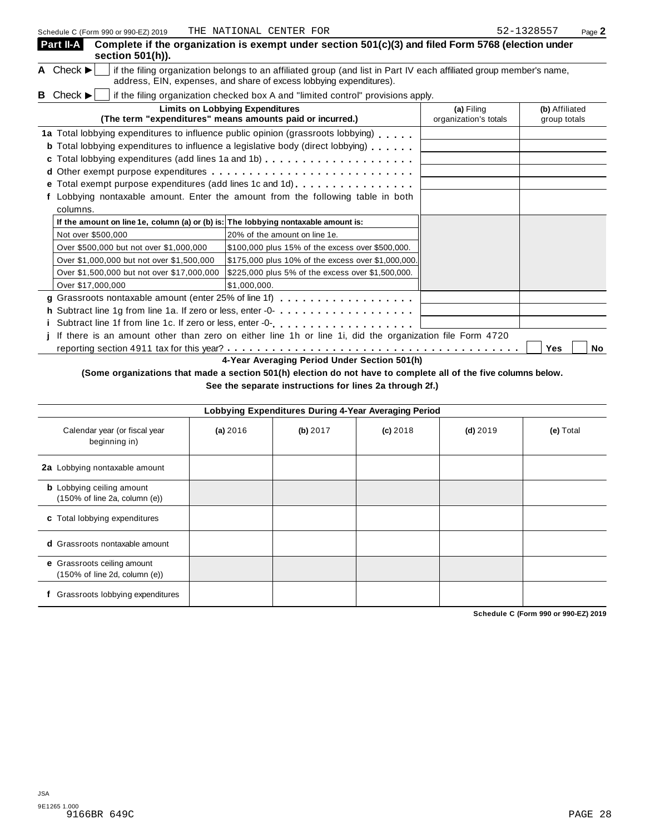| <u> SCHEQUIE C (LOIIII 990 OI 990-ET) SO I 9</u> | THE WAITOWAL CENTER FOR                                                                                                                                                                                                                                                                                                                                                        |                                     | raye ∠                         |
|--------------------------------------------------|--------------------------------------------------------------------------------------------------------------------------------------------------------------------------------------------------------------------------------------------------------------------------------------------------------------------------------------------------------------------------------|-------------------------------------|--------------------------------|
| Part II-A<br>section 501(h)).                    | Complete if the organization is exempt under section 501(c)(3) and filed Form 5768 (election under                                                                                                                                                                                                                                                                             |                                     |                                |
| A Check $\blacktriangleright$                    | if the filing organization belongs to an affiliated group (and list in Part IV each affiliated group member's name,<br>address, EIN, expenses, and share of excess lobbying expenditures).                                                                                                                                                                                     |                                     |                                |
| <b>B</b> Check $\blacktriangleright$             | if the filing organization checked box A and "limited control" provisions apply.                                                                                                                                                                                                                                                                                               |                                     |                                |
|                                                  | <b>Limits on Lobbying Expenditures</b><br>(The term "expenditures" means amounts paid or incurred.)                                                                                                                                                                                                                                                                            | (a) Filing<br>organization's totals | (b) Affiliated<br>group totals |
| е<br>columns.                                    | 1a Total lobbying expenditures to influence public opinion (grassroots lobbying)<br><b>b</b> Total lobbying expenditures to influence a legislative body (direct lobbying)<br>c Total lobbying expenditures (add lines 1a and 1b)<br>Total exempt purpose expenditures (add lines 1c and 1d).<br>Lobbying nontaxable amount. Enter the amount from the following table in both |                                     |                                |
|                                                  | If the amount on line 1e, column (a) or (b) is: The lobbying nontaxable amount is:                                                                                                                                                                                                                                                                                             |                                     |                                |
| Not over \$500,000                               | 20% of the amount on line 1e.                                                                                                                                                                                                                                                                                                                                                  |                                     |                                |
| Over \$500,000 but not over \$1,000,000          | \$100,000 plus 15% of the excess over \$500,000.                                                                                                                                                                                                                                                                                                                               |                                     |                                |
| Over \$1,000,000 but not over \$1,500,000        | \$175,000 plus 10% of the excess over \$1,000,000.                                                                                                                                                                                                                                                                                                                             |                                     |                                |
| Over \$1,500,000 but not over \$17,000,000       | \$225,000 plus 5% of the excess over \$1,500,000.                                                                                                                                                                                                                                                                                                                              |                                     |                                |
| Over \$17,000,000                                | \$1.000.000.                                                                                                                                                                                                                                                                                                                                                                   |                                     |                                |
|                                                  | g Grassroots nontaxable amount (enter 25% of line 1f)                                                                                                                                                                                                                                                                                                                          |                                     |                                |
|                                                  |                                                                                                                                                                                                                                                                                                                                                                                |                                     |                                |
|                                                  |                                                                                                                                                                                                                                                                                                                                                                                |                                     |                                |
|                                                  | If there is an amount other than zero on either line 1h or line 1i, did the organization file Form 4720                                                                                                                                                                                                                                                                        |                                     |                                |
|                                                  |                                                                                                                                                                                                                                                                                                                                                                                |                                     | Yes<br>No                      |

**4-Year Averaging Period Under Section 501(h)**

## (Some organizations that made a section 501(h) election do not have to complete all of the five columns below.

**See the separate instructions for lines 2a through 2f.)**

|                                                                                        |          |          | Lobbying Expenditures During 4-Year Averaging Period |            |           |
|----------------------------------------------------------------------------------------|----------|----------|------------------------------------------------------|------------|-----------|
| Calendar year (or fiscal year<br>beginning in)                                         | (a) 2016 | (b) 2017 | $(c)$ 2018                                           | $(d)$ 2019 | (e) Total |
| 2a Lobbying nontaxable amount                                                          |          |          |                                                      |            |           |
| <b>b</b> Lobbying ceiling amount<br>$(150\% \text{ of line } 2a, \text{ column } (e))$ |          |          |                                                      |            |           |
| c Total lobbying expenditures                                                          |          |          |                                                      |            |           |
| <b>d</b> Grassroots nontaxable amount                                                  |          |          |                                                      |            |           |
| e Grassroots ceiling amount<br>$(150\% \text{ of line } 2d, \text{ column } (e))$      |          |          |                                                      |            |           |
| Grassroots lobbying expenditures                                                       |          |          |                                                      |            |           |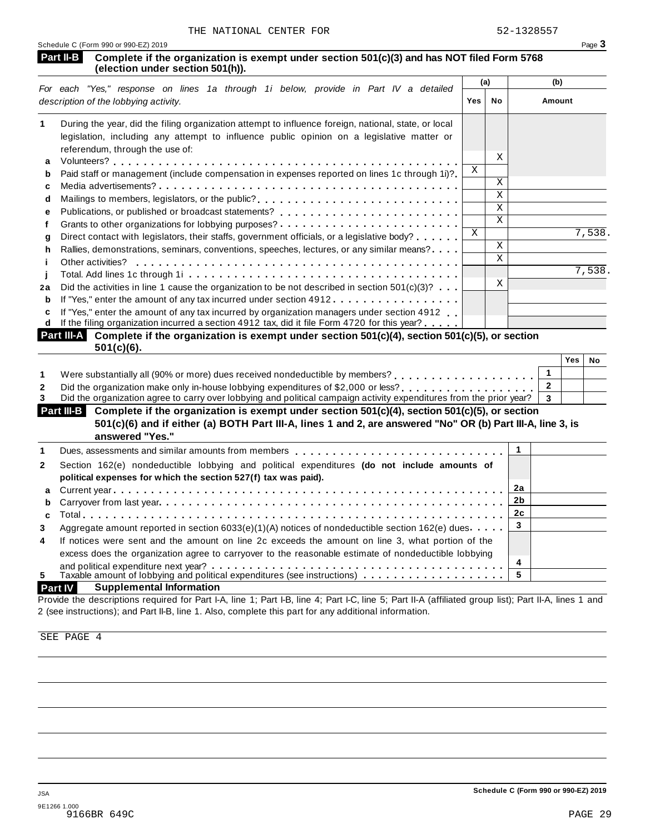|        |                                                                                                                                                                                                                            |            | (a)         |                | (b)    |           |
|--------|----------------------------------------------------------------------------------------------------------------------------------------------------------------------------------------------------------------------------|------------|-------------|----------------|--------|-----------|
|        | For each "Yes," response on lines 1a through 1i below, provide in Part IV a detailed<br>description of the lobbying activity.                                                                                              | <b>Yes</b> | No          |                | Amount |           |
| 1      | During the year, did the filing organization attempt to influence foreign, national, state, or local                                                                                                                       |            |             |                |        |           |
|        | legislation, including any attempt to influence public opinion on a legislative matter or                                                                                                                                  |            |             |                |        |           |
|        | referendum, through the use of:                                                                                                                                                                                            |            | Χ           |                |        |           |
| a      |                                                                                                                                                                                                                            | X          |             |                |        |           |
| b      | Paid staff or management (include compensation in expenses reported on lines 1c through 1i)?                                                                                                                               |            | X           |                |        |           |
| c      | Mailings to members, legislators, or the public?                                                                                                                                                                           |            | Χ           |                |        |           |
| d      |                                                                                                                                                                                                                            |            | $\mathbf X$ |                |        |           |
| е<br>f |                                                                                                                                                                                                                            |            | X           |                |        |           |
| g      | Direct contact with legislators, their staffs, government officials, or a legislative body?                                                                                                                                | X          |             |                |        | 7,538.    |
| h      | Rallies, demonstrations, seminars, conventions, speeches, lectures, or any similar means?.                                                                                                                                 |            | X           |                |        |           |
|        | Other activities?                                                                                                                                                                                                          |            | X           |                |        |           |
|        |                                                                                                                                                                                                                            |            |             |                |        | 7,538.    |
| 2a     | Did the activities in line 1 cause the organization to be not described in section $501(c)(3)$ ?                                                                                                                           |            | X           |                |        |           |
| b      | If "Yes," enter the amount of any tax incurred under section 4912.                                                                                                                                                         |            |             |                |        |           |
| c      | If "Yes," enter the amount of any tax incurred by organization managers under section 4912                                                                                                                                 |            |             |                |        |           |
| d      | If the filing organization incurred a section 4912 tax, did it file Form 4720 for this year?                                                                                                                               |            |             |                |        |           |
|        | Part III-A Complete if the organization is exempt under section 501(c)(4), section 501(c)(5), or section<br>$501(c)(6)$ .                                                                                                  |            |             |                |        |           |
|        |                                                                                                                                                                                                                            |            |             |                | Yes    | <b>No</b> |
|        |                                                                                                                                                                                                                            |            |             | $\mathbf{1}$   |        |           |
|        | Did the organization make only in-house lobbying expenditures of \$2,000 or less?<br>                                                                                                                                      |            |             | $\overline{2}$ |        |           |
|        | Did the organization agree to carry over lobbying and political campaign activity expenditures from the prior year?                                                                                                        |            |             | 3              |        |           |
|        | Part III-B<br>Complete if the organization is exempt under section 501(c)(4), section 501(c)(5), or section<br>501(c)(6) and if either (a) BOTH Part III-A, lines 1 and 2, are answered "No" OR (b) Part III-A, line 3, is |            |             |                |        |           |
|        | answered "Yes."                                                                                                                                                                                                            |            |             |                |        |           |
|        | Dues, assessments and similar amounts from members                                                                                                                                                                         |            |             | $\mathbf{1}$   |        |           |
|        | Section 162(e) nondeductible lobbying and political expenditures (do not include amounts of                                                                                                                                |            |             |                |        |           |
|        | political expenses for which the section 527(f) tax was paid).                                                                                                                                                             |            |             |                |        |           |
| a      |                                                                                                                                                                                                                            |            |             | 2a             |        |           |
|        |                                                                                                                                                                                                                            |            |             | 2b             |        |           |
| b<br>C |                                                                                                                                                                                                                            |            |             | 2c             |        |           |
|        | Aggregate amount reported in section $6033(e)(1)(A)$ notices of nondeductible section $162(e)$ dues                                                                                                                        |            |             | 3              |        |           |
|        | If notices were sent and the amount on line 2c exceeds the amount on line 3, what portion of the                                                                                                                           |            |             |                |        |           |
|        | excess does the organization agree to carryover to the reasonable estimate of nondeductible lobbying                                                                                                                       |            |             |                |        |           |
|        | $\sim$ 1995 and the same contribution of the same contribution of $\sim$                                                                                                                                                   |            |             | 4              |        |           |

and political expenditure next year?<br>
5 Taxable amount of lobbying and political expenditures (see instructions)<br> **Part IV Supplemental Information Supplemental Information** 

Provide the descriptions required for Part I-A, line 1; Part I-B, line 4; Part I-C, line 5; Part II-A (affiliated group list); Part II-A, lines 1 and 2 (see instructions); and Part II-B, line 1. Also, complete this part for any additional information.

SEE PAGE 4

**5**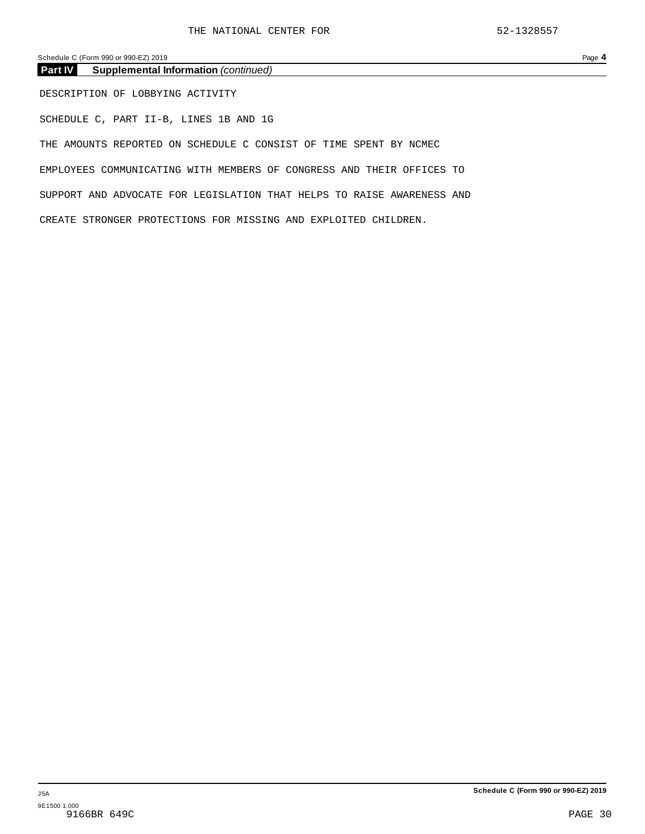Schedule C (Form 990 or 990-EZ) 2019 Page 4

| <b>Part IV</b><br><b>Supplemental Information</b> (continued)          |
|------------------------------------------------------------------------|
| DESCRIPTION OF LOBBYING ACTIVITY                                       |
| SCHEDULE C, PART II-B, LINES 1B AND 1G                                 |
| THE AMOUNTS REPORTED ON SCHEDULE C CONSIST OF TIME SPENT BY NCMEC      |
| EMPLOYEES COMMUNICATING WITH MEMBERS OF CONGRESS AND THEIR OFFICES TO  |
| SUPPORT AND ADVOCATE FOR LEGISLATION THAT HELPS TO RAISE AWARENESS AND |
| CREATE STRONGER PROTECTIONS FOR MISSING AND EXPLOITED CHILDREN.        |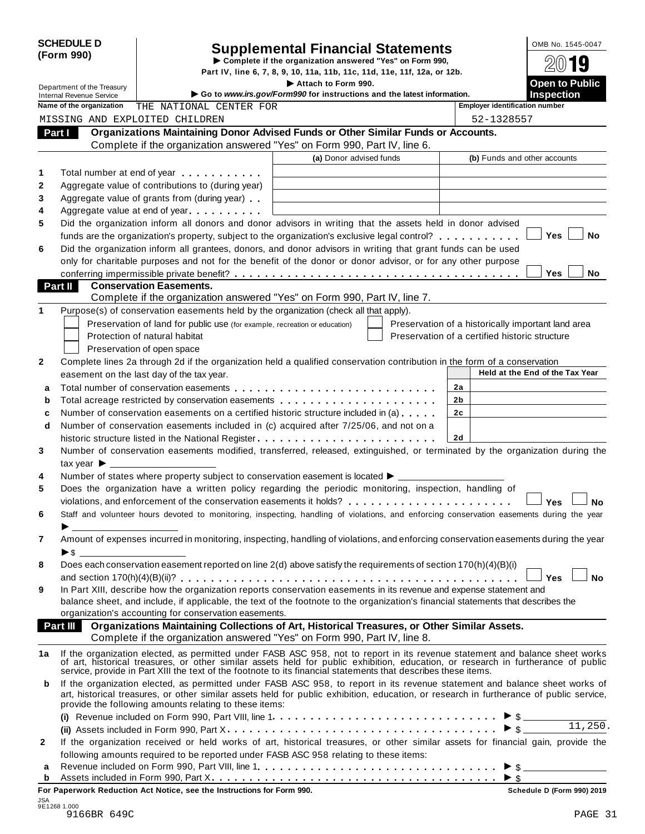|            | <b>SCHEDULE D</b> |  |
|------------|-------------------|--|
| (Form 990) |                   |  |

# Supplemental Financial Statements<br>
Complete if the organization answered "Yes" on Form 990,<br>
Part IV, line 6, 7, 8, 9, 10, 11a, 11b, 11c, 11d, 11e, 11f, 12a, or 12b.<br>
Attach to Form 990.<br>
Open to Public

|              | Department of the Treasury                                  |                                                                                           | Attach to Form 990.                                                                                                                                                                                                                                                                                                                              |    |                                                | <b>Open to Public</b>                              |
|--------------|-------------------------------------------------------------|-------------------------------------------------------------------------------------------|--------------------------------------------------------------------------------------------------------------------------------------------------------------------------------------------------------------------------------------------------------------------------------------------------------------------------------------------------|----|------------------------------------------------|----------------------------------------------------|
|              | <b>Internal Revenue Service</b><br>Name of the organization | THE NATIONAL CENTER FOR                                                                   | Go to www.irs.gov/Form990 for instructions and the latest information.                                                                                                                                                                                                                                                                           |    | <b>Employer identification number</b>          | <b>Inspection</b>                                  |
|              |                                                             | MISSING AND EXPLOITED CHILDREN                                                            |                                                                                                                                                                                                                                                                                                                                                  |    | 52-1328557                                     |                                                    |
|              | Part I                                                      |                                                                                           | Organizations Maintaining Donor Advised Funds or Other Similar Funds or Accounts.                                                                                                                                                                                                                                                                |    |                                                |                                                    |
|              |                                                             |                                                                                           | Complete if the organization answered "Yes" on Form 990, Part IV, line 6.                                                                                                                                                                                                                                                                        |    |                                                |                                                    |
|              |                                                             |                                                                                           | (a) Donor advised funds                                                                                                                                                                                                                                                                                                                          |    | (b) Funds and other accounts                   |                                                    |
| 1            |                                                             |                                                                                           |                                                                                                                                                                                                                                                                                                                                                  |    |                                                |                                                    |
| $\mathbf{2}$ |                                                             | Total number at end of year example.<br>Aggregate value of contributions to (during year) |                                                                                                                                                                                                                                                                                                                                                  |    |                                                |                                                    |
| 3            |                                                             | Aggregate value of grants from (during year)                                              |                                                                                                                                                                                                                                                                                                                                                  |    |                                                |                                                    |
| 4            |                                                             | Aggregate value at end of year expression and Aggregate value                             |                                                                                                                                                                                                                                                                                                                                                  |    |                                                |                                                    |
| 5            |                                                             |                                                                                           | Did the organization inform all donors and donor advisors in writing that the assets held in donor advised                                                                                                                                                                                                                                       |    |                                                |                                                    |
|              |                                                             |                                                                                           | funds are the organization's property, subject to the organization's exclusive legal control?                                                                                                                                                                                                                                                    |    |                                                | <b>Yes</b><br>No                                   |
| 6            |                                                             |                                                                                           | Did the organization inform all grantees, donors, and donor advisors in writing that grant funds can be used                                                                                                                                                                                                                                     |    |                                                |                                                    |
|              |                                                             |                                                                                           | only for charitable purposes and not for the benefit of the donor or donor advisor, or for any other purpose                                                                                                                                                                                                                                     |    |                                                |                                                    |
|              |                                                             |                                                                                           |                                                                                                                                                                                                                                                                                                                                                  |    |                                                | <b>Yes</b><br>No                                   |
|              | <b>Part II</b>                                              | <b>Conservation Easements.</b>                                                            |                                                                                                                                                                                                                                                                                                                                                  |    |                                                |                                                    |
|              |                                                             |                                                                                           | Complete if the organization answered "Yes" on Form 990, Part IV, line 7.                                                                                                                                                                                                                                                                        |    |                                                |                                                    |
| 1            |                                                             |                                                                                           | Purpose(s) of conservation easements held by the organization (check all that apply).                                                                                                                                                                                                                                                            |    |                                                |                                                    |
|              |                                                             | Preservation of land for public use (for example, recreation or education)                |                                                                                                                                                                                                                                                                                                                                                  |    |                                                | Preservation of a historically important land area |
|              |                                                             | Protection of natural habitat                                                             |                                                                                                                                                                                                                                                                                                                                                  |    | Preservation of a certified historic structure |                                                    |
|              |                                                             | Preservation of open space                                                                |                                                                                                                                                                                                                                                                                                                                                  |    |                                                |                                                    |
| 2            |                                                             |                                                                                           | Complete lines 2a through 2d if the organization held a qualified conservation contribution in the form of a conservation                                                                                                                                                                                                                        |    |                                                |                                                    |
|              |                                                             | easement on the last day of the tax year.                                                 |                                                                                                                                                                                                                                                                                                                                                  |    |                                                | Held at the End of the Tax Year                    |
| a            |                                                             |                                                                                           |                                                                                                                                                                                                                                                                                                                                                  | 2a |                                                |                                                    |
| b            |                                                             |                                                                                           | Total acreage restricted by conservation easements                                                                                                                                                                                                                                                                                               | 2b |                                                |                                                    |
| c            |                                                             |                                                                                           | Number of conservation easements on a certified historic structure included in (a)                                                                                                                                                                                                                                                               | 2c |                                                |                                                    |
| d            |                                                             |                                                                                           | Number of conservation easements included in (c) acquired after 7/25/06, and not on a                                                                                                                                                                                                                                                            |    |                                                |                                                    |
|              |                                                             |                                                                                           | historic structure listed in the National Register                                                                                                                                                                                                                                                                                               | 2d |                                                |                                                    |
| 3            |                                                             |                                                                                           | Number of conservation easements modified, transferred, released, extinguished, or terminated by the organization during the                                                                                                                                                                                                                     |    |                                                |                                                    |
|              | tax year $\blacktriangleright$ $\perp$                      |                                                                                           |                                                                                                                                                                                                                                                                                                                                                  |    |                                                |                                                    |
| 4            |                                                             |                                                                                           | Number of states where property subject to conservation easement is located $\blacktriangleright$ ____                                                                                                                                                                                                                                           |    |                                                |                                                    |
| 5            |                                                             |                                                                                           | Does the organization have a written policy regarding the periodic monitoring, inspection, handling of                                                                                                                                                                                                                                           |    |                                                |                                                    |
|              |                                                             |                                                                                           |                                                                                                                                                                                                                                                                                                                                                  |    |                                                | Yes<br>Nο                                          |
| 6            |                                                             |                                                                                           | Staff and volunteer hours devoted to monitoring, inspecting, handling of violations, and enforcing conservation easements during the year                                                                                                                                                                                                        |    |                                                |                                                    |
|              |                                                             |                                                                                           |                                                                                                                                                                                                                                                                                                                                                  |    |                                                |                                                    |
| 7            |                                                             |                                                                                           | Amount of expenses incurred in monitoring, inspecting, handling of violations, and enforcing conservation easements during the year                                                                                                                                                                                                              |    |                                                |                                                    |
|              |                                                             |                                                                                           |                                                                                                                                                                                                                                                                                                                                                  |    |                                                |                                                    |
| 8            |                                                             |                                                                                           | Does each conservation easement reported on line 2(d) above satisfy the requirements of section 170(h)(4)(B)(i)                                                                                                                                                                                                                                  |    |                                                |                                                    |
|              |                                                             |                                                                                           | In Part XIII, describe how the organization reports conservation easements in its revenue and expense statement and                                                                                                                                                                                                                              |    |                                                | Yes<br>No                                          |
| 9            |                                                             |                                                                                           | balance sheet, and include, if applicable, the text of the footnote to the organization's financial statements that describes the                                                                                                                                                                                                                |    |                                                |                                                    |
|              |                                                             | organization's accounting for conservation easements.                                     |                                                                                                                                                                                                                                                                                                                                                  |    |                                                |                                                    |
|              | <b>Part III</b>                                             |                                                                                           | Organizations Maintaining Collections of Art, Historical Treasures, or Other Similar Assets.                                                                                                                                                                                                                                                     |    |                                                |                                                    |
|              |                                                             |                                                                                           | Complete if the organization answered "Yes" on Form 990, Part IV, line 8.                                                                                                                                                                                                                                                                        |    |                                                |                                                    |
| 1a           |                                                             |                                                                                           |                                                                                                                                                                                                                                                                                                                                                  |    |                                                |                                                    |
|              |                                                             |                                                                                           | If the organization elected, as permitted under FASB ASC 958, not to report in its revenue statement and balance sheet works of art, historical treasures, or other similar assets held for public exhibition, education, or r<br>service, provide in Part XIII the text of the footnote to its financial statements that describes these items. |    |                                                |                                                    |
| b            |                                                             |                                                                                           | If the organization elected, as permitted under FASB ASC 958, to report in its revenue statement and balance sheet works of                                                                                                                                                                                                                      |    |                                                |                                                    |
|              |                                                             | provide the following amounts relating to these items:                                    | art, historical treasures, or other similar assets held for public exhibition, education, or research in furtherance of public service,                                                                                                                                                                                                          |    |                                                |                                                    |
|              |                                                             |                                                                                           |                                                                                                                                                                                                                                                                                                                                                  |    |                                                | $\overline{11,250}$ .                              |
|              |                                                             |                                                                                           |                                                                                                                                                                                                                                                                                                                                                  |    |                                                | $\blacktriangleright$ \$                           |
| 2            |                                                             |                                                                                           | If the organization received or held works of art, historical treasures, or other similar assets for financial gain, provide the                                                                                                                                                                                                                 |    |                                                |                                                    |
|              |                                                             |                                                                                           | following amounts required to be reported under FASB ASC 958 relating to these items:                                                                                                                                                                                                                                                            |    |                                                |                                                    |
| а            |                                                             |                                                                                           |                                                                                                                                                                                                                                                                                                                                                  |    |                                                | $\triangleright$ \$                                |
| b            |                                                             |                                                                                           |                                                                                                                                                                                                                                                                                                                                                  |    |                                                |                                                    |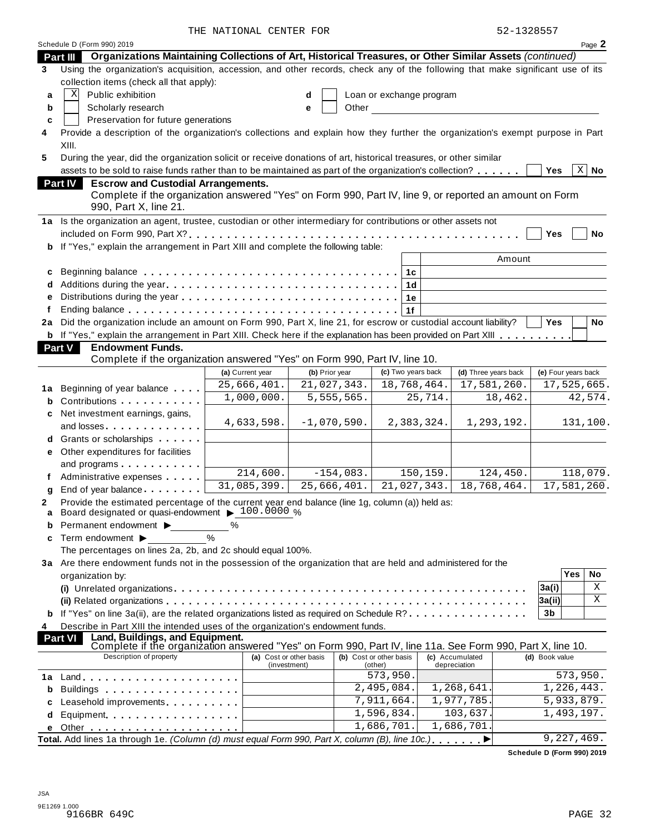|    |                                                                                                                                 | THE NATIONAL CENTER FOR                 |                |                                    | 52-1328557                      |                            |
|----|---------------------------------------------------------------------------------------------------------------------------------|-----------------------------------------|----------------|------------------------------------|---------------------------------|----------------------------|
|    | Schedule D (Form 990) 2019                                                                                                      |                                         |                |                                    |                                 | Page 2                     |
|    | Organizations Maintaining Collections of Art, Historical Treasures, or Other Similar Assets (continued)<br>Part III             |                                         |                |                                    |                                 |                            |
| 3  | Using the organization's acquisition, accession, and other records, check any of the following that make significant use of its |                                         |                |                                    |                                 |                            |
|    | collection items (check all that apply):                                                                                        |                                         |                |                                    |                                 |                            |
| a  | Public exhibition<br>Χ                                                                                                          |                                         |                | Loan or exchange program           |                                 |                            |
| b  | Scholarly research                                                                                                              |                                         | Other<br>e     |                                    |                                 |                            |
| c  | Preservation for future generations                                                                                             |                                         |                |                                    |                                 |                            |
| 4  | Provide a description of the organization's collections and explain how they further the organization's exempt purpose in Part  |                                         |                |                                    |                                 |                            |
|    | XIII.                                                                                                                           |                                         |                |                                    |                                 |                            |
| 5  | During the year, did the organization solicit or receive donations of art, historical treasures, or other similar               |                                         |                |                                    |                                 |                            |
|    | assets to be sold to raise funds rather than to be maintained as part of the organization's collection?                         |                                         |                |                                    |                                 | $\overline{X}$ No<br>Yes   |
|    | <b>Part IV</b><br><b>Escrow and Custodial Arrangements.</b>                                                                     |                                         |                |                                    |                                 |                            |
|    | Complete if the organization answered "Yes" on Form 990, Part IV, line 9, or reported an amount on Form                         |                                         |                |                                    |                                 |                            |
|    | 990, Part X, line 21.                                                                                                           |                                         |                |                                    |                                 |                            |
|    | 1a Is the organization an agent, trustee, custodian or other intermediary for contributions or other assets not                 |                                         |                |                                    |                                 |                            |
|    |                                                                                                                                 |                                         |                |                                    |                                 | Yes<br>No                  |
| b  | If "Yes," explain the arrangement in Part XIII and complete the following table:                                                |                                         |                |                                    |                                 |                            |
|    |                                                                                                                                 |                                         |                |                                    | Amount                          |                            |
| c  |                                                                                                                                 |                                         |                | 1c                                 |                                 |                            |
|    |                                                                                                                                 |                                         |                | 1 <sub>d</sub>                     |                                 |                            |
|    |                                                                                                                                 |                                         |                | 1е                                 |                                 |                            |
|    |                                                                                                                                 |                                         |                | 1f                                 |                                 |                            |
| 2a | Did the organization include an amount on Form 990, Part X, line 21, for escrow or custodial account liability?                 |                                         |                |                                    |                                 | <b>Yes</b><br>No           |
|    | b If "Yes," explain the arrangement in Part XIII. Check here if the explanation has been provided on Part XIII                  |                                         |                |                                    |                                 |                            |
|    | <b>Endowment Funds.</b><br><b>Part V</b>                                                                                        |                                         |                |                                    |                                 |                            |
|    | Complete if the organization answered "Yes" on Form 990, Part IV, line 10.                                                      |                                         |                |                                    |                                 |                            |
|    |                                                                                                                                 | (a) Current year                        | (b) Prior year | (c) Two years back                 | (d) Three years back            | (e) Four years back        |
| 1a | Beginning of year balance                                                                                                       | 25,666,401.                             | 21,027,343.    | 18,768,464.                        | 17,581,260.                     | 17,525,665.                |
| b  | Contributions <b>Contributions</b>                                                                                              | 1,000,000.                              | 5,555,565.     | 25,714.                            | 18,462.                         | 42,574.                    |
|    | Net investment earnings, gains,                                                                                                 |                                         |                |                                    |                                 |                            |
|    | and losses experience and losses                                                                                                | 4,633,598.                              | $-1,070,590.$  | 2,383,324.                         | 1,293,192.                      | 131,100.                   |
|    | Grants or scholarships                                                                                                          |                                         |                |                                    |                                 |                            |
|    | e Other expenditures for facilities                                                                                             |                                         |                |                                    |                                 |                            |
|    | and programs                                                                                                                    |                                         |                |                                    |                                 |                            |
|    | Administrative expenses                                                                                                         | 214,600.                                | $-154,083.$    | 150,159.                           | 124,450.                        | 118,079.                   |
| g  | End of year balance                                                                                                             | 31,085,399.                             | 25,666,401.    | 21,027,343.                        | 18,768,464.                     | 17,581,260.                |
| 2  | Provide the estimated percentage of the current year end balance (line 1g, column (a)) held as:                                 |                                         |                |                                    |                                 |                            |
| a  | Board designated or quasi-endowment > 100.0000 %                                                                                |                                         |                |                                    |                                 |                            |
| b  | Permanent endowment >                                                                                                           | %                                       |                |                                    |                                 |                            |
| c  | Term endowment ▶                                                                                                                | $\%$                                    |                |                                    |                                 |                            |
|    | The percentages on lines 2a, 2b, and 2c should equal 100%.                                                                      |                                         |                |                                    |                                 |                            |
|    | 3a Are there endowment funds not in the possession of the organization that are held and administered for the                   |                                         |                |                                    |                                 |                            |
|    | organization by:                                                                                                                |                                         |                |                                    |                                 | Yes<br>No                  |
|    |                                                                                                                                 |                                         |                |                                    |                                 | Χ<br>3a(i)                 |
|    |                                                                                                                                 |                                         |                |                                    |                                 | Χ<br> 3a(ii)               |
| b  | If "Yes" on line 3a(ii), are the related organizations listed as required on Schedule R?                                        |                                         |                |                                    |                                 | 3b                         |
| 4  | Describe in Part XIII the intended uses of the organization's endowment funds.                                                  |                                         |                |                                    |                                 |                            |
|    | Land, Buildings, and Equipment.<br><b>Part VI</b>                                                                               |                                         |                |                                    |                                 |                            |
|    | Complete if the organization answered "Yes" on Form 990, Part IV, line 11a. See Form 990, Part X, line 10.                      |                                         |                |                                    |                                 |                            |
|    | Description of property                                                                                                         | (a) Cost or other basis<br>(investment) |                | (b) Cost or other basis<br>(other) | (c) Accumulated<br>depreciation | (d) Book value             |
| 1a | $Land.$                                                                                                                         |                                         |                | 573,950.                           |                                 | 573,950.                   |
| b  |                                                                                                                                 |                                         |                | 2,495,084.                         | 1,268,641.                      | 1,226,443.                 |
| с  | Leasehold improvements                                                                                                          |                                         |                | 7,911,664.                         | 1,977,785.                      | 5,933,879.                 |
| d  |                                                                                                                                 |                                         |                | 1,596,834.                         | 103,637.                        | $\overline{1}$ , 493, 197. |
| е  |                                                                                                                                 |                                         |                | 1,686,701.                         | 1,686,701                       |                            |
|    | Total. Add lines 1a through 1e. (Column (d) must equal Form 990, Part X, column (B), line 10c.).                                |                                         |                |                                    |                                 | 9,227,469.                 |
|    |                                                                                                                                 |                                         |                |                                    |                                 |                            |

**Schedule D (Form 990) 2019**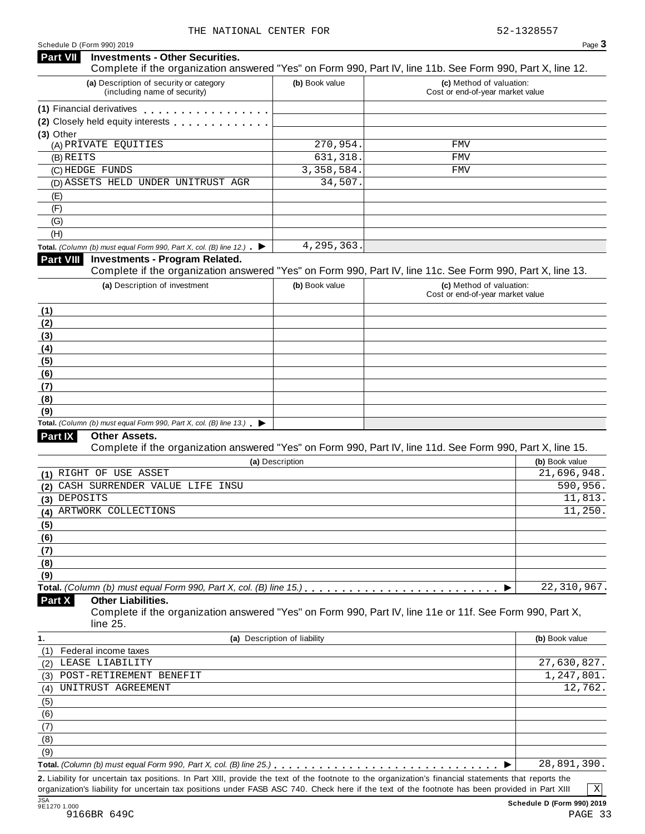#### Schedule <sup>D</sup> (Form 990) <sup>2019</sup> Page **3 Investments - Other Securities. Part VII** Investments - Other Securities.<br>Complete if the organization answered "Yes" on Form 990, Part IV, line 11b. See Form 990, Part X, line 12. **(a)** Description of security or category (including name of security) **(b)** Book value **(c)** Method of valuation: Cost or end-of-year market value **(1)** Financial derivatives **(2)** Closely held equity interests **(3)** Other (A) PRIVATE EQUITIES 270,954. FMV (B) REITS (C) HEDGE FUNDS 3,358,584. FMV (D) ASSETS HELD UNDER UNITRUST AGR 34,507. (E) (F) (G) (H) **Total.** *(Column (b) must* equal Form 990, Part *X*, col. *(B) line* 12.) **Part VIII Investments - Program Related. Investments - Program Related.** Complete if the organization answered "Yes" on Form 990, Part IV, line 11c. See Form 990, Part X, line 13. **(a)** Description of investment **(b)** Book value **(c)** Method of valuation: Cost or end-of-year market value **(1) (2) (3) (4) (5) (6) (7) (8) (9) Total.** *(Column (b) must equal Form* 990, *Part X, col. (B) line* 13.) **►**<br>**Part IX Other Assets. Other Assets.** Complete if the organization answered "Yes" on Form 990, Part IV, line 11d. See Form 990, Part X, line 15. **(a)** Description **(b)** Book value **(1) (2) (3) (4) (5) (6) (7) (8) (9) Total.** (Column (b) must equal Form 990, Part  $X$ , col. (B) line 15.)  $\ldots$   $\ldots$   $\ldots$   $\ldots$   $\ldots$   $\ldots$   $\ldots$   $\ldots$   $\ldots$   $\ldots$ **Other Liabilities.** Complete if the organization answered "Yes" on Form 990, Part IV, line 11e or 11f. See Form 990, Part X, line 25. **Part X 1. (a)** Description of liability **(b)** Book value (1) Federal income taxes (2) (3) (4) (5) (6) THE NATIONAL CENTER FOR 52-1328557 631,318. FMV 4,295,363. RIGHT OF USE ASSET 21,696,948. CASH SURRENDER VALUE LIFE INSU 590, 356.  $\Delta$ DEPOSITS 11,813. ARTWORK COLLECTIONS 11, 250. 22,310,967. LEASE LIABILITY 27,630,827. POST-RETIREMENT BENEFIT 1,247,801 UNITRUST AGREEMENT 12,762

(9)  $\overline{\text{Total. } (Column (b) \text{ must equal Form 990, Part X, col. (B) line 25.)}$   $\ldots$   $\ldots$   $\ldots$   $\ldots$   $\ldots$   $\ldots$   $\ldots$   $\ldots$   $\ldots$   $\ldots$   $\ldots$ **2.** Liability for uncertain tax positions. In Part XIII, provide the text of the footnote to the organization's financial statements that reports the 28,891,390.

organization's liability for uncertain tax positions under FASB ASC 740. Check here if the text of the footnote has been provided in Part XIII

(7) (8)

X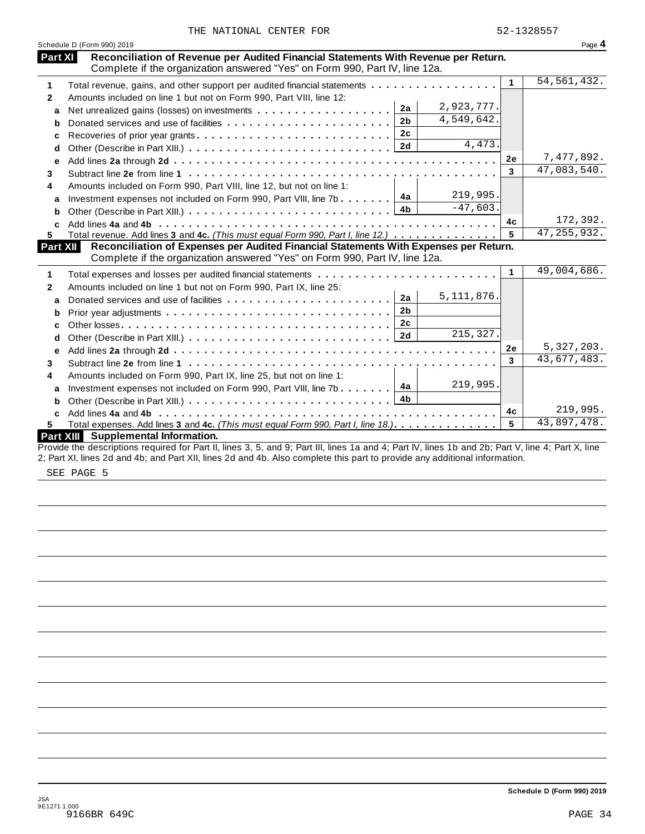|  |  | THE NATIONAL CENTER FOR |  |  |
|--|--|-------------------------|--|--|
|--|--|-------------------------|--|--|

|              | Schedule D (Form 990) 2019                                                            |    | Page 4        |
|--------------|---------------------------------------------------------------------------------------|----|---------------|
| Part XI      | Reconciliation of Revenue per Audited Financial Statements With Revenue per Return.   |    |               |
|              | Complete if the organization answered "Yes" on Form 990, Part IV, line 12a.           |    |               |
| 1            | Total revenue, gains, and other support per audited financial statements              | 1  | 54, 561, 432. |
| $\mathbf{2}$ | Amounts included on line 1 but not on Form 990, Part VIII, line 12:                   |    |               |
| a            | 2,923,777.<br>2a                                                                      |    |               |
| b            | 4,549,642.<br>2 <sub>b</sub>                                                          |    |               |
| c            | 2c                                                                                    |    |               |
| d            | 4,473.                                                                                |    |               |
| е            |                                                                                       | 2e | 7,477,892.    |
| 3            |                                                                                       | 3  | 47,083,540.   |
| 4            | Amounts included on Form 990, Part VIII, line 12, but not on line 1:                  |    |               |
| a            | 219,995.<br>4a<br>Investment expenses not included on Form 990, Part VIII, line 7b    |    |               |
| b            | $-47,603.$<br>4b                                                                      |    |               |
|              |                                                                                       | 4c | 172,392.      |
| 5            | Total revenue. Add lines 3 and 4c. (This must equal Form 990, Part I, line 12.)       | 5  | 47, 255, 932. |
| Part XII     | Reconciliation of Expenses per Audited Financial Statements With Expenses per Return. |    |               |
|              | Complete if the organization answered "Yes" on Form 990, Part IV, line 12a.           |    |               |
| 1            | Total expenses and losses per audited financial statements                            | 1  | 49,004,686.   |
| $\mathbf{2}$ | Amounts included on line 1 but not on Form 990, Part IX, line 25:                     |    |               |
| a            | 5, 111, 876.<br>2a                                                                    |    |               |
| b            | 2 <sub>b</sub>                                                                        |    |               |
| C            | 2c                                                                                    |    |               |
| d            | $\overline{215,327}$ .                                                                |    |               |
| е            |                                                                                       | 2e | 5,327,203.    |
| 3            |                                                                                       | 3  | 43,677,483.   |
| 4            | Amounts included on Form 990, Part IX, line 25, but not on line 1:                    |    |               |
| a            | 219,995.<br>4a<br>Investment expenses not included on Form 990, Part VIII, line 7b    |    |               |
| b            | 4 <sub>b</sub>                                                                        |    |               |
| C.           |                                                                                       | 4c | 219,995.      |
| 5.           | Total expenses. Add lines 3 and 4c. (This must equal Form 990, Part I, line 18.)      | 5  | 43,897,478.   |
|              | Part XIII Supplemental Information.                                                   |    |               |
|              |                                                                                       |    |               |

2; Part XI, lines 2d and 4b; and Part XII, lines 2d and 4b. Also complete this part to provide any additional information.

SEE PAGE 5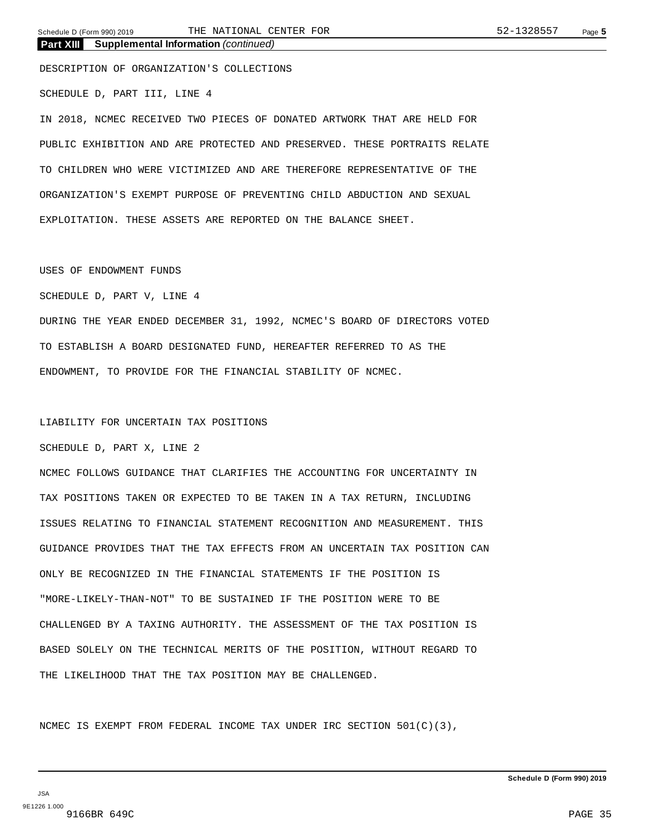**Part XIII Supplemental Information** *(continued)*

DESCRIPTION OF ORGANIZATION'S COLLECTIONS SCHEDULE D, PART III, LINE 4

IN 2018, NCMEC RECEIVED TWO PIECES OF DONATED ARTWORK THAT ARE HELD FOR PUBLIC EXHIBITION AND ARE PROTECTED AND PRESERVED. THESE PORTRAITS RELATE TO CHILDREN WHO WERE VICTIMIZED AND ARE THEREFORE REPRESENTATIVE OF THE ORGANIZATION'S EXEMPT PURPOSE OF PREVENTING CHILD ABDUCTION AND SEXUAL EXPLOITATION. THESE ASSETS ARE REPORTED ON THE BALANCE SHEET.

#### USES OF ENDOWMENT FUNDS

SCHEDULE D, PART V, LINE 4

DURING THE YEAR ENDED DECEMBER 31, 1992, NCMEC'S BOARD OF DIRECTORS VOTED TO ESTABLISH A BOARD DESIGNATED FUND, HEREAFTER REFERRED TO AS THE ENDOWMENT, TO PROVIDE FOR THE FINANCIAL STABILITY OF NCMEC.

#### LIABILITY FOR UNCERTAIN TAX POSITIONS

SCHEDULE D, PART X, LINE 2

NCMEC FOLLOWS GUIDANCE THAT CLARIFIES THE ACCOUNTING FOR UNCERTAINTY IN TAX POSITIONS TAKEN OR EXPECTED TO BE TAKEN IN A TAX RETURN, INCLUDING ISSUES RELATING TO FINANCIAL STATEMENT RECOGNITION AND MEASUREMENT. THIS GUIDANCE PROVIDES THAT THE TAX EFFECTS FROM AN UNCERTAIN TAX POSITION CAN ONLY BE RECOGNIZED IN THE FINANCIAL STATEMENTS IF THE POSITION IS "MORE-LIKELY-THAN-NOT" TO BE SUSTAINED IF THE POSITION WERE TO BE CHALLENGED BY A TAXING AUTHORITY. THE ASSESSMENT OF THE TAX POSITION IS BASED SOLELY ON THE TECHNICAL MERITS OF THE POSITION, WITHOUT REGARD TO THE LIKELIHOOD THAT THE TAX POSITION MAY BE CHALLENGED.

NCMEC IS EXEMPT FROM FEDERAL INCOME TAX UNDER IRC SECTION  $501(C)(3)$ ,

JSA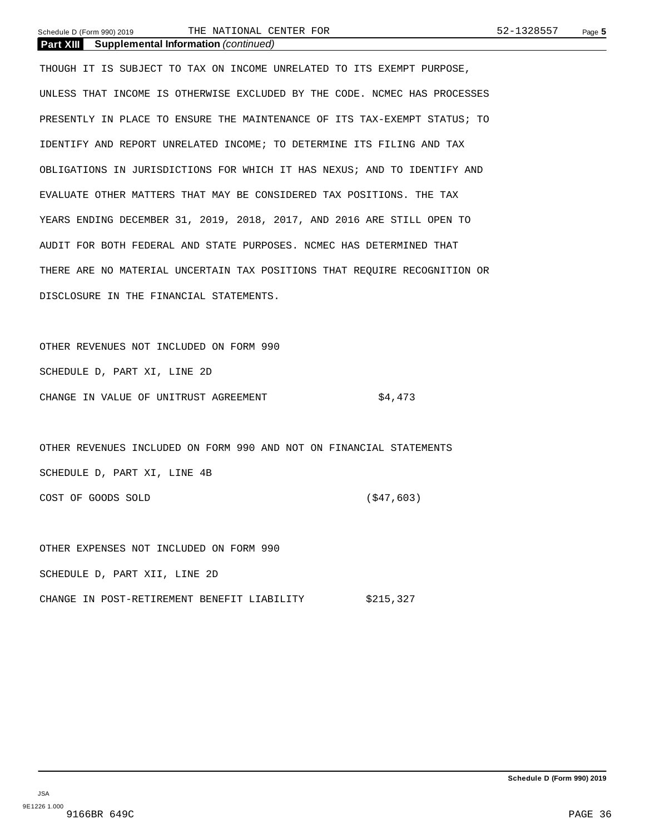Schedule D (Form 990) 2019 Page **5** THE NATIONAL CENTER FOR 52-1328557

**Part XIII Supplemental Information** *(continued)*

THOUGH IT IS SUBJECT TO TAX ON INCOME UNRELATED TO ITS EXEMPT PURPOSE, UNLESS THAT INCOME IS OTHERWISE EXCLUDED BY THE CODE. NCMEC HAS PROCESSES PRESENTLY IN PLACE TO ENSURE THE MAINTENANCE OF ITS TAX-EXEMPT STATUS; TO IDENTIFY AND REPORT UNRELATED INCOME; TO DETERMINE ITS FILING AND TAX OBLIGATIONS IN JURISDICTIONS FOR WHICH IT HAS NEXUS; AND TO IDENTIFY AND EVALUATE OTHER MATTERS THAT MAY BE CONSIDERED TAX POSITIONS. THE TAX YEARS ENDING DECEMBER 31, 2019, 2018, 2017, AND 2016 ARE STILL OPEN TO AUDIT FOR BOTH FEDERAL AND STATE PURPOSES. NCMEC HAS DETERMINED THAT THERE ARE NO MATERIAL UNCERTAIN TAX POSITIONS THAT REQUIRE RECOGNITION OR DISCLOSURE IN THE FINANCIAL STATEMENTS.

OTHER REVENUES NOT INCLUDED ON FORM 990 SCHEDULE D, PART XI, LINE 2D CHANGE IN VALUE OF UNITRUST AGREEMENT 64,473

OTHER REVENUES INCLUDED ON FORM 990 AND NOT ON FINANCIAL STATEMENTS SCHEDULE D, PART XI, LINE 4B COST OF GOODS SOLD (\$47,603)

OTHER EXPENSES NOT INCLUDED ON FORM 990 SCHEDULE D, PART XII, LINE 2D CHANGE IN POST-RETIREMENT BENEFIT LIABILITY \$215,327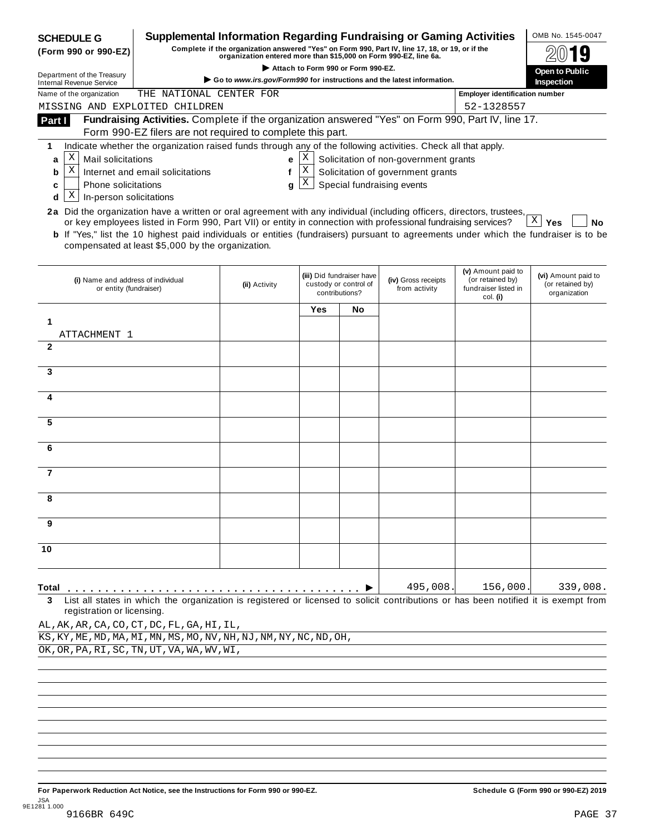| <b>SCHEDULE G</b>                                                                                                                                                 |                                                                                                                                                                                                                                                                                                                     | <b>Supplemental Information Regarding Fundraising or Gaming Activities</b>                                                                                          |                                    |                                                                      |                                       |                                                                            | OMB No. 1545-0047                                       |
|-------------------------------------------------------------------------------------------------------------------------------------------------------------------|---------------------------------------------------------------------------------------------------------------------------------------------------------------------------------------------------------------------------------------------------------------------------------------------------------------------|---------------------------------------------------------------------------------------------------------------------------------------------------------------------|------------------------------------|----------------------------------------------------------------------|---------------------------------------|----------------------------------------------------------------------------|---------------------------------------------------------|
| (Form 990 or 990-EZ)                                                                                                                                              |                                                                                                                                                                                                                                                                                                                     | Complete if the organization answered "Yes" on Form 990, Part IV, line 17, 18, or 19, or if the<br>organization entered more than \$15,000 on Form 990-EZ, line 6a. |                                    |                                                                      |                                       |                                                                            |                                                         |
| Department of the Treasury                                                                                                                                        |                                                                                                                                                                                                                                                                                                                     | Go to www.irs.gov/Form990 for instructions and the latest information.                                                                                              | Attach to Form 990 or Form 990-EZ. |                                                                      |                                       |                                                                            | <b>Open to Public</b>                                   |
| <b>Internal Revenue Service</b><br>Name of the organization                                                                                                       | THE NATIONAL CENTER FOR                                                                                                                                                                                                                                                                                             |                                                                                                                                                                     |                                    |                                                                      |                                       | <b>Employer identification number</b>                                      | Inspection                                              |
| MISSING AND EXPLOITED CHILDREN                                                                                                                                    |                                                                                                                                                                                                                                                                                                                     |                                                                                                                                                                     |                                    |                                                                      |                                       | 52-1328557                                                                 |                                                         |
| Part I                                                                                                                                                            | Fundraising Activities. Complete if the organization answered "Yes" on Form 990, Part IV, line 17.                                                                                                                                                                                                                  |                                                                                                                                                                     |                                    |                                                                      |                                       |                                                                            |                                                         |
|                                                                                                                                                                   | Form 990-EZ filers are not required to complete this part.                                                                                                                                                                                                                                                          |                                                                                                                                                                     |                                    |                                                                      |                                       |                                                                            |                                                         |
| 1                                                                                                                                                                 | Indicate whether the organization raised funds through any of the following activities. Check all that apply.                                                                                                                                                                                                       |                                                                                                                                                                     |                                    |                                                                      |                                       |                                                                            |                                                         |
| Χ<br>Mail solicitations<br>a                                                                                                                                      |                                                                                                                                                                                                                                                                                                                     | e                                                                                                                                                                   | X                                  |                                                                      | Solicitation of non-government grants |                                                                            |                                                         |
| X<br>b                                                                                                                                                            | Internet and email solicitations                                                                                                                                                                                                                                                                                    | f                                                                                                                                                                   | Χ<br>X                             |                                                                      | Solicitation of government grants     |                                                                            |                                                         |
| Phone solicitations<br>C<br>Χ<br>In-person solicitations<br>d                                                                                                     |                                                                                                                                                                                                                                                                                                                     | a                                                                                                                                                                   |                                    |                                                                      | Special fundraising events            |                                                                            |                                                         |
| 2a Did the organization have a written or oral agreement with any individual (including officers, directors, trustees,                                            |                                                                                                                                                                                                                                                                                                                     |                                                                                                                                                                     |                                    |                                                                      |                                       |                                                                            |                                                         |
|                                                                                                                                                                   | or key employees listed in Form 990, Part VII) or entity in connection with professional fundraising services?<br><b>b</b> If "Yes," list the 10 highest paid individuals or entities (fundraisers) pursuant to agreements under which the fundraiser is to be<br>compensated at least \$5,000 by the organization. |                                                                                                                                                                     |                                    |                                                                      |                                       |                                                                            | $X \mid Y$ es<br>No                                     |
| (i) Name and address of individual<br>or entity (fundraiser)                                                                                                      |                                                                                                                                                                                                                                                                                                                     | (ii) Activity                                                                                                                                                       |                                    | (iii) Did fundraiser have<br>custody or control of<br>contributions? | (iv) Gross receipts<br>from activity  | (v) Amount paid to<br>(or retained by)<br>fundraiser listed in<br>col. (i) | (vi) Amount paid to<br>(or retained by)<br>organization |
|                                                                                                                                                                   |                                                                                                                                                                                                                                                                                                                     |                                                                                                                                                                     | Yes                                | No                                                                   |                                       |                                                                            |                                                         |
|                                                                                                                                                                   |                                                                                                                                                                                                                                                                                                                     |                                                                                                                                                                     |                                    |                                                                      |                                       |                                                                            |                                                         |
| ATTACHMENT 1<br>$\mathbf{2}$                                                                                                                                      |                                                                                                                                                                                                                                                                                                                     |                                                                                                                                                                     |                                    |                                                                      |                                       |                                                                            |                                                         |
|                                                                                                                                                                   |                                                                                                                                                                                                                                                                                                                     |                                                                                                                                                                     |                                    |                                                                      |                                       |                                                                            |                                                         |
| 3                                                                                                                                                                 |                                                                                                                                                                                                                                                                                                                     |                                                                                                                                                                     |                                    |                                                                      |                                       |                                                                            |                                                         |
|                                                                                                                                                                   |                                                                                                                                                                                                                                                                                                                     |                                                                                                                                                                     |                                    |                                                                      |                                       |                                                                            |                                                         |
| 4                                                                                                                                                                 |                                                                                                                                                                                                                                                                                                                     |                                                                                                                                                                     |                                    |                                                                      |                                       |                                                                            |                                                         |
| 5                                                                                                                                                                 |                                                                                                                                                                                                                                                                                                                     |                                                                                                                                                                     |                                    |                                                                      |                                       |                                                                            |                                                         |
| 6                                                                                                                                                                 |                                                                                                                                                                                                                                                                                                                     |                                                                                                                                                                     |                                    |                                                                      |                                       |                                                                            |                                                         |
| 7                                                                                                                                                                 |                                                                                                                                                                                                                                                                                                                     |                                                                                                                                                                     |                                    |                                                                      |                                       |                                                                            |                                                         |
| 8                                                                                                                                                                 |                                                                                                                                                                                                                                                                                                                     |                                                                                                                                                                     |                                    |                                                                      |                                       |                                                                            |                                                         |
| 9                                                                                                                                                                 |                                                                                                                                                                                                                                                                                                                     |                                                                                                                                                                     |                                    |                                                                      |                                       |                                                                            |                                                         |
| 10                                                                                                                                                                |                                                                                                                                                                                                                                                                                                                     |                                                                                                                                                                     |                                    |                                                                      |                                       |                                                                            |                                                         |
|                                                                                                                                                                   |                                                                                                                                                                                                                                                                                                                     |                                                                                                                                                                     |                                    |                                                                      | 495,008.                              | 156,000                                                                    | 339,008.                                                |
| Total<br>3<br>registration or licensing.                                                                                                                          | List all states in which the organization is registered or licensed to solicit contributions or has been notified it is exempt from                                                                                                                                                                                 |                                                                                                                                                                     |                                    |                                                                      |                                       |                                                                            |                                                         |
|                                                                                                                                                                   |                                                                                                                                                                                                                                                                                                                     |                                                                                                                                                                     |                                    |                                                                      |                                       |                                                                            |                                                         |
|                                                                                                                                                                   |                                                                                                                                                                                                                                                                                                                     |                                                                                                                                                                     |                                    |                                                                      |                                       |                                                                            |                                                         |
| AL, AK, AR, CA, CO, CT, DC, FL, GA, HI, IL,<br>KS, KY, ME, MD, MA, MI, MN, MS, MO, NV, NH, NJ, NM, NY, NC, ND, OH,<br>OK, OR, PA, RI, SC, TN, UT, VA, WA, WV, WI, |                                                                                                                                                                                                                                                                                                                     |                                                                                                                                                                     |                                    |                                                                      |                                       |                                                                            |                                                         |

For Paperwork Reduction Act Notice, see the Instructions for Form 990 or 990-EZ. Schedule G (Form 990 or 990-EZ) 2019 JSA 9E1281 1.000 9166BR 649C PAGE 37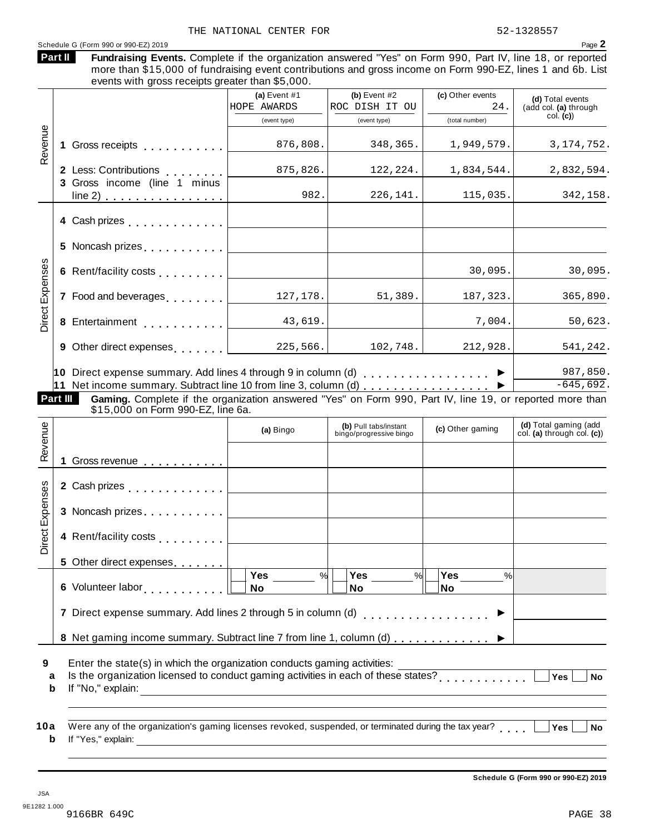|                        |                                                                                                                                                                                                                                                                                      | (a) Event $#1$<br>HOPE AWARDS | (b) Event $#2$<br>ROC DISH IT OU                 | (c) Other events<br>24. | (d) Total events<br>(add col. (a) through           |
|------------------------|--------------------------------------------------------------------------------------------------------------------------------------------------------------------------------------------------------------------------------------------------------------------------------------|-------------------------------|--------------------------------------------------|-------------------------|-----------------------------------------------------|
|                        |                                                                                                                                                                                                                                                                                      | (event type)                  | (event type)                                     | (total number)          | col. (c)                                            |
| Revenue                | 1 Gross receipts <b>1 Container and Taylor</b>                                                                                                                                                                                                                                       | 876,808.                      | 348,365.                                         | 1,949,579.              | 3, 174, 752.                                        |
|                        | 2 Less: Contributions<br>3 Gross income (line 1 minus                                                                                                                                                                                                                                | 875,826.                      | 122,224.                                         | 1,834,544.              | 2,832,594.                                          |
|                        | line 2) $\ldots$ $\ldots$ $\ldots$ $\ldots$ $\ldots$                                                                                                                                                                                                                                 | 982.                          | 226,141.                                         | 115,035.                | 342,158.                                            |
|                        | 4 Cash prizes <b>contained</b> Cash prizes                                                                                                                                                                                                                                           |                               |                                                  |                         |                                                     |
|                        | 5 Noncash prizes                                                                                                                                                                                                                                                                     |                               |                                                  |                         |                                                     |
|                        | 6 Rent/facility costs                                                                                                                                                                                                                                                                |                               |                                                  | 30,095.                 | 30,095.                                             |
| <b>Direct Expenses</b> | 7 Food and beverages                                                                                                                                                                                                                                                                 | 127,178.                      | 51,389.                                          | 187,323.                | 365,890.                                            |
|                        | 8 Entertainment [1999]                                                                                                                                                                                                                                                               | 43,619.                       |                                                  | 7,004.                  | 50,623.                                             |
|                        | 9 Other direct expenses 225,566.                                                                                                                                                                                                                                                     |                               | 102,748.                                         | 212,928.                | 541,242.                                            |
|                        | 10 Direct expense summary. Add lines 4 through 9 in column (d) $\ldots$ ,,,,,,,,,,,,,,,<br>11 Net income summary. Subtract line 10 from line 3, column (d) ▶<br>Part III<br>Gaming. Complete if the organization answered "Yes" on Form 990, Part IV, line 19, or reported more than |                               |                                                  |                         |                                                     |
|                        | \$15,000 on Form 990-EZ, line 6a.                                                                                                                                                                                                                                                    |                               |                                                  |                         |                                                     |
|                        |                                                                                                                                                                                                                                                                                      | (a) Bingo                     | (b) Pull tabs/instant<br>bingo/progressive bingo | (c) Other gaming        | (d) Total gaming (add<br>col. (a) through col. (c)) |
|                        | 1 Gross revenue <b>contracts</b> contains a series of the series of the series of the series of the series of the series of the series of the series of the series of the series of the series of the series of the series of the s                                                  |                               |                                                  |                         |                                                     |
|                        | 2 Cash prizes                                                                                                                                                                                                                                                                        |                               |                                                  |                         |                                                     |
| Revenue                | 3 Noncash prizes                                                                                                                                                                                                                                                                     |                               |                                                  |                         |                                                     |
|                        | 4 Rent/facility costs [                                                                                                                                                                                                                                                              |                               |                                                  |                         |                                                     |
| Direct Expenses        |                                                                                                                                                                                                                                                                                      |                               |                                                  |                         | 987,850.<br>$-645,692.$                             |
|                        | 6 Volunteer labor [1] [1] North Lines and Solid Point Lines and Solid Point Lines and Solid Point Lines and Solid Point Lines and Solid Point Lines and Solid Point Lines and Solid Point Lines and Solid Point Lines and Soli                                                       | Yes<br>%<br><b>No</b>         | Yes<br>%  <br>No                                 | Yes<br>%<br><b>No</b>   |                                                     |
|                        | 7 Direct expense summary. Add lines 2 through 5 in column (d)                                                                                                                                                                                                                        |                               |                                                  |                         |                                                     |
|                        | 8 Net gaming income summary. Subtract line 7 from line 1, column (d)                                                                                                                                                                                                                 |                               |                                                  |                         |                                                     |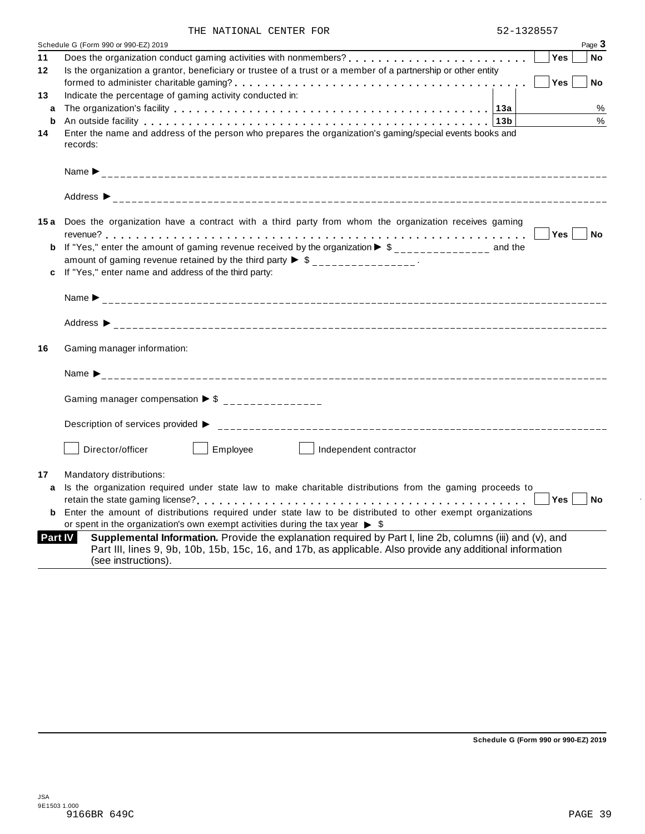| THE NATIONAL CENTER FOR |  | 52-1328557 |
|-------------------------|--|------------|

|                | Schedule G (Form 990 or 990-EZ) 2019                                                                                                                                                                                          | Page 3           |  |
|----------------|-------------------------------------------------------------------------------------------------------------------------------------------------------------------------------------------------------------------------------|------------------|--|
| 11             |                                                                                                                                                                                                                               | Yes<br><b>No</b> |  |
| 12             | Is the organization a grantor, beneficiary or trustee of a trust or a member of a partnership or other entity                                                                                                                 |                  |  |
|                |                                                                                                                                                                                                                               | Yes<br><b>No</b> |  |
| 13             | Indicate the percentage of gaming activity conducted in:                                                                                                                                                                      |                  |  |
| a              |                                                                                                                                                                                                                               | %                |  |
| b              | An outside facility enterpretence in the set of the contract of the contract of the contract of the current of the contract of the current of the current of the contract of the current of the current of the current of the | $\%$             |  |
| 14             | Enter the name and address of the person who prepares the organization's gaming/special events books and                                                                                                                      |                  |  |
|                | records:                                                                                                                                                                                                                      |                  |  |
|                |                                                                                                                                                                                                                               |                  |  |
|                |                                                                                                                                                                                                                               |                  |  |
|                |                                                                                                                                                                                                                               |                  |  |
|                |                                                                                                                                                                                                                               |                  |  |
|                |                                                                                                                                                                                                                               |                  |  |
|                | 15a Does the organization have a contract with a third party from whom the organization receives gaming                                                                                                                       |                  |  |
|                |                                                                                                                                                                                                                               | Yes  <br>No      |  |
| b              | If "Yes," enter the amount of gaming revenue received by the organization $\triangleright$ \$ _____________ and the                                                                                                           |                  |  |
|                | amount of gaming revenue retained by the third party $\triangleright$ \$ _______________.                                                                                                                                     |                  |  |
| c              | If "Yes," enter name and address of the third party:                                                                                                                                                                          |                  |  |
|                |                                                                                                                                                                                                                               |                  |  |
|                |                                                                                                                                                                                                                               |                  |  |
|                |                                                                                                                                                                                                                               |                  |  |
|                |                                                                                                                                                                                                                               |                  |  |
|                |                                                                                                                                                                                                                               |                  |  |
| 16             | Gaming manager information:                                                                                                                                                                                                   |                  |  |
|                |                                                                                                                                                                                                                               |                  |  |
|                |                                                                                                                                                                                                                               |                  |  |
|                |                                                                                                                                                                                                                               |                  |  |
|                |                                                                                                                                                                                                                               |                  |  |
|                | Gaming manager compensation $\triangleright$ \$ ________________                                                                                                                                                              |                  |  |
|                |                                                                                                                                                                                                                               |                  |  |
|                |                                                                                                                                                                                                                               |                  |  |
|                |                                                                                                                                                                                                                               |                  |  |
|                | Employee<br>Director/officer<br>Independent contractor                                                                                                                                                                        |                  |  |
|                |                                                                                                                                                                                                                               |                  |  |
| 17             | Mandatory distributions:                                                                                                                                                                                                      |                  |  |
| a              | Is the organization required under state law to make charitable distributions from the gaming proceeds to                                                                                                                     |                  |  |
|                |                                                                                                                                                                                                                               | Yes<br><b>No</b> |  |
|                | <b>b</b> Enter the amount of distributions required under state law to be distributed to other exempt organizations                                                                                                           |                  |  |
|                | or spent in the organization's own exempt activities during the tax year $\triangleright$ \$                                                                                                                                  |                  |  |
| <b>Part IV</b> | Supplemental Information. Provide the explanation required by Part I, line 2b, columns (iii) and (v), and                                                                                                                     |                  |  |
|                | Part III, lines 9, 9b, 10b, 15b, 15c, 16, and 17b, as applicable. Also provide any additional information                                                                                                                     |                  |  |
|                | (see instructions).                                                                                                                                                                                                           |                  |  |
|                |                                                                                                                                                                                                                               |                  |  |

÷,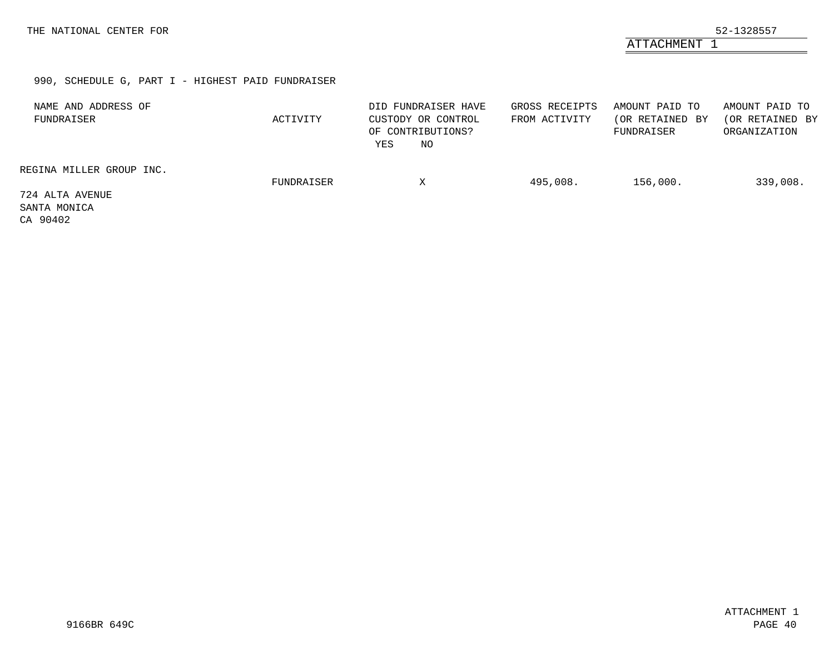ATTACHMENT 1

### 990, SCHEDULE G, PART I - HIGHEST PAID FUNDRAISER

<span id="page-44-0"></span>

| NAME AND ADDRESS OF<br>FUNDRAISER           | ACTIVITY   | DID FUNDRAISER HAVE<br>CUSTODY OR CONTROL<br>OF CONTRIBUTIONS?<br>NO<br>YES | GROSS RECEIPTS<br>FROM ACTIVITY | AMOUNT PAID TO<br>(OR RETAINED BY<br>FUNDRAISER | AMOUNT PAID TO<br>(OR RETAINED BY<br>ORGANIZATION |
|---------------------------------------------|------------|-----------------------------------------------------------------------------|---------------------------------|-------------------------------------------------|---------------------------------------------------|
| REGINA MILLER GROUP INC.                    | FUNDRAISER | Χ                                                                           | 495,008.                        | 156,000.                                        | 339,008.                                          |
| 724 ALTA AVENUE<br>SANTA MONICA<br>CA 90402 |            |                                                                             |                                 |                                                 |                                                   |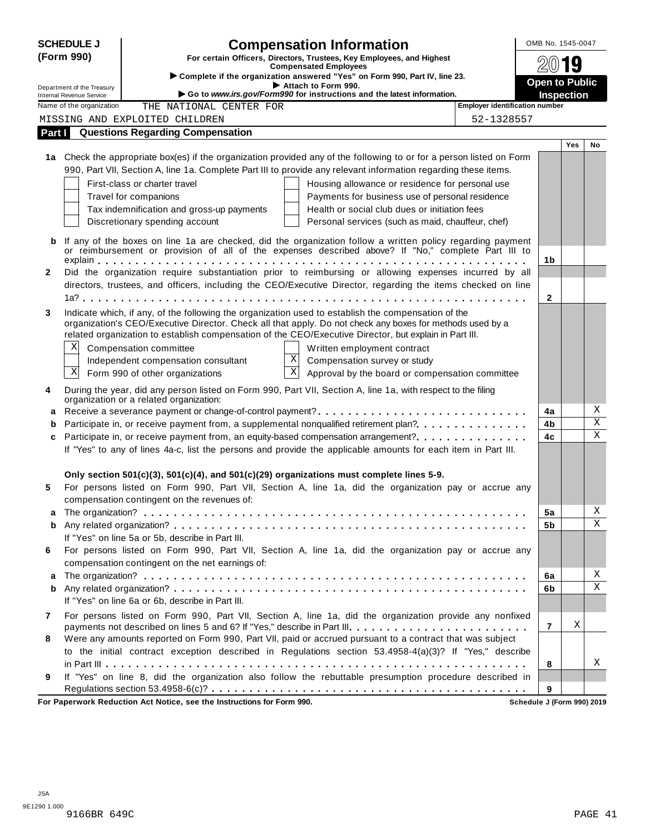|              | <b>SCHEDULE J</b>                                                                   | <b>Compensation Information</b>                                                                                             | OMB No. 1545-0047     |            |             |
|--------------|-------------------------------------------------------------------------------------|-----------------------------------------------------------------------------------------------------------------------------|-----------------------|------------|-------------|
|              | (Form 990)<br>For certain Officers, Directors, Trustees, Key Employees, and Highest |                                                                                                                             |                       |            |             |
|              |                                                                                     | <b>Compensated Employees</b><br>Complete if the organization answered "Yes" on Form 990, Part IV, line 23.                  |                       | 19         |             |
|              | Department of the Treasury                                                          | Attach to Form 990.                                                                                                         | <b>Open to Public</b> |            |             |
|              | <b>Internal Revenue Service</b>                                                     | Go to www.irs.gov/Form990 for instructions and the latest information.                                                      | <b>Inspection</b>     |            |             |
|              | Name of the organization                                                            | Employer identification number<br>THE NATIONAL CENTER FOR                                                                   |                       |            |             |
|              |                                                                                     | 52-1328557<br>MISSING AND EXPLOITED CHILDREN                                                                                |                       |            |             |
| Part I       |                                                                                     | <b>Questions Regarding Compensation</b>                                                                                     |                       |            |             |
|              |                                                                                     | 1a Check the appropriate box(es) if the organization provided any of the following to or for a person listed on Form        |                       | <b>Yes</b> | No          |
|              |                                                                                     | 990, Part VII, Section A, line 1a. Complete Part III to provide any relevant information regarding these items.             |                       |            |             |
|              |                                                                                     | First-class or charter travel                                                                                               |                       |            |             |
|              |                                                                                     | Housing allowance or residence for personal use<br>Travel for companions<br>Payments for business use of personal residence |                       |            |             |
|              |                                                                                     | Tax indemnification and gross-up payments<br>Health or social club dues or initiation fees                                  |                       |            |             |
|              |                                                                                     | Discretionary spending account<br>Personal services (such as maid, chauffeur, chef)                                         |                       |            |             |
|              |                                                                                     |                                                                                                                             |                       |            |             |
| b            |                                                                                     | If any of the boxes on line 1a are checked, did the organization follow a written policy regarding payment                  |                       |            |             |
|              |                                                                                     | or reimbursement or provision of all of the expenses described above? If "No," complete Part III to                         | 1 <sub>b</sub>        |            |             |
| $\mathbf{2}$ |                                                                                     | Did the organization require substantiation prior to reimbursing or allowing expenses incurred by all                       |                       |            |             |
|              |                                                                                     | directors, trustees, and officers, including the CEO/Executive Director, regarding the items checked on line                |                       |            |             |
|              |                                                                                     |                                                                                                                             | $\mathbf{2}$          |            |             |
| 3            |                                                                                     | Indicate which, if any, of the following the organization used to establish the compensation of the                         |                       |            |             |
|              |                                                                                     | organization's CEO/Executive Director. Check all that apply. Do not check any boxes for methods used by a                   |                       |            |             |
|              |                                                                                     | related organization to establish compensation of the CEO/Executive Director, but explain in Part III.                      |                       |            |             |
|              | Χ                                                                                   | Compensation committee<br>Written employment contract                                                                       |                       |            |             |
|              |                                                                                     | $\mathbf X$<br>Independent compensation consultant<br>Compensation survey or study                                          |                       |            |             |
|              | $\mathbf X$                                                                         | $\overline{\textbf{x}}$<br>Form 990 of other organizations<br>Approval by the board or compensation committee               |                       |            |             |
| 4            |                                                                                     | During the year, did any person listed on Form 990, Part VII, Section A, line 1a, with respect to the filing                |                       |            |             |
|              |                                                                                     | organization or a related organization:                                                                                     |                       |            |             |
| a            |                                                                                     |                                                                                                                             | 4a                    |            | Χ           |
| b            |                                                                                     | Participate in, or receive payment from, a supplemental nonqualified retirement plan?                                       | 4b                    |            | X           |
| c            |                                                                                     | Participate in, or receive payment from, an equity-based compensation arrangement?                                          | 4c                    |            | $\mathbf X$ |
|              |                                                                                     | If "Yes" to any of lines 4a-c, list the persons and provide the applicable amounts for each item in Part III.               |                       |            |             |
|              |                                                                                     |                                                                                                                             |                       |            |             |
|              |                                                                                     | Only section 501(c)(3), 501(c)(4), and 501(c)(29) organizations must complete lines 5-9.                                    |                       |            |             |
| 5            |                                                                                     | For persons listed on Form 990, Part VII, Section A, line 1a, did the organization pay or accrue any                        |                       |            |             |
|              |                                                                                     | compensation contingent on the revenues of:                                                                                 |                       |            |             |
|              |                                                                                     |                                                                                                                             | 5a                    |            | Χ           |
| b            |                                                                                     |                                                                                                                             | 5b                    |            | Χ           |
|              |                                                                                     | If "Yes" on line 5a or 5b, describe in Part III.                                                                            |                       |            |             |
| 6            |                                                                                     | For persons listed on Form 990, Part VII, Section A, line 1a, did the organization pay or accrue any                        |                       |            |             |
|              |                                                                                     | compensation contingent on the net earnings of:                                                                             |                       |            |             |
| a            |                                                                                     |                                                                                                                             | 6a                    |            | Χ<br>Χ      |
| b            |                                                                                     |                                                                                                                             | 6b                    |            |             |
|              |                                                                                     | If "Yes" on line 6a or 6b, describe in Part III.                                                                            |                       |            |             |
| 7            |                                                                                     | For persons listed on Form 990, Part VII, Section A, line 1a, did the organization provide any nonfixed                     |                       | Χ          |             |
|              |                                                                                     | payments not described on lines 5 and 6? If "Yes," describe in Part III.                                                    | 7                     |            |             |
| 8            |                                                                                     | Were any amounts reported on Form 990, Part VII, paid or accrued pursuant to a contract that was subject                    |                       |            |             |
|              |                                                                                     | to the initial contract exception described in Regulations section 53.4958-4(a)(3)? If "Yes," describe                      |                       |            | Χ           |
| 9            |                                                                                     | If "Yes" on line 8, did the organization also follow the rebuttable presumption procedure described in                      | 8                     |            |             |
|              |                                                                                     |                                                                                                                             | 9                     |            |             |
|              |                                                                                     |                                                                                                                             |                       |            |             |

**For Paperwork Reduction Act Notice, see the Instructions for Form 990. Schedule J (Form 990) 2019**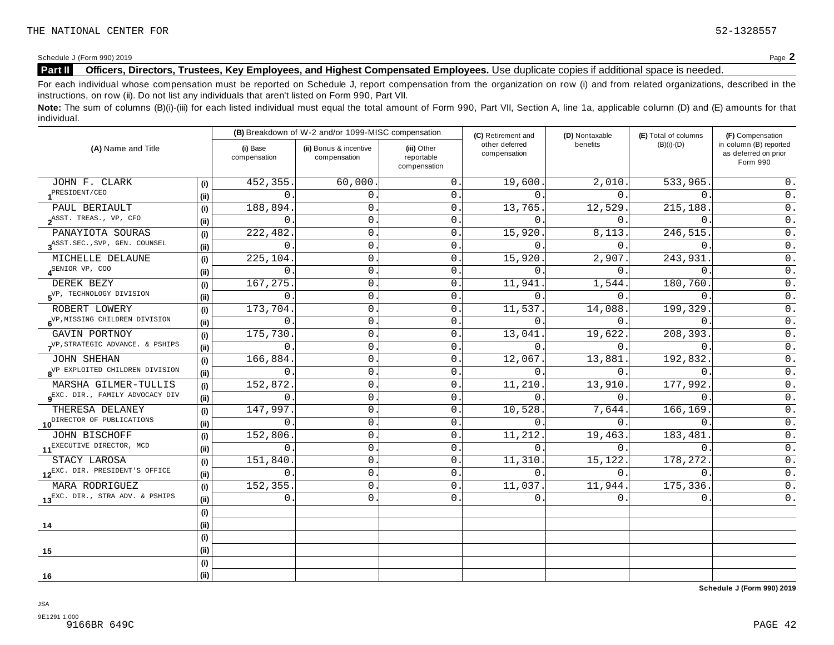Schedule <sup>J</sup> (Form 990) <sup>2019</sup> Page **2**

## **Part II Officers, Directors, Trustees, Key Employees, and Highest Compensated Employees.** Use duplicate copies ifadditional space is needed.

For each individual whose compensation must be reported on Schedule J, report compensation from the organization on row (i) and from related organizations, described in the instructions, on row (ii). Do not list any individuals that aren't listed on Form 990, Part VII.

Note: The sum of columns (B)(i)-(iii) for each listed individual must equal the total amount of Form 990, Part VII, Section A, line 1a, applicable column (D) and (E) amounts for that individual.

|                                             |      |                          | (B) Breakdown of W-2 and/or 1099-MISC compensation |                                           | (C) Retirement and             | (D) Nontaxable | (E) Total of columns | (F) Compensation                                           |  |
|---------------------------------------------|------|--------------------------|----------------------------------------------------|-------------------------------------------|--------------------------------|----------------|----------------------|------------------------------------------------------------|--|
| (A) Name and Title                          |      | (i) Base<br>compensation | (ii) Bonus & incentive<br>compensation             | (iii) Other<br>reportable<br>compensation | other deferred<br>compensation | benefits       | $(B)(i)-(D)$         | in column (B) reported<br>as deferred on prior<br>Form 990 |  |
| JOHN F. CLARK                               | (i)  | 452,355                  | 60,000.                                            | $\mathbf{0}$                              | 19,600.                        | 2,010.         | 533,965              | 0.                                                         |  |
| PRESIDENT/CEO                               | (i)  | $\Omega$                 | $\Omega$ .                                         | $\mathbf{0}$ .                            | $\Omega$ .                     | $\Omega$ .     | $\Omega$             | 0.                                                         |  |
| PAUL BERIAULT                               | (i)  | 188,894                  | $\mathsf{O}$ .                                     | $\mathbf{0}$                              | 13,765.                        | 12,529.        | 215,188.             | $0$ .                                                      |  |
| $2^{ASST}$ . TREAS., VP, CFO                | (ii) | 0                        | $\mathsf{O}$ .                                     | $\mathbf 0$                               | 0.                             | 0.             | $\mathsf{O}$ .       | $0$ .                                                      |  |
| PANAYIOTA SOURAS                            | (i)  | 222,482                  | 0                                                  | $\mathbf{0}$                              | 15,920.                        | 8,113.         | 246,515.             | $0$ .                                                      |  |
| RASST. SEC., SVP, GEN. COUNSEL              | (i)  | 0                        | 0                                                  | $\mathbf{0}$                              | 0.                             | 0.             | $\Omega$ .           | $0$ .                                                      |  |
| MICHELLE DELAUNE                            | (i)  | 225,104                  | 0                                                  | $\mathbf 0$                               | 15,920.                        | 2,907.         | 243,931              | $0$ .                                                      |  |
| $4^{\text{SENIOR VP}}$ , COO                | (i)  | $\Omega$                 | 0                                                  | $\mathbf{0}$                              | $\Omega$ .                     | $0$ .          | $\Omega$ .           | $0$ .                                                      |  |
| DEREK BEZY                                  | (i)  | 167, 275                 | 0                                                  | $\mathbf 0$                               | 11,941                         | 1,544.         | 180,760.             | $0$ .                                                      |  |
| 5 <sup>VP, TECHNOLOGY DIVISION</sup>        | (ii) | 0                        | 0                                                  | $\mathbf 0$                               | 0.                             | 0.             | $\mathbf{0}$ .       | $\overline{0}$ .                                           |  |
| ROBERT LOWERY                               | (i)  | 173,704.                 | 0                                                  | 0                                         | 11,537.                        | 14,088.        | 199,329              | $\overline{0}$ .                                           |  |
| 6 <sup>VP, MISSING</sup> CHILDREN DIVISION  | (i)  | 0                        | $\mathbf{0}$ .                                     | $\mathbf{0}$                              | $0$ .                          | $0$ .          | $\Omega$ .           | $\overline{0}$ .                                           |  |
| GAVIN PORTNOY                               | (i)  | 175,730.                 | $\mathbf 0$                                        | $\mathbf{0}$                              | 13,041.                        | 19,622.        | 208,393.             | $0$ .                                                      |  |
| VP, STRATEGIC ADVANCE. & PSHIPS             | (i)  | $\mathbf 0$              | 0                                                  | $\mathbf 0$                               | $\Omega$ .                     | 0.             | 0                    | 0.                                                         |  |
| <b>JOHN SHEHAN</b>                          | (i)  | 166,884.                 | 0                                                  | $\mathsf{0}$ .                            | 12,067.                        | 13,881.        | 192,832.             | $\overline{0}$ .                                           |  |
| 8 <sup>VP</sup> EXPLOITED CHILDREN DIVISION | (ii) | 0                        | 0                                                  | $\mathbf{0}$                              | $\Omega$ .                     | 0.             | $\Omega$             | $\overline{0}$ .                                           |  |
| MARSHA GILMER-TULLIS                        | (i)  | 152,872                  | 0                                                  | 0                                         | 11,210.                        | 13,910.        | 177,992              | $\mathsf 0$ .                                              |  |
| Q <sup>EXC.</sup> DIR., FAMILY ADVOCACY DIV | (i)  | 0                        | 0                                                  | $\mathbf 0$                               | $\Omega$ .                     | $\Omega$ .     | $\Omega$ .           | $\overline{0}$ .                                           |  |
| THERESA DELANEY                             | (i)  | 147,997                  | 0                                                  | $\mathbf{0}$                              | 10,528.                        | 7,644.         | 166,169              | $\overline{0}$ .                                           |  |
| 10 <sup>DIRECTOR</sup> OF PUBLICATIONS      | (i)  | $\Omega$                 | 0                                                  | $\mathbf{0}$ .                            | $\Omega$ .                     | $\Omega$ .     | $\Omega$ .           | 0.                                                         |  |
| JOHN BISCHOFF                               | (i)  | 152,806                  | 0                                                  | $\mathbf 0$                               | 11,212.                        | 19,463.        | 183,481              | $0$ .                                                      |  |
| 11 <sup>EXECUTIVE DIRECTOR, MCD</sup>       | (ii) | 0                        | 0                                                  | $\mathbf 0$                               | $\overline{0}$ .               | 0.             | $\overline{0}$ .     | $\overline{0}$ .                                           |  |
| STACY LAROSA                                | (i)  | 151,840                  | $\mathsf{O}$ .                                     | $\mathbf 0$                               | 11,310.                        | 15,122.        | 178,272.             | $0$ .                                                      |  |
| 12EXC. DIR. PRESIDENT'S OFFICE              | (ii) | 0                        | $\mathbf 0$                                        | $\mathbf 0$                               | 0.                             | $0$ .          | $\overline{0}$ .     | $0$ .                                                      |  |
| MARA RODRIGUEZ                              | (i)  | 152,355                  | $\mathbf 0$                                        | $\mathbf 0$                               | 11, 037.                       | 11,944.        | 175,336.             | $0$ .                                                      |  |
| 13EXC. DIR., STRA ADV. & PSHIPS             | (i)  | 0                        | $\mathbf{0}$ .                                     | $\mathbf{0}$ .                            | 0.                             | 0.             | $\mathbf 0$ .        | 0.                                                         |  |
|                                             | (i)  |                          |                                                    |                                           |                                |                |                      |                                                            |  |
| 14                                          | (i)  |                          |                                                    |                                           |                                |                |                      |                                                            |  |
|                                             | (i)  |                          |                                                    |                                           |                                |                |                      |                                                            |  |
| 15                                          | (ii) |                          |                                                    |                                           |                                |                |                      |                                                            |  |
|                                             | (i)  |                          |                                                    |                                           |                                |                |                      |                                                            |  |
| 16                                          | (i)  |                          |                                                    |                                           |                                |                |                      |                                                            |  |

**Schedule J (Form 990) 2019**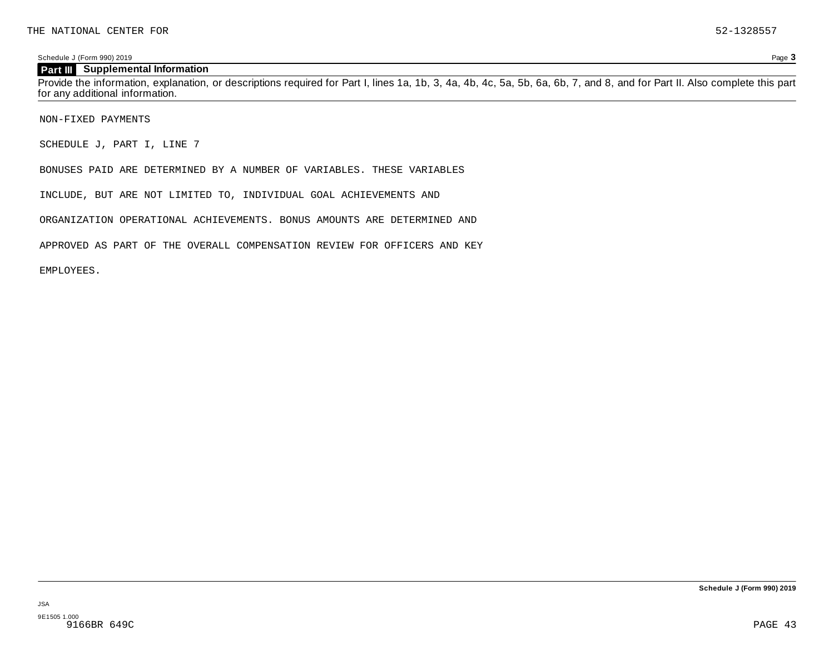Schedule J (Form 990) 2019 Page **3**

#### **Part III Supplemental Information**

Provide the information, explanation, or descriptions required for Part I, lines 1a, 1b, 3, 4a, 4b, 4c, 5a, 5b, 6a, 6b, 7, and 8, and for Part II. Also complete this part for any additional information.

NON-FIXED PAYMENTS

SCHEDULE J, PART I, LINE 7

BONUSES PAID ARE DETERMINED BY A NUMBER OF VARIABLES. THESE VARIABLES

INCLUDE, BUT ARE NOT LIMITED TO, INDIVIDUAL GOAL ACHIEVEMENTS AND

ORGANIZATION OPERATIONAL ACHIEVEMENTS. BONUS AMOUNTS ARE DETERMINED AND

APPROVED AS PART OF THE OVERALL COMPENSATION REVIEW FOR OFFICERS AND KEY

EMPLOYEES.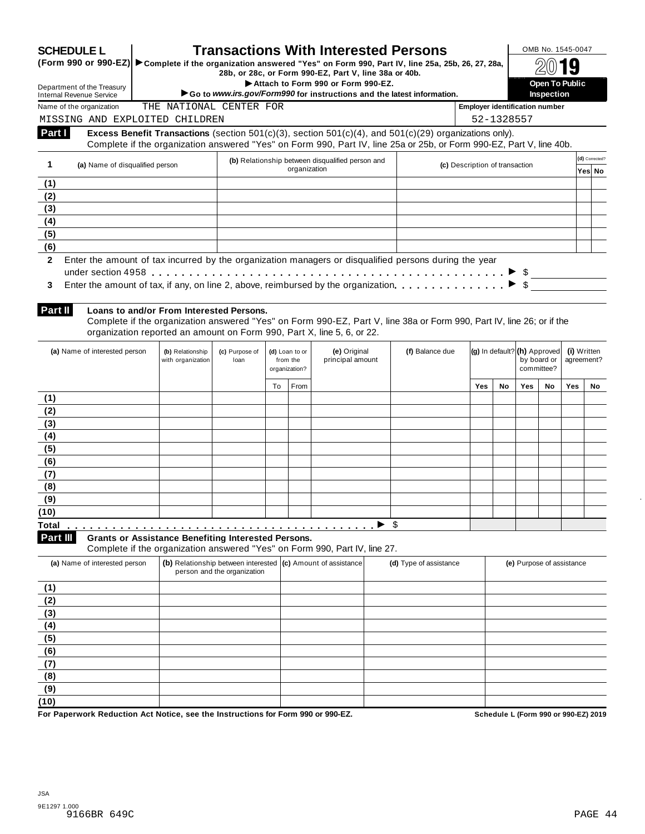|                                                                                                                             |                                 |                                                            | <b>Transactions With Interested Persons</b> |                                             | (Form 990 or 990-EZ) > Complete if the organization answered "Yes" on Form 990, Part IV, line 25a, 25b, 26, 27, 28a,                                                                                                                   |                        |                                       |            |     | OMB No. 1545-0047                                         |                           |                          |
|-----------------------------------------------------------------------------------------------------------------------------|---------------------------------|------------------------------------------------------------|---------------------------------------------|---------------------------------------------|----------------------------------------------------------------------------------------------------------------------------------------------------------------------------------------------------------------------------------------|------------------------|---------------------------------------|------------|-----|-----------------------------------------------------------|---------------------------|--------------------------|
|                                                                                                                             |                                 |                                                            |                                             |                                             | 28b, or 28c, or Form 990-EZ, Part V, line 38a or 40b.<br>Attach to Form 990 or Form 990-EZ.                                                                                                                                            |                        |                                       |            |     | <b>Open To Public</b>                                     |                           |                          |
| Department of the Treasury<br><b>Internal Revenue Service</b>                                                               |                                 |                                                            |                                             |                                             | Go to www.irs.gov/Form990 for instructions and the latest information.                                                                                                                                                                 |                        |                                       |            |     | <b>Inspection</b>                                         |                           |                          |
| Name of the organization                                                                                                    |                                 | THE NATIONAL CENTER FOR                                    |                                             |                                             |                                                                                                                                                                                                                                        |                        | <b>Employer identification number</b> |            |     |                                                           |                           |                          |
| MISSING AND EXPLOITED CHILDREN                                                                                              |                                 |                                                            |                                             |                                             |                                                                                                                                                                                                                                        |                        |                                       | 52-1328557 |     |                                                           |                           |                          |
| Part I                                                                                                                      |                                 |                                                            |                                             |                                             | Excess Benefit Transactions (section $501(c)(3)$ , section $501(c)(4)$ , and $501(c)(29)$ organizations only).<br>Complete if the organization answered "Yes" on Form 990, Part IV, line 25a or 25b, or Form 990-EZ, Part V, line 40b. |                        |                                       |            |     |                                                           |                           |                          |
| $\mathbf{1}$                                                                                                                | (a) Name of disqualified person |                                                            |                                             |                                             | (b) Relationship between disqualified person and<br>organization                                                                                                                                                                       |                        | (c) Description of transaction        |            |     |                                                           |                           | (d) Corrected?<br>Yes No |
| (1)                                                                                                                         |                                 |                                                            |                                             |                                             |                                                                                                                                                                                                                                        |                        |                                       |            |     |                                                           |                           |                          |
| (2)                                                                                                                         |                                 |                                                            |                                             |                                             |                                                                                                                                                                                                                                        |                        |                                       |            |     |                                                           |                           |                          |
| (3)                                                                                                                         |                                 |                                                            |                                             |                                             |                                                                                                                                                                                                                                        |                        |                                       |            |     |                                                           |                           |                          |
| (4)                                                                                                                         |                                 |                                                            |                                             |                                             |                                                                                                                                                                                                                                        |                        |                                       |            |     |                                                           |                           |                          |
| (5)                                                                                                                         |                                 |                                                            |                                             |                                             |                                                                                                                                                                                                                                        |                        |                                       |            |     |                                                           |                           |                          |
| (6)                                                                                                                         |                                 |                                                            |                                             |                                             |                                                                                                                                                                                                                                        |                        |                                       |            |     |                                                           |                           |                          |
| 3                                                                                                                           |                                 |                                                            |                                             |                                             | Enter the amount of tax, if any, on line 2, above, reimbursed by the organization.                                                                                                                                                     |                        |                                       |            |     | $\bullet \quad \text{\textcircled{}}$                     |                           |                          |
| Part II                                                                                                                     |                                 | Loans to and/or From Interested Persons.                   |                                             |                                             | Complete if the organization answered "Yes" on Form 990-EZ, Part V, line 38a or Form 990, Part IV, line 26; or if the<br>organization reported an amount on Form 990, Part X, line 5, 6, or 22.                                        |                        |                                       |            |     |                                                           |                           |                          |
| (a) Name of interested person                                                                                               |                                 | (b) Relationship<br>with organization                      | (c) Purpose of<br>loan                      | (d) Loan to or<br>from the<br>organization? | (e) Original<br>principal amount                                                                                                                                                                                                       | (f) Balance due        |                                       |            |     | (g) In default? (h) Approved<br>by board or<br>committee? | (i) Written<br>agreement? |                          |
|                                                                                                                             |                                 |                                                            |                                             | To<br>From                                  |                                                                                                                                                                                                                                        |                        | <b>Yes</b>                            | No         | Yes | No                                                        | Yes                       | No.                      |
| (1)                                                                                                                         |                                 |                                                            |                                             |                                             |                                                                                                                                                                                                                                        |                        |                                       |            |     |                                                           |                           |                          |
| (2)<br>(3)                                                                                                                  |                                 |                                                            |                                             |                                             |                                                                                                                                                                                                                                        |                        |                                       |            |     |                                                           |                           |                          |
|                                                                                                                             |                                 |                                                            |                                             |                                             |                                                                                                                                                                                                                                        |                        |                                       |            |     |                                                           |                           |                          |
|                                                                                                                             |                                 |                                                            |                                             |                                             |                                                                                                                                                                                                                                        |                        |                                       |            |     |                                                           |                           |                          |
|                                                                                                                             |                                 |                                                            |                                             |                                             |                                                                                                                                                                                                                                        |                        |                                       |            |     |                                                           |                           |                          |
|                                                                                                                             |                                 |                                                            |                                             |                                             |                                                                                                                                                                                                                                        |                        |                                       |            |     |                                                           |                           |                          |
|                                                                                                                             |                                 |                                                            |                                             |                                             |                                                                                                                                                                                                                                        |                        |                                       |            |     |                                                           |                           |                          |
|                                                                                                                             |                                 |                                                            |                                             |                                             |                                                                                                                                                                                                                                        |                        |                                       |            |     |                                                           |                           |                          |
|                                                                                                                             |                                 |                                                            |                                             |                                             |                                                                                                                                                                                                                                        |                        |                                       |            |     |                                                           |                           |                          |
|                                                                                                                             |                                 |                                                            |                                             |                                             |                                                                                                                                                                                                                                        |                        |                                       |            |     |                                                           |                           |                          |
|                                                                                                                             |                                 |                                                            |                                             |                                             |                                                                                                                                                                                                                                        |                        |                                       |            |     |                                                           |                           |                          |
|                                                                                                                             |                                 | <b>Grants or Assistance Benefiting Interested Persons.</b> |                                             |                                             | Complete if the organization answered "Yes" on Form 990, Part IV, line 27.                                                                                                                                                             | \$                     |                                       |            |     |                                                           |                           |                          |
| (a) Name of interested person                                                                                               |                                 |                                                            | person and the organization                 |                                             | (b) Relationship between interested (c) Amount of assistance                                                                                                                                                                           | (d) Type of assistance |                                       |            |     | (e) Purpose of assistance                                 |                           |                          |
|                                                                                                                             |                                 |                                                            |                                             |                                             |                                                                                                                                                                                                                                        |                        |                                       |            |     |                                                           |                           |                          |
|                                                                                                                             |                                 |                                                            |                                             |                                             |                                                                                                                                                                                                                                        |                        |                                       |            |     |                                                           |                           |                          |
|                                                                                                                             |                                 |                                                            |                                             |                                             |                                                                                                                                                                                                                                        |                        |                                       |            |     |                                                           |                           |                          |
|                                                                                                                             |                                 |                                                            |                                             |                                             |                                                                                                                                                                                                                                        |                        |                                       |            |     |                                                           |                           |                          |
|                                                                                                                             |                                 |                                                            |                                             |                                             |                                                                                                                                                                                                                                        |                        |                                       |            |     |                                                           |                           |                          |
|                                                                                                                             |                                 |                                                            |                                             |                                             |                                                                                                                                                                                                                                        |                        |                                       |            |     |                                                           |                           |                          |
|                                                                                                                             |                                 |                                                            |                                             |                                             |                                                                                                                                                                                                                                        |                        |                                       |            |     |                                                           |                           |                          |
| (4)<br>(5)<br>(6)<br>(7)<br>(8)<br>(9)<br>(10)<br>Total<br>Part III<br>(1)<br>(2)<br>(3)<br>(4)<br>(5)<br>(6)<br>(7)<br>(8) |                                 |                                                            |                                             |                                             |                                                                                                                                                                                                                                        |                        |                                       |            |     |                                                           |                           |                          |
| (9)<br>(10)                                                                                                                 |                                 |                                                            |                                             |                                             |                                                                                                                                                                                                                                        |                        |                                       |            |     |                                                           |                           |                          |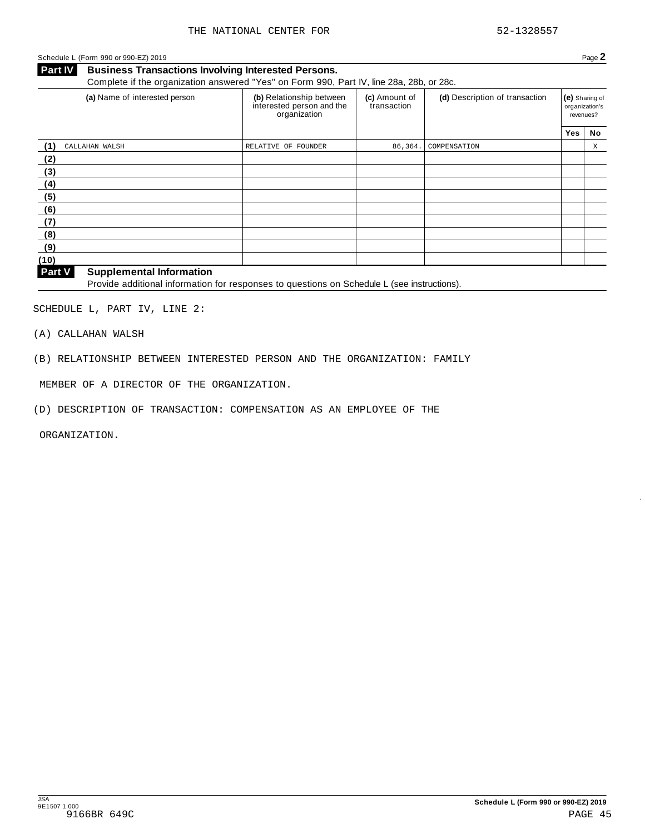Schedule <sup>L</sup> (Form <sup>990</sup> or 990-EZ) <sup>2019</sup> Page **2**

**Business Transactions Involving Interested Persons. Part IV** Business Transactions Involving Interested Persons.<br>Complete if the organization answered "Yes" on Form 990, Part IV, line 28a, 28b, or 28c.

| (a) Name of interested person             | (b) Relationship between<br>interested person and the<br>organization | (c) Amount of<br>transaction | (d) Description of transaction |     | (e) Sharing of<br>organization's<br>revenues? |
|-------------------------------------------|-----------------------------------------------------------------------|------------------------------|--------------------------------|-----|-----------------------------------------------|
|                                           |                                                                       |                              |                                | Yes | No                                            |
| (1)<br>CALLAHAN WALSH                     | RELATIVE OF FOUNDER                                                   | 86,364.                      | COMPENSATION                   |     | X                                             |
| (2)                                       |                                                                       |                              |                                |     |                                               |
| (3)                                       |                                                                       |                              |                                |     |                                               |
| (4)                                       |                                                                       |                              |                                |     |                                               |
| (5)                                       |                                                                       |                              |                                |     |                                               |
| (6)                                       |                                                                       |                              |                                |     |                                               |
| (7)                                       |                                                                       |                              |                                |     |                                               |
| (8)                                       |                                                                       |                              |                                |     |                                               |
| (9)                                       |                                                                       |                              |                                |     |                                               |
| (10)                                      |                                                                       |                              |                                |     |                                               |
| Dout M<br><b>Cunnlamantal Information</b> |                                                                       |                              |                                |     |                                               |

#### **Supplemental Information**

**Patt V** Supplemental information<br>Provide additional information for responses to questions on Schedule L (see instructions).

SCHEDULE L, PART IV, LINE 2:

(A) CALLAHAN WALSH

(B) RELATIONSHIP BETWEEN INTERESTED PERSON AND THE ORGANIZATION: FAMILY

MEMBER OF A DIRECTOR OF THE ORGANIZATION.

(D) DESCRIPTION OF TRANSACTION: COMPENSATION AS AN EMPLOYEE OF THE

ORGANIZATION.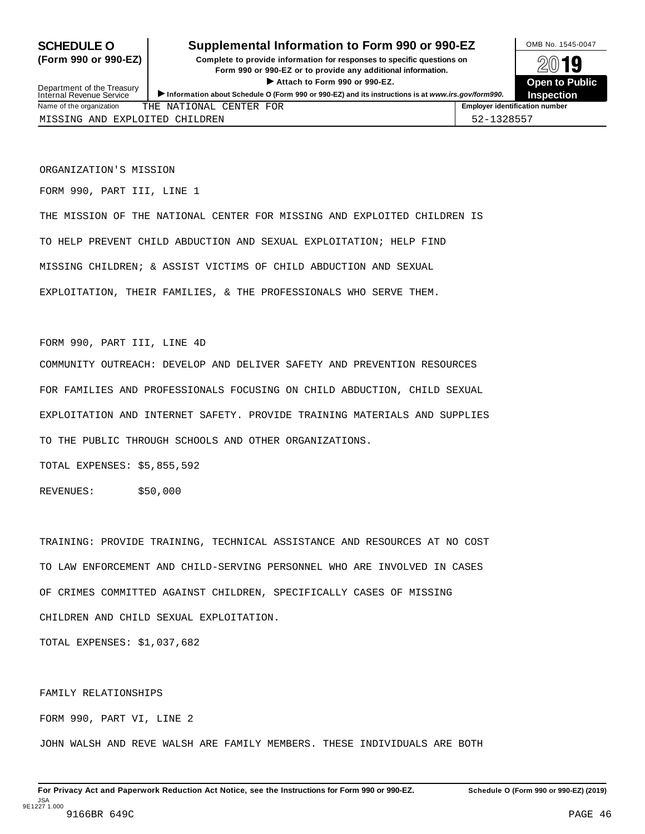## **SCHEDULE O** Supplemental Information to Form 990 or 990-EZ DAMB No. 1545-0047

**(Form 990 or 990-EZ) Complete to provide information for responses to specific questions on** plete to provide information for responses to specific questions on  $\mathbb{Z}^{0}$  **19**  $\triangleright$  **Attach to Form 990 or 990-EZ.**<br> **Exercise 200 or 990-EZ.**<br>
and the second of the second of the second of the second of the second of the second of the second of the second of the second of the second of the second > Attach to Form 990 or 990-EZ.<br>Information about Schedule O (Form 990 or 990-EZ) and its instructions is at www.irs.gov/form990. Inspection



Department of the Treasury<br>Internal Revenue Service

|                          |                       |               | .                                     |
|--------------------------|-----------------------|---------------|---------------------------------------|
| Name of the organization | ONAI<br>THE<br>NA'    | FOR<br>CENTER | <b>Employer identification number</b> |
| AND<br>MTSS<br>'NG       | EXPLOTTED<br>CHTLDREN |               | , 0 5 5 7<br>,  _                     |

ORGANIZATION'S MISSION

FORM 990, PART III, LINE 1

THE MISSION OF THE NATIONAL CENTER FOR MISSING AND EXPLOITED CHILDREN IS TO HELP PREVENT CHILD ABDUCTION AND SEXUAL EXPLOITATION; HELP FIND MISSING CHILDREN; & ASSIST VICTIMS OF CHILD ABDUCTION AND SEXUAL EXPLOITATION, THEIR FAMILIES, & THE PROFESSIONALS WHO SERVE THEM.

FORM 990, PART III, LINE 4D

COMMUNITY OUTREACH: DEVELOP AND DELIVER SAFETY AND PREVENTION RESOURCES FOR FAMILIES AND PROFESSIONALS FOCUSING ON CHILD ABDUCTION, CHILD SEXUAL EXPLOITATION AND INTERNET SAFETY. PROVIDE TRAINING MATERIALS AND SUPPLIES TO THE PUBLIC THROUGH SCHOOLS AND OTHER ORGANIZATIONS.

TOTAL EXPENSES: \$5,855,592

REVENUES: \$50,000

TRAINING: PROVIDE TRAINING, TECHNICAL ASSISTANCE AND RESOURCES AT NO COST TO LAW ENFORCEMENT AND CHILD-SERVING PERSONNEL WHO ARE INVOLVED IN CASES OF CRIMES COMMITTED AGAINST CHILDREN, SPECIFICALLY CASES OF MISSING CHILDREN AND CHILD SEXUAL EXPLOITATION.

TOTAL EXPENSES: \$1,037,682

FAMILY RELATIONSHIPS

FORM 990, PART VI, LINE 2

JOHN WALSH AND REVE WALSH ARE FAMILY MEMBERS. THESE INDIVIDUALS ARE BOTH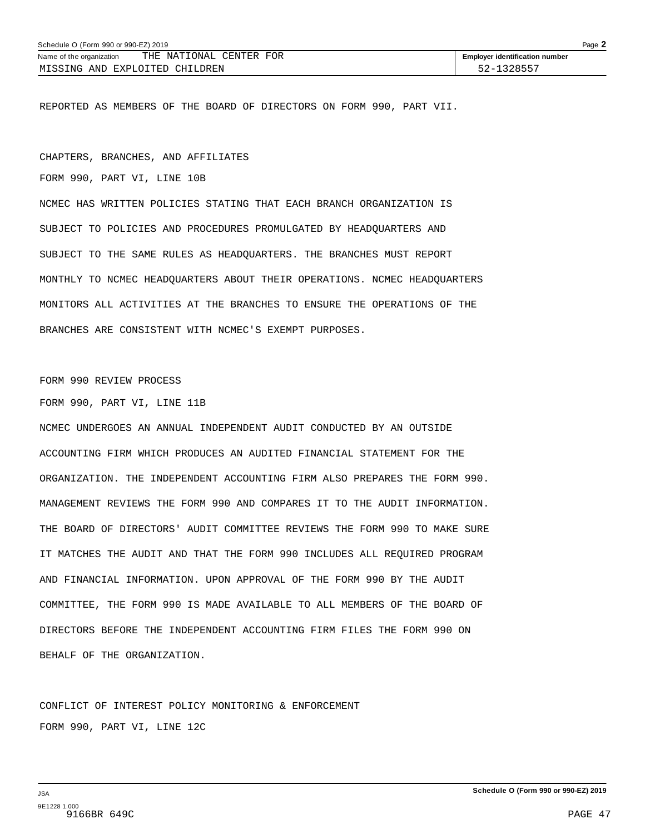REPORTED AS MEMBERS OF THE BOARD OF DIRECTORS ON FORM 990, PART VII.

CHAPTERS, BRANCHES, AND AFFILIATES

FORM 990, PART VI, LINE 10B

NCMEC HAS WRITTEN POLICIES STATING THAT EACH BRANCH ORGANIZATION IS SUBJECT TO POLICIES AND PROCEDURES PROMULGATED BY HEADQUARTERS AND SUBJECT TO THE SAME RULES AS HEADQUARTERS. THE BRANCHES MUST REPORT MONTHLY TO NCMEC HEADQUARTERS ABOUT THEIR OPERATIONS. NCMEC HEADQUARTERS MONITORS ALL ACTIVITIES AT THE BRANCHES TO ENSURE THE OPERATIONS OF THE BRANCHES ARE CONSISTENT WITH NCMEC'S EXEMPT PURPOSES.

FORM 990 REVIEW PROCESS

FORM 990, PART VI, LINE 11B

NCMEC UNDERGOES AN ANNUAL INDEPENDENT AUDIT CONDUCTED BY AN OUTSIDE ACCOUNTING FIRM WHICH PRODUCES AN AUDITED FINANCIAL STATEMENT FOR THE ORGANIZATION. THE INDEPENDENT ACCOUNTING FIRM ALSO PREPARES THE FORM 990. MANAGEMENT REVIEWS THE FORM 990 AND COMPARES IT TO THE AUDIT INFORMATION. THE BOARD OF DIRECTORS' AUDIT COMMITTEE REVIEWS THE FORM 990 TO MAKE SURE IT MATCHES THE AUDIT AND THAT THE FORM 990 INCLUDES ALL REQUIRED PROGRAM AND FINANCIAL INFORMATION. UPON APPROVAL OF THE FORM 990 BY THE AUDIT COMMITTEE, THE FORM 990 IS MADE AVAILABLE TO ALL MEMBERS OF THE BOARD OF DIRECTORS BEFORE THE INDEPENDENT ACCOUNTING FIRM FILES THE FORM 990 ON BEHALF OF THE ORGANIZATION.

CONFLICT OF INTEREST POLICY MONITORING & ENFORCEMENT FORM 990, PART VI, LINE 12C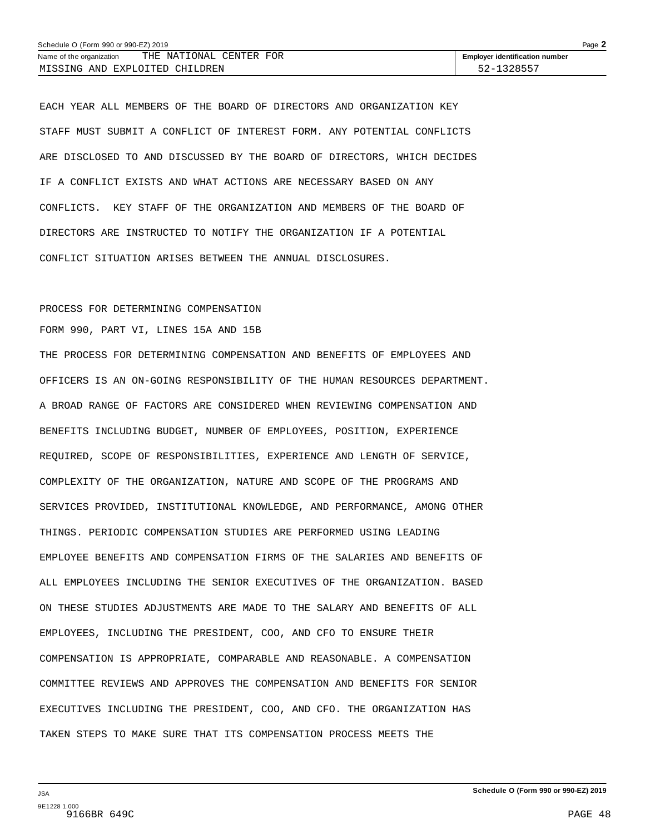| Schedule O (Form 990 or 990-EZ) 2019                | Page $\blacktriangle$                 |
|-----------------------------------------------------|---------------------------------------|
| THE NATIONAL CENTER FOR<br>Name of the organization | <b>Employer identification number</b> |
| MISSING AND EXPLOITED CHILDREN                      | 52-1328557                            |

EACH YEAR ALL MEMBERS OF THE BOARD OF DIRECTORS AND ORGANIZATION KEY STAFF MUST SUBMIT A CONFLICT OF INTEREST FORM. ANY POTENTIAL CONFLICTS ARE DISCLOSED TO AND DISCUSSED BY THE BOARD OF DIRECTORS, WHICH DECIDES IF A CONFLICT EXISTS AND WHAT ACTIONS ARE NECESSARY BASED ON ANY CONFLICTS. KEY STAFF OF THE ORGANIZATION AND MEMBERS OF THE BOARD OF DIRECTORS ARE INSTRUCTED TO NOTIFY THE ORGANIZATION IF A POTENTIAL CONFLICT SITUATION ARISES BETWEEN THE ANNUAL DISCLOSURES.

#### PROCESS FOR DETERMINING COMPENSATION

FORM 990, PART VI, LINES 15A AND 15B

THE PROCESS FOR DETERMINING COMPENSATION AND BENEFITS OF EMPLOYEES AND OFFICERS IS AN ON-GOING RESPONSIBILITY OF THE HUMAN RESOURCES DEPARTMENT. A BROAD RANGE OF FACTORS ARE CONSIDERED WHEN REVIEWING COMPENSATION AND BENEFITS INCLUDING BUDGET, NUMBER OF EMPLOYEES, POSITION, EXPERIENCE REQUIRED, SCOPE OF RESPONSIBILITIES, EXPERIENCE AND LENGTH OF SERVICE, COMPLEXITY OF THE ORGANIZATION, NATURE AND SCOPE OF THE PROGRAMS AND SERVICES PROVIDED, INSTITUTIONAL KNOWLEDGE, AND PERFORMANCE, AMONG OTHER THINGS. PERIODIC COMPENSATION STUDIES ARE PERFORMED USING LEADING EMPLOYEE BENEFITS AND COMPENSATION FIRMS OF THE SALARIES AND BENEFITS OF ALL EMPLOYEES INCLUDING THE SENIOR EXECUTIVES OF THE ORGANIZATION. BASED ON THESE STUDIES ADJUSTMENTS ARE MADE TO THE SALARY AND BENEFITS OF ALL EMPLOYEES, INCLUDING THE PRESIDENT, COO, AND CFO TO ENSURE THEIR COMPENSATION IS APPROPRIATE, COMPARABLE AND REASONABLE. A COMPENSATION COMMITTEE REVIEWS AND APPROVES THE COMPENSATION AND BENEFITS FOR SENIOR EXECUTIVES INCLUDING THE PRESIDENT, COO, AND CFO. THE ORGANIZATION HAS TAKEN STEPS TO MAKE SURE THAT ITS COMPENSATION PROCESS MEETS THE

JSA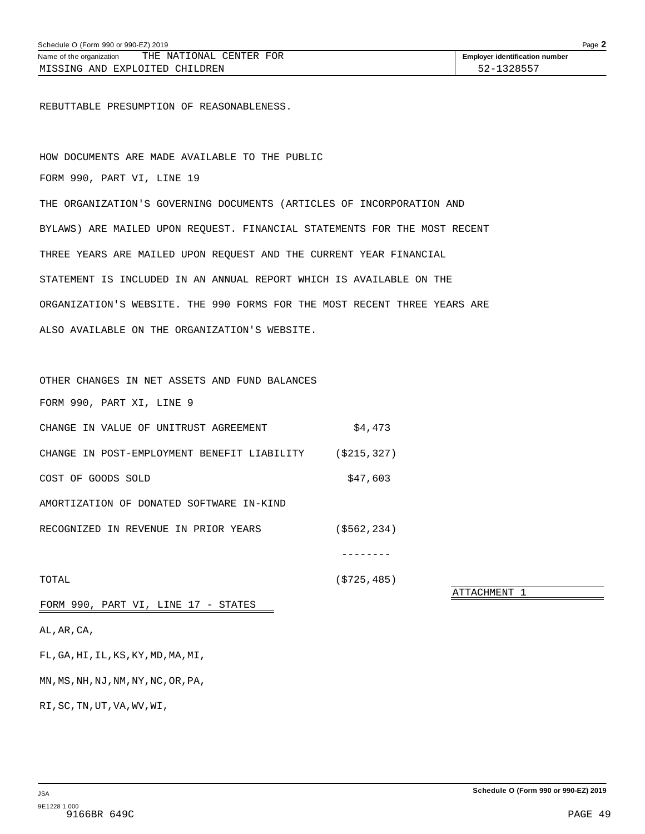<span id="page-53-0"></span>REBUTTABLE PRESUMPTION OF REASONABLENESS.

HOW DOCUMENTS ARE MADE AVAILABLE TO THE PUBLIC FORM 990, PART VI, LINE 19 THE ORGANIZATION'S GOVERNING DOCUMENTS (ARTICLES OF INCORPORATION AND BYLAWS) ARE MAILED UPON REQUEST. FINANCIAL STATEMENTS FOR THE MOST RECENT THREE YEARS ARE MAILED UPON REQUEST AND THE CURRENT YEAR FINANCIAL STATEMENT IS INCLUDED IN AN ANNUAL REPORT WHICH IS AVAILABLE ON THE ORGANIZATION'S WEBSITE. THE 990 FORMS FOR THE MOST RECENT THREE YEARS ARE ALSO AVAILABLE ON THE ORGANIZATION'S WEBSITE.

OTHER CHANGES IN NET ASSETS AND FUND BALANCES FORM 990, PART XI, LINE 9 CHANGE IN VALUE OF UNITRUST AGREEMENT  $$4,473$ CHANGE IN POST-EMPLOYMENT BENEFIT LIABILITY (\$215,327) COST OF GOODS SOLD \$47,603 AMORTIZATION OF DONATED SOFTWARE IN-KIND RECOGNIZED IN REVENUE IN PRIOR YEARS (\$562,234)

TOTAL (\$725,485)

--------

ATTACHMENT 1

FORM 990, PART VI, LINE 17 - STATES

AL,AR,CA,

FL,GA,HI,IL,KS,KY,MD,MA,MI,

MN,MS,NH,NJ,NM,NY,NC,OR,PA,

RI,SC,TN,UT,VA,WV,WI,